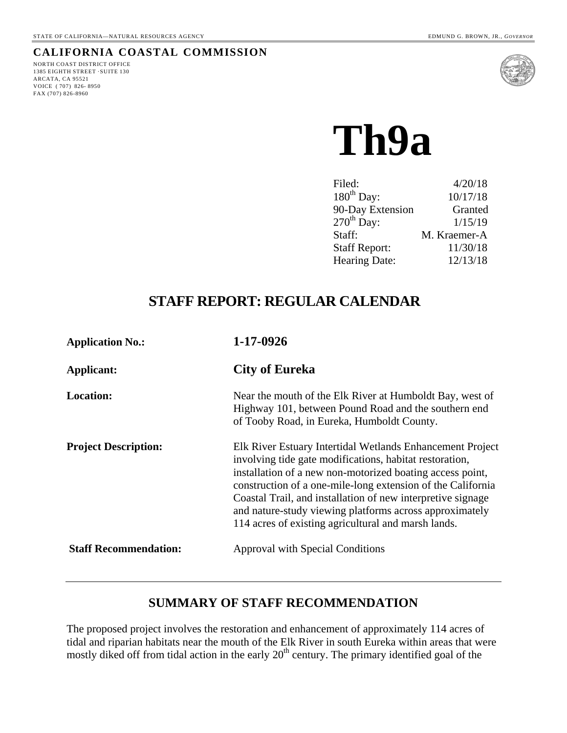# **CALIFORNIA COASTAL COMMISSION**

NORTH COAST DISTRICT OFFICE 1385 EIGHTH STREET ·SUITE 130 ARCATA, CA 95521 VOICE ( 707) 826- 8950 FAX (707) 826-8960



**Th9a**

| Filed:                 | 4/20/18      |
|------------------------|--------------|
| 180 <sup>th</sup> Day: | 10/17/18     |
| 90-Day Extension       | Granted      |
| $270th$ Day:           | 1/15/19      |
| Staff:                 | M. Kraemer-A |
| <b>Staff Report:</b>   | 11/30/18     |
| Hearing Date:          | 12/13/18     |
|                        |              |

# **STAFF REPORT: REGULAR CALENDAR**

| <b>Application No.:</b>      | 1-17-0926                                                                                                                                                                                                                                                                                                                                                                                                                         |  |  |
|------------------------------|-----------------------------------------------------------------------------------------------------------------------------------------------------------------------------------------------------------------------------------------------------------------------------------------------------------------------------------------------------------------------------------------------------------------------------------|--|--|
| Applicant:                   | City of Eureka                                                                                                                                                                                                                                                                                                                                                                                                                    |  |  |
| <b>Location:</b>             | Near the mouth of the Elk River at Humboldt Bay, west of<br>Highway 101, between Pound Road and the southern end<br>of Tooby Road, in Eureka, Humboldt County.                                                                                                                                                                                                                                                                    |  |  |
| <b>Project Description:</b>  | Elk River Estuary Intertidal Wetlands Enhancement Project<br>involving tide gate modifications, habitat restoration,<br>installation of a new non-motorized boating access point,<br>construction of a one-mile-long extension of the California<br>Coastal Trail, and installation of new interpretive signage<br>and nature-study viewing platforms across approximately<br>114 acres of existing agricultural and marsh lands. |  |  |
| <b>Staff Recommendation:</b> | <b>Approval with Special Conditions</b>                                                                                                                                                                                                                                                                                                                                                                                           |  |  |

# **SUMMARY OF STAFF RECOMMENDATION**

The proposed project involves the restoration and enhancement of approximately 114 acres of tidal and riparian habitats near the mouth of the Elk River in south Eureka within areas that were mostly diked off from tidal action in the early  $20<sup>th</sup>$  century. The primary identified goal of the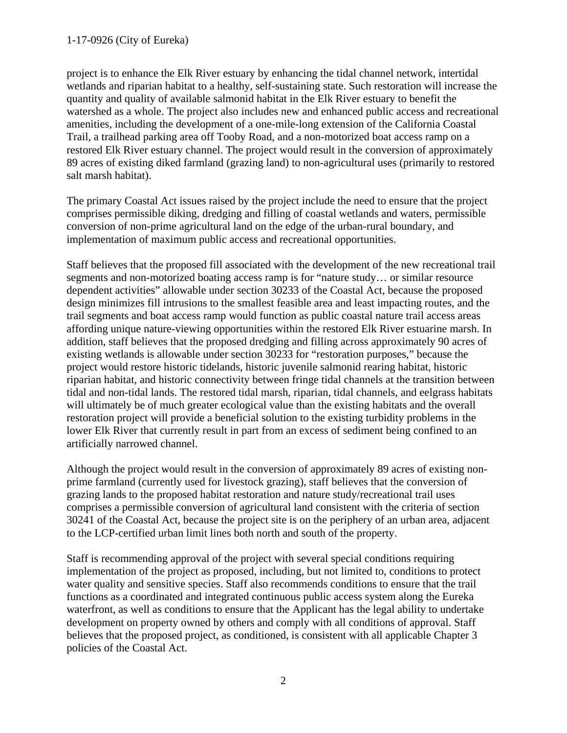project is to enhance the Elk River estuary by enhancing the tidal channel network, intertidal wetlands and riparian habitat to a healthy, self-sustaining state. Such restoration will increase the quantity and quality of available salmonid habitat in the Elk River estuary to benefit the watershed as a whole. The project also includes new and enhanced public access and recreational amenities, including the development of a one-mile-long extension of the California Coastal Trail, a trailhead parking area off Tooby Road, and a non-motorized boat access ramp on a restored Elk River estuary channel. The project would result in the conversion of approximately 89 acres of existing diked farmland (grazing land) to non-agricultural uses (primarily to restored salt marsh habitat).

The primary Coastal Act issues raised by the project include the need to ensure that the project comprises permissible diking, dredging and filling of coastal wetlands and waters, permissible conversion of non-prime agricultural land on the edge of the urban-rural boundary, and implementation of maximum public access and recreational opportunities.

Staff believes that the proposed fill associated with the development of the new recreational trail segments and non-motorized boating access ramp is for "nature study… or similar resource dependent activities" allowable under section 30233 of the Coastal Act, because the proposed design minimizes fill intrusions to the smallest feasible area and least impacting routes, and the trail segments and boat access ramp would function as public coastal nature trail access areas affording unique nature-viewing opportunities within the restored Elk River estuarine marsh. In addition, staff believes that the proposed dredging and filling across approximately 90 acres of existing wetlands is allowable under section 30233 for "restoration purposes," because the project would restore historic tidelands, historic juvenile salmonid rearing habitat, historic riparian habitat, and historic connectivity between fringe tidal channels at the transition between tidal and non-tidal lands. The restored tidal marsh, riparian, tidal channels, and eelgrass habitats will ultimately be of much greater ecological value than the existing habitats and the overall restoration project will provide a beneficial solution to the existing turbidity problems in the lower Elk River that currently result in part from an excess of sediment being confined to an artificially narrowed channel.

Although the project would result in the conversion of approximately 89 acres of existing nonprime farmland (currently used for livestock grazing), staff believes that the conversion of grazing lands to the proposed habitat restoration and nature study/recreational trail uses comprises a permissible conversion of agricultural land consistent with the criteria of section 30241 of the Coastal Act, because the project site is on the periphery of an urban area, adjacent to the LCP-certified urban limit lines both north and south of the property.

Staff is recommending approval of the project with several special conditions requiring implementation of the project as proposed, including, but not limited to, conditions to protect water quality and sensitive species. Staff also recommends conditions to ensure that the trail functions as a coordinated and integrated continuous public access system along the Eureka waterfront, as well as conditions to ensure that the Applicant has the legal ability to undertake development on property owned by others and comply with all conditions of approval. Staff believes that the proposed project, as conditioned, is consistent with all applicable Chapter 3 policies of the Coastal Act.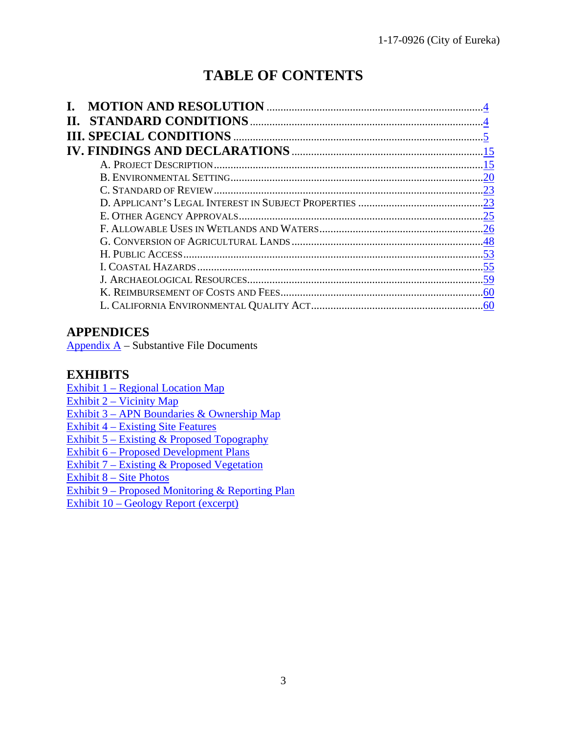# **TABLE OF CONTENTS**

| Н. |     |
|----|-----|
|    |     |
|    |     |
|    | .15 |
|    | .20 |
|    |     |
|    |     |
|    |     |
|    |     |
|    |     |
|    |     |
|    |     |
|    |     |
|    |     |
|    |     |

# **APPENDICES**

Appendix  $A -$  Substantive File Documents

# **EXHIBITS**

Exhibit 1 – [Regional Location Map](https://documents.coastal.ca.gov/reports/2018/12/th9a/th9a-12-2018-exhibits.pdf) Exhibit  $2$  – Vicinity Map Exhibit 3 – [APN Boundaries & Ownership Map](https://documents.coastal.ca.gov/reports/2018/12/th9a/th9a-12-2018-exhibits.pdf) Exhibit 4 – [Existing Site Features](https://documents.coastal.ca.gov/reports/2018/12/th9a/th9a-12-2018-exhibits.pdf)

Exhibit 5 – [Existing & Proposed Topography](https://documents.coastal.ca.gov/reports/2018/12/th9a/th9a-12-2018-exhibits.pdf)

Exhibit 6 – [Proposed Development Plans](https://documents.coastal.ca.gov/reports/2018/12/th9a/th9a-12-2018-exhibits.pdf)

Exhibit  $7 -$  [Existing & Proposed Vegetation](https://documents.coastal.ca.gov/reports/2018/12/th9a/th9a-12-2018-exhibits.pdf)

Exhibit 8 – [Site Photos](https://documents.coastal.ca.gov/reports/2018/12/th9a/th9a-12-2018-exhibits.pdf)

Exhibit 9 – [Proposed Monitoring &](https://documents.coastal.ca.gov/reports/2018/12/th9a/th9a-12-2018-exhibits.pdf) Reporting Plan

Exhibit 10 – [Geology Report \(excerpt\)](https://documents.coastal.ca.gov/reports/2018/12/th9a/th9a-12-2018-exhibits.pdf)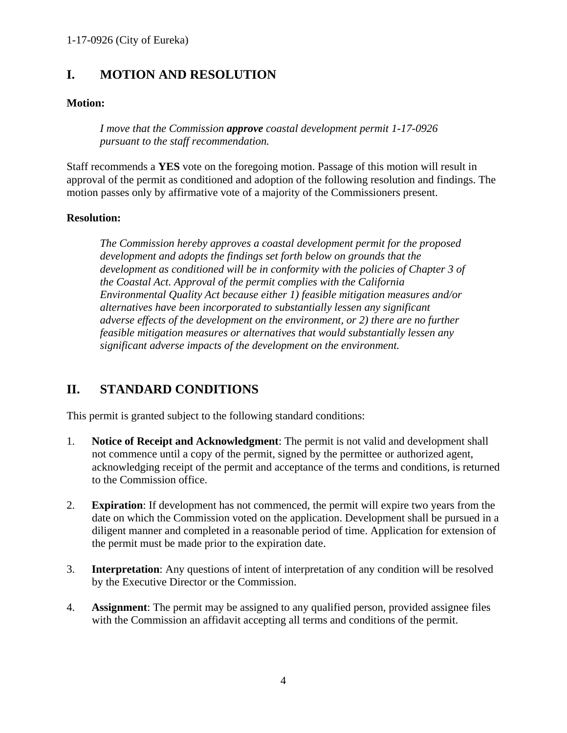# <span id="page-3-0"></span>**I. MOTION AND RESOLUTION**

# **Motion:**

*I move that the Commission approve coastal development permit 1-17-0926 pursuant to the staff recommendation.*

Staff recommends a **YES** vote on the foregoing motion. Passage of this motion will result in approval of the permit as conditioned and adoption of the following resolution and findings. The motion passes only by affirmative vote of a majority of the Commissioners present.

## **Resolution:**

*The Commission hereby approves a coastal development permit for the proposed development and adopts the findings set forth below on grounds that the development as conditioned will be in conformity with the policies of Chapter 3 of the Coastal Act. Approval of the permit complies with the California Environmental Quality Act because either 1) feasible mitigation measures and/or alternatives have been incorporated to substantially lessen any significant adverse effects of the development on the environment, or 2) there are no further feasible mitigation measures or alternatives that would substantially lessen any significant adverse impacts of the development on the environment.*

# <span id="page-3-1"></span>**II. STANDARD CONDITIONS**

This permit is granted subject to the following standard conditions:

- 1. **Notice of Receipt and Acknowledgment**: The permit is not valid and development shall not commence until a copy of the permit, signed by the permittee or authorized agent, acknowledging receipt of the permit and acceptance of the terms and conditions, is returned to the Commission office.
- 2. **Expiration**: If development has not commenced, the permit will expire two years from the date on which the Commission voted on the application. Development shall be pursued in a diligent manner and completed in a reasonable period of time. Application for extension of the permit must be made prior to the expiration date.
- 3. **Interpretation**: Any questions of intent of interpretation of any condition will be resolved by the Executive Director or the Commission.
- 4. **Assignment**: The permit may be assigned to any qualified person, provided assignee files with the Commission an affidavit accepting all terms and conditions of the permit.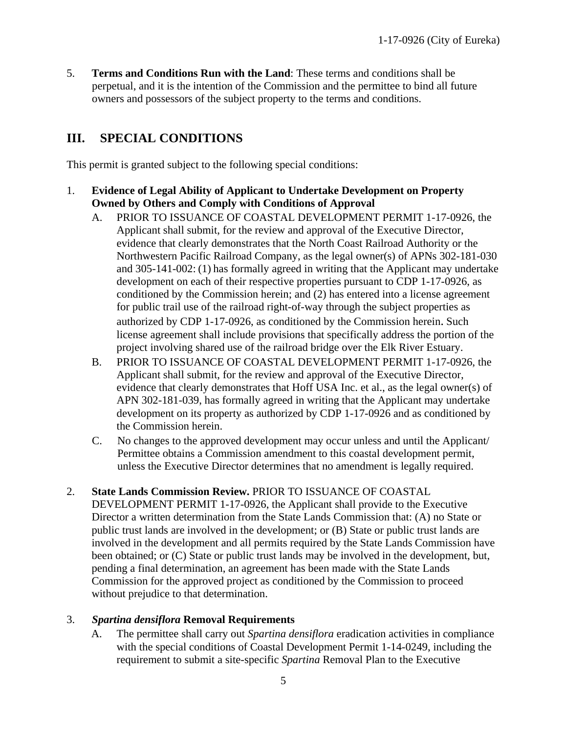5. **Terms and Conditions Run with the Land**: These terms and conditions shall be perpetual, and it is the intention of the Commission and the permittee to bind all future owners and possessors of the subject property to the terms and conditions.

# <span id="page-4-0"></span>**III. SPECIAL CONDITIONS**

This permit is granted subject to the following special conditions:

- 1. **Evidence of Legal Ability of Applicant to Undertake Development on Property Owned by Others and Comply with Conditions of Approval**
	- A. PRIOR TO ISSUANCE OF COASTAL DEVELOPMENT PERMIT 1-17-0926, the Applicant shall submit, for the review and approval of the Executive Director, evidence that clearly demonstrates that the North Coast Railroad Authority or the Northwestern Pacific Railroad Company, as the legal owner(s) of APNs 302-181-030 and 305-141-002: (1) has formally agreed in writing that the Applicant may undertake development on each of their respective properties pursuant to CDP 1-17-0926, as conditioned by the Commission herein; and (2) has entered into a license agreement for public trail use of the railroad right-of-way through the subject properties as authorized by CDP 1-17-0926, as conditioned by the Commission herein. Such license agreement shall include provisions that specifically address the portion of the project involving shared use of the railroad bridge over the Elk River Estuary.
	- B. PRIOR TO ISSUANCE OF COASTAL DEVELOPMENT PERMIT 1-17-0926, the Applicant shall submit, for the review and approval of the Executive Director, evidence that clearly demonstrates that Hoff USA Inc. et al., as the legal owner(s) of APN 302-181-039, has formally agreed in writing that the Applicant may undertake development on its property as authorized by CDP 1-17-0926 and as conditioned by the Commission herein.
	- C. No changes to the approved development may occur unless and until the Applicant/ Permittee obtains a Commission amendment to this coastal development permit, unless the Executive Director determines that no amendment is legally required.

## 2. **State Lands Commission Review.** PRIOR TO ISSUANCE OF COASTAL

DEVELOPMENT PERMIT 1-17-0926, the Applicant shall provide to the Executive Director a written determination from the State Lands Commission that: (A) no State or public trust lands are involved in the development; or (B) State or public trust lands are involved in the development and all permits required by the State Lands Commission have been obtained; or (C) State or public trust lands may be involved in the development, but, pending a final determination, an agreement has been made with the State Lands Commission for the approved project as conditioned by the Commission to proceed without prejudice to that determination.

## 3. *Spartina densiflora* **Removal Requirements**

A. The permittee shall carry out *Spartina densiflora* eradication activities in compliance with the special conditions of Coastal Development Permit 1-14-0249, including the requirement to submit a site-specific *Spartina* Removal Plan to the Executive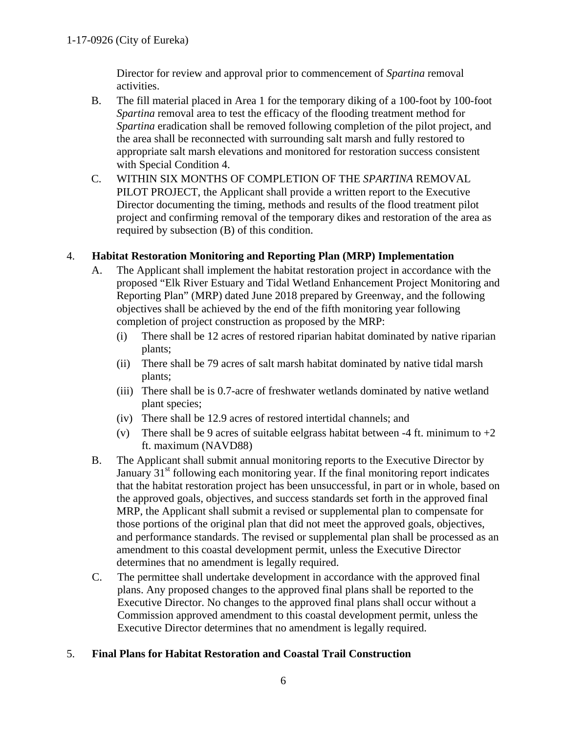Director for review and approval prior to commencement of *Spartina* removal activities.

- B. The fill material placed in Area 1 for the temporary diking of a 100-foot by 100-foot *Spartina* removal area to test the efficacy of the flooding treatment method for *Spartina* eradication shall be removed following completion of the pilot project, and the area shall be reconnected with surrounding salt marsh and fully restored to appropriate salt marsh elevations and monitored for restoration success consistent with Special Condition 4.
- C. WITHIN SIX MONTHS OF COMPLETION OF THE *SPARTINA* REMOVAL PILOT PROJECT, the Applicant shall provide a written report to the Executive Director documenting the timing, methods and results of the flood treatment pilot project and confirming removal of the temporary dikes and restoration of the area as required by subsection (B) of this condition.

## 4. **Habitat Restoration Monitoring and Reporting Plan (MRP) Implementation**

- A. The Applicant shall implement the habitat restoration project in accordance with the proposed "Elk River Estuary and Tidal Wetland Enhancement Project Monitoring and Reporting Plan" (MRP) dated June 2018 prepared by Greenway, and the following objectives shall be achieved by the end of the fifth monitoring year following completion of project construction as proposed by the MRP:
	- (i) There shall be 12 acres of restored riparian habitat dominated by native riparian plants;
	- (ii) There shall be 79 acres of salt marsh habitat dominated by native tidal marsh plants;
	- (iii) There shall be is 0.7-acre of freshwater wetlands dominated by native wetland plant species;
	- (iv) There shall be 12.9 acres of restored intertidal channels; and
	- (v) There shall be 9 acres of suitable eelgrass habitat between -4 ft. minimum to  $+2$ ft. maximum (NAVD88)
- B. The Applicant shall submit annual monitoring reports to the Executive Director by January  $31<sup>st</sup>$  following each monitoring year. If the final monitoring report indicates that the habitat restoration project has been unsuccessful, in part or in whole, based on the approved goals, objectives, and success standards set forth in the approved final MRP, the Applicant shall submit a revised or supplemental plan to compensate for those portions of the original plan that did not meet the approved goals, objectives, and performance standards. The revised or supplemental plan shall be processed as an amendment to this coastal development permit, unless the Executive Director determines that no amendment is legally required.
- C. The permittee shall undertake development in accordance with the approved final plans. Any proposed changes to the approved final plans shall be reported to the Executive Director. No changes to the approved final plans shall occur without a Commission approved amendment to this coastal development permit, unless the Executive Director determines that no amendment is legally required.

## 5. **Final Plans for Habitat Restoration and Coastal Trail Construction**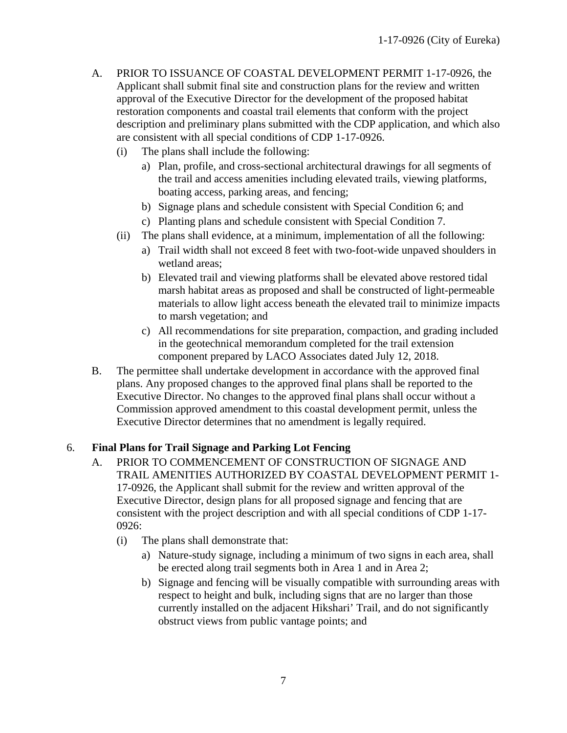- A. PRIOR TO ISSUANCE OF COASTAL DEVELOPMENT PERMIT 1-17-0926, the Applicant shall submit final site and construction plans for the review and written approval of the Executive Director for the development of the proposed habitat restoration components and coastal trail elements that conform with the project description and preliminary plans submitted with the CDP application, and which also are consistent with all special conditions of CDP 1-17-0926.
	- (i) The plans shall include the following:
		- a) Plan, profile, and cross-sectional architectural drawings for all segments of the trail and access amenities including elevated trails, viewing platforms, boating access, parking areas, and fencing;
		- b) Signage plans and schedule consistent with Special Condition 6; and
		- c) Planting plans and schedule consistent with Special Condition 7.
	- (ii) The plans shall evidence, at a minimum, implementation of all the following:
		- a) Trail width shall not exceed 8 feet with two-foot-wide unpaved shoulders in wetland areas;
		- b) Elevated trail and viewing platforms shall be elevated above restored tidal marsh habitat areas as proposed and shall be constructed of light-permeable materials to allow light access beneath the elevated trail to minimize impacts to marsh vegetation; and
		- c) All recommendations for site preparation, compaction, and grading included in the geotechnical memorandum completed for the trail extension component prepared by LACO Associates dated July 12, 2018.
- B. The permittee shall undertake development in accordance with the approved final plans. Any proposed changes to the approved final plans shall be reported to the Executive Director. No changes to the approved final plans shall occur without a Commission approved amendment to this coastal development permit, unless the Executive Director determines that no amendment is legally required.

# 6. **Final Plans for Trail Signage and Parking Lot Fencing**

- A. PRIOR TO COMMENCEMENT OF CONSTRUCTION OF SIGNAGE AND TRAIL AMENITIES AUTHORIZED BY COASTAL DEVELOPMENT PERMIT 1- 17-0926, the Applicant shall submit for the review and written approval of the Executive Director, design plans for all proposed signage and fencing that are consistent with the project description and with all special conditions of CDP 1-17- 0926:
	- (i) The plans shall demonstrate that:
		- a) Nature-study signage, including a minimum of two signs in each area, shall be erected along trail segments both in Area 1 and in Area 2;
		- b) Signage and fencing will be visually compatible with surrounding areas with respect to height and bulk, including signs that are no larger than those currently installed on the adjacent Hikshari' Trail, and do not significantly obstruct views from public vantage points; and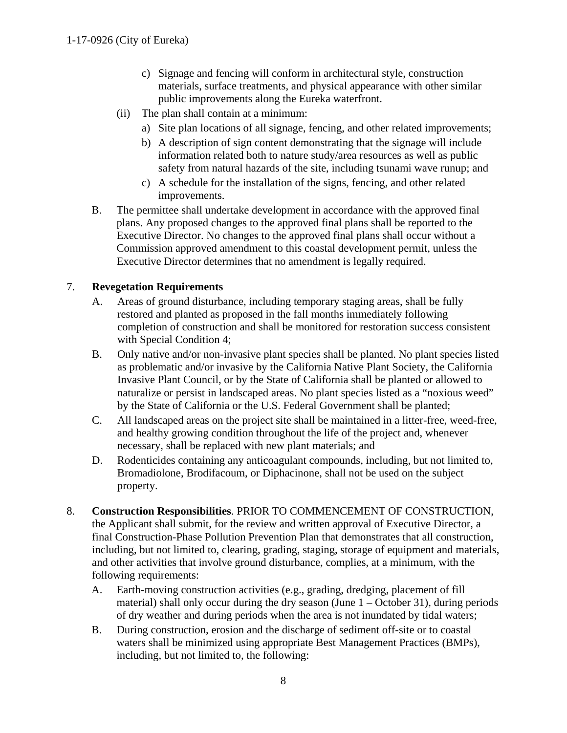- c) Signage and fencing will conform in architectural style, construction materials, surface treatments, and physical appearance with other similar public improvements along the Eureka waterfront.
- (ii) The plan shall contain at a minimum:
	- a) Site plan locations of all signage, fencing, and other related improvements;
	- b) A description of sign content demonstrating that the signage will include information related both to nature study/area resources as well as public safety from natural hazards of the site, including tsunami wave runup; and
	- c) A schedule for the installation of the signs, fencing, and other related improvements.
- B. The permittee shall undertake development in accordance with the approved final plans. Any proposed changes to the approved final plans shall be reported to the Executive Director. No changes to the approved final plans shall occur without a Commission approved amendment to this coastal development permit, unless the Executive Director determines that no amendment is legally required.

# 7. **Revegetation Requirements**

- A. Areas of ground disturbance, including temporary staging areas, shall be fully restored and planted as proposed in the fall months immediately following completion of construction and shall be monitored for restoration success consistent with Special Condition 4;
- B. Only native and/or non-invasive plant species shall be planted. No plant species listed as problematic and/or invasive by the California Native Plant Society, the California Invasive Plant Council, or by the State of California shall be planted or allowed to naturalize or persist in landscaped areas. No plant species listed as a "noxious weed" by the State of California or the U.S. Federal Government shall be planted;
- C. All landscaped areas on the project site shall be maintained in a litter-free, weed-free, and healthy growing condition throughout the life of the project and, whenever necessary, shall be replaced with new plant materials; and
- D. Rodenticides containing any anticoagulant compounds, including, but not limited to, Bromadiolone, Brodifacoum, or Diphacinone, shall not be used on the subject property.
- 8. **Construction Responsibilities**. PRIOR TO COMMENCEMENT OF CONSTRUCTION, the Applicant shall submit, for the review and written approval of Executive Director, a final Construction-Phase Pollution Prevention Plan that demonstrates that all construction, including, but not limited to, clearing, grading, staging, storage of equipment and materials, and other activities that involve ground disturbance, complies, at a minimum, with the following requirements:
	- A. Earth-moving construction activities (e.g., grading, dredging, placement of fill material) shall only occur during the dry season (June  $1 -$ October 31), during periods of dry weather and during periods when the area is not inundated by tidal waters;
	- B. During construction, erosion and the discharge of sediment off-site or to coastal waters shall be minimized using appropriate Best Management Practices (BMPs), including, but not limited to, the following: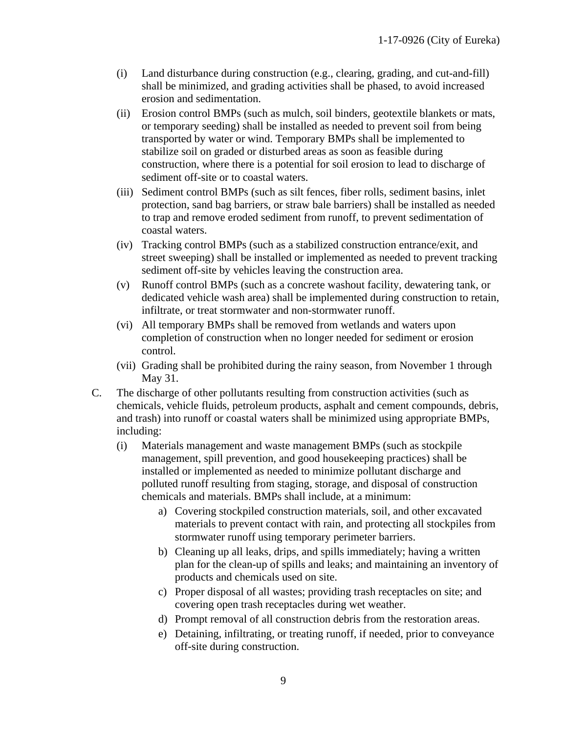- (i) Land disturbance during construction (e.g., clearing, grading, and cut-and-fill) shall be minimized, and grading activities shall be phased, to avoid increased erosion and sedimentation.
- (ii) Erosion control BMPs (such as mulch, soil binders, geotextile blankets or mats, or temporary seeding) shall be installed as needed to prevent soil from being transported by water or wind. Temporary BMPs shall be implemented to stabilize soil on graded or disturbed areas as soon as feasible during construction, where there is a potential for soil erosion to lead to discharge of sediment off-site or to coastal waters.
- (iii) Sediment control BMPs (such as silt fences, fiber rolls, sediment basins, inlet protection, sand bag barriers, or straw bale barriers) shall be installed as needed to trap and remove eroded sediment from runoff, to prevent sedimentation of coastal waters.
- (iv) Tracking control BMPs (such as a stabilized construction entrance/exit, and street sweeping) shall be installed or implemented as needed to prevent tracking sediment off-site by vehicles leaving the construction area.
- (v) Runoff control BMPs (such as a concrete washout facility, dewatering tank, or dedicated vehicle wash area) shall be implemented during construction to retain, infiltrate, or treat stormwater and non-stormwater runoff.
- (vi) All temporary BMPs shall be removed from wetlands and waters upon completion of construction when no longer needed for sediment or erosion control.
- (vii) Grading shall be prohibited during the rainy season, from November 1 through May 31.
- C. The discharge of other pollutants resulting from construction activities (such as chemicals, vehicle fluids, petroleum products, asphalt and cement compounds, debris, and trash) into runoff or coastal waters shall be minimized using appropriate BMPs, including:
	- (i) Materials management and waste management BMPs (such as stockpile management, spill prevention, and good housekeeping practices) shall be installed or implemented as needed to minimize pollutant discharge and polluted runoff resulting from staging, storage, and disposal of construction chemicals and materials. BMPs shall include, at a minimum:
		- a) Covering stockpiled construction materials, soil, and other excavated materials to prevent contact with rain, and protecting all stockpiles from stormwater runoff using temporary perimeter barriers.
		- b) Cleaning up all leaks, drips, and spills immediately; having a written plan for the clean-up of spills and leaks; and maintaining an inventory of products and chemicals used on site.
		- c) Proper disposal of all wastes; providing trash receptacles on site; and covering open trash receptacles during wet weather.
		- d) Prompt removal of all construction debris from the restoration areas.
		- e) Detaining, infiltrating, or treating runoff, if needed, prior to conveyance off-site during construction.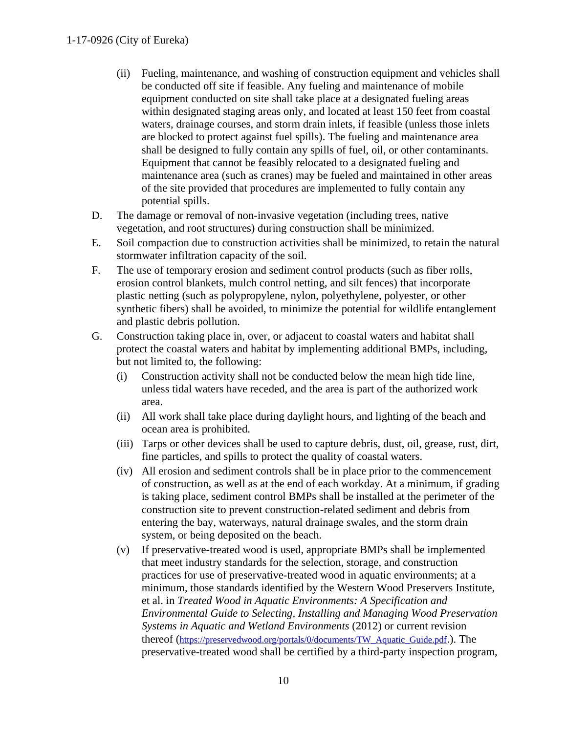- (ii) Fueling, maintenance, and washing of construction equipment and vehicles shall be conducted off site if feasible. Any fueling and maintenance of mobile equipment conducted on site shall take place at a designated fueling areas within designated staging areas only, and located at least 150 feet from coastal waters, drainage courses, and storm drain inlets, if feasible (unless those inlets are blocked to protect against fuel spills). The fueling and maintenance area shall be designed to fully contain any spills of fuel, oil, or other contaminants. Equipment that cannot be feasibly relocated to a designated fueling and maintenance area (such as cranes) may be fueled and maintained in other areas of the site provided that procedures are implemented to fully contain any potential spills.
- D. The damage or removal of non-invasive vegetation (including trees, native vegetation, and root structures) during construction shall be minimized.
- E. Soil compaction due to construction activities shall be minimized, to retain the natural stormwater infiltration capacity of the soil.
- F. The use of temporary erosion and sediment control products (such as fiber rolls, erosion control blankets, mulch control netting, and silt fences) that incorporate plastic netting (such as polypropylene, nylon, polyethylene, polyester, or other synthetic fibers) shall be avoided, to minimize the potential for wildlife entanglement and plastic debris pollution.
- G. Construction taking place in, over, or adjacent to coastal waters and habitat shall protect the coastal waters and habitat by implementing additional BMPs, including, but not limited to, the following:
	- (i) Construction activity shall not be conducted below the mean high tide line, unless tidal waters have receded, and the area is part of the authorized work area.
	- (ii) All work shall take place during daylight hours, and lighting of the beach and ocean area is prohibited.
	- (iii) Tarps or other devices shall be used to capture debris, dust, oil, grease, rust, dirt, fine particles, and spills to protect the quality of coastal waters.
	- (iv) All erosion and sediment controls shall be in place prior to the commencement of construction, as well as at the end of each workday. At a minimum, if grading is taking place, sediment control BMPs shall be installed at the perimeter of the construction site to prevent construction-related sediment and debris from entering the bay, waterways, natural drainage swales, and the storm drain system, or being deposited on the beach.
	- (v) If preservative-treated wood is used, appropriate BMPs shall be implemented that meet industry standards for the selection, storage, and construction practices for use of preservative-treated wood in aquatic environments; at a minimum, those standards identified by the Western Wood Preservers Institute, et al. in *Treated Wood in Aquatic Environments: A Specification and Environmental Guide to Selecting, Installing and Managing Wood Preservation Systems in Aquatic and Wetland Environments* (2012) or current revision thereof (https://preservedwood.org/portals/0/documents/TW\_Aquatic\_Guide.pdf.). The preservative-treated wood shall be certified by a third-party inspection program,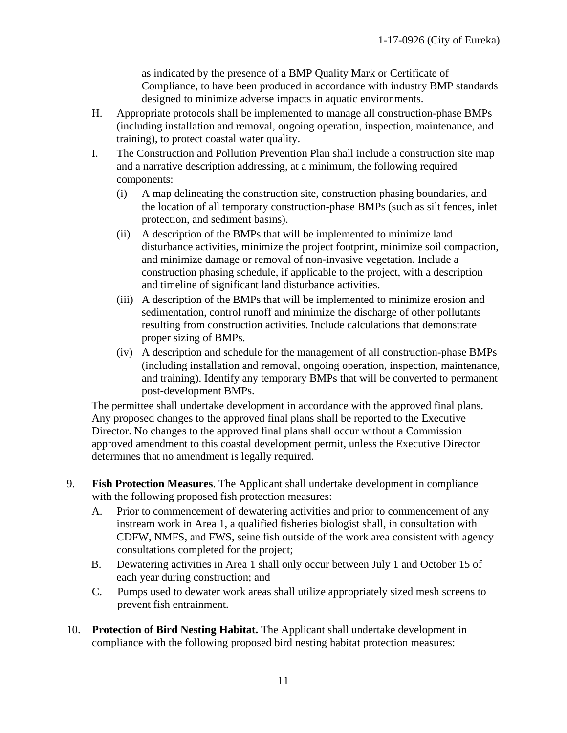as indicated by the presence of a BMP Quality Mark or Certificate of Compliance, to have been produced in accordance with industry BMP standards designed to minimize adverse impacts in aquatic environments.

- H. Appropriate protocols shall be implemented to manage all construction-phase BMPs (including installation and removal, ongoing operation, inspection, maintenance, and training), to protect coastal water quality.
- I. The Construction and Pollution Prevention Plan shall include a construction site map and a narrative description addressing, at a minimum, the following required components:
	- (i) A map delineating the construction site, construction phasing boundaries, and the location of all temporary construction-phase BMPs (such as silt fences, inlet protection, and sediment basins).
	- (ii) A description of the BMPs that will be implemented to minimize land disturbance activities, minimize the project footprint, minimize soil compaction, and minimize damage or removal of non-invasive vegetation. Include a construction phasing schedule, if applicable to the project, with a description and timeline of significant land disturbance activities.
	- (iii) A description of the BMPs that will be implemented to minimize erosion and sedimentation, control runoff and minimize the discharge of other pollutants resulting from construction activities. Include calculations that demonstrate proper sizing of BMPs.
	- (iv) A description and schedule for the management of all construction-phase BMPs (including installation and removal, ongoing operation, inspection, maintenance, and training). Identify any temporary BMPs that will be converted to permanent post-development BMPs.

The permittee shall undertake development in accordance with the approved final plans. Any proposed changes to the approved final plans shall be reported to the Executive Director. No changes to the approved final plans shall occur without a Commission approved amendment to this coastal development permit, unless the Executive Director determines that no amendment is legally required.

- 9. **Fish Protection Measures**. The Applicant shall undertake development in compliance with the following proposed fish protection measures:
	- A. Prior to commencement of dewatering activities and prior to commencement of any instream work in Area 1, a qualified fisheries biologist shall, in consultation with CDFW, NMFS, and FWS, seine fish outside of the work area consistent with agency consultations completed for the project;
	- B. Dewatering activities in Area 1 shall only occur between July 1 and October 15 of each year during construction; and
	- C. Pumps used to dewater work areas shall utilize appropriately sized mesh screens to prevent fish entrainment.
- 10. **Protection of Bird Nesting Habitat.** The Applicant shall undertake development in compliance with the following proposed bird nesting habitat protection measures: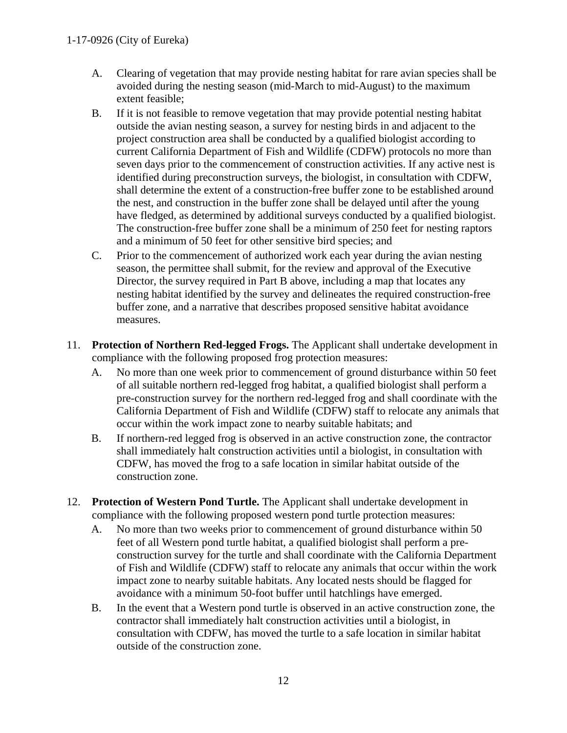- A. Clearing of vegetation that may provide nesting habitat for rare avian species shall be avoided during the nesting season (mid-March to mid-August) to the maximum extent feasible;
- B. If it is not feasible to remove vegetation that may provide potential nesting habitat outside the avian nesting season, a survey for nesting birds in and adjacent to the project construction area shall be conducted by a qualified biologist according to current California Department of Fish and Wildlife (CDFW) protocols no more than seven days prior to the commencement of construction activities. If any active nest is identified during preconstruction surveys, the biologist, in consultation with CDFW, shall determine the extent of a construction-free buffer zone to be established around the nest, and construction in the buffer zone shall be delayed until after the young have fledged, as determined by additional surveys conducted by a qualified biologist. The construction-free buffer zone shall be a minimum of 250 feet for nesting raptors and a minimum of 50 feet for other sensitive bird species; and
- C. Prior to the commencement of authorized work each year during the avian nesting season, the permittee shall submit, for the review and approval of the Executive Director, the survey required in Part B above, including a map that locates any nesting habitat identified by the survey and delineates the required construction-free buffer zone, and a narrative that describes proposed sensitive habitat avoidance measures.
- 11. **Protection of Northern Red-legged Frogs.** The Applicant shall undertake development in compliance with the following proposed frog protection measures:
	- A. No more than one week prior to commencement of ground disturbance within 50 feet of all suitable northern red-legged frog habitat, a qualified biologist shall perform a pre-construction survey for the northern red-legged frog and shall coordinate with the California Department of Fish and Wildlife (CDFW) staff to relocate any animals that occur within the work impact zone to nearby suitable habitats; and
	- B. If northern-red legged frog is observed in an active construction zone, the contractor shall immediately halt construction activities until a biologist, in consultation with CDFW, has moved the frog to a safe location in similar habitat outside of the construction zone.
- 12. **Protection of Western Pond Turtle.** The Applicant shall undertake development in compliance with the following proposed western pond turtle protection measures:
	- A. No more than two weeks prior to commencement of ground disturbance within 50 feet of all Western pond turtle habitat, a qualified biologist shall perform a preconstruction survey for the turtle and shall coordinate with the California Department of Fish and Wildlife (CDFW) staff to relocate any animals that occur within the work impact zone to nearby suitable habitats. Any located nests should be flagged for avoidance with a minimum 50-foot buffer until hatchlings have emerged.
	- B. In the event that a Western pond turtle is observed in an active construction zone, the contractor shall immediately halt construction activities until a biologist, in consultation with CDFW, has moved the turtle to a safe location in similar habitat outside of the construction zone.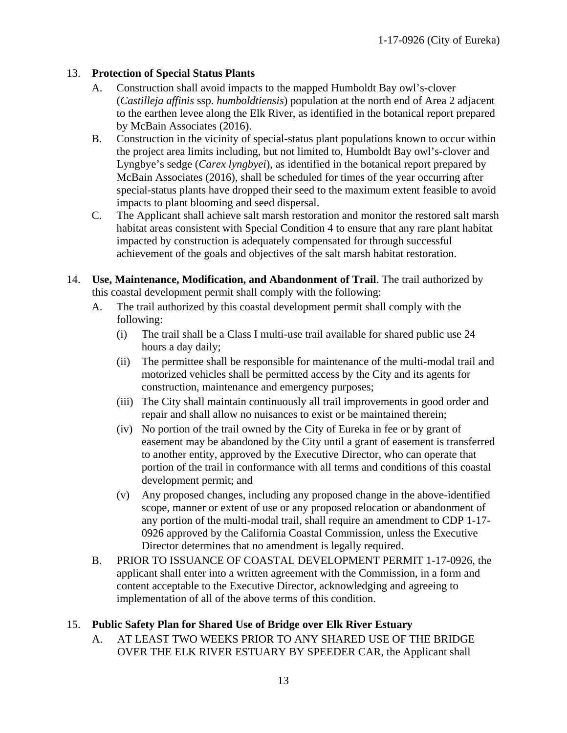## 13. **Protection of Special Status Plants**

- A. Construction shall avoid impacts to the mapped Humboldt Bay owl's-clover (*Castilleja affinis* ssp. *humboldtiensis*) population at the north end of Area 2 adjacent to the earthen levee along the Elk River, as identified in the botanical report prepared by McBain Associates (2016).
- B. Construction in the vicinity of special-status plant populations known to occur within the project area limits including, but not limited to, Humboldt Bay owl's-clover and Lyngbye's sedge (*Carex lyngbyei*), as identified in the botanical report prepared by McBain Associates (2016), shall be scheduled for times of the year occurring after special-status plants have dropped their seed to the maximum extent feasible to avoid impacts to plant blooming and seed dispersal.
- C. The Applicant shall achieve salt marsh restoration and monitor the restored salt marsh habitat areas consistent with Special Condition 4 to ensure that any rare plant habitat impacted by construction is adequately compensated for through successful achievement of the goals and objectives of the salt marsh habitat restoration.
- 14. **Use, Maintenance, Modification, and Abandonment of Trail**. The trail authorized by this coastal development permit shall comply with the following:
	- A. The trail authorized by this coastal development permit shall comply with the following:
		- (i) The trail shall be a Class I multi-use trail available for shared public use 24 hours a day daily;
		- (ii) The permittee shall be responsible for maintenance of the multi-modal trail and motorized vehicles shall be permitted access by the City and its agents for construction, maintenance and emergency purposes;
		- (iii) The City shall maintain continuously all trail improvements in good order and repair and shall allow no nuisances to exist or be maintained therein;
		- (iv) No portion of the trail owned by the City of Eureka in fee or by grant of easement may be abandoned by the City until a grant of easement is transferred to another entity, approved by the Executive Director, who can operate that portion of the trail in conformance with all terms and conditions of this coastal development permit; and
		- (v) Any proposed changes, including any proposed change in the above-identified scope, manner or extent of use or any proposed relocation or abandonment of any portion of the multi-modal trail, shall require an amendment to CDP 1-17- 0926 approved by the California Coastal Commission, unless the Executive Director determines that no amendment is legally required.
	- B. PRIOR TO ISSUANCE OF COASTAL DEVELOPMENT PERMIT 1-17-0926, the applicant shall enter into a written agreement with the Commission, in a form and content acceptable to the Executive Director, acknowledging and agreeing to implementation of all of the above terms of this condition.

## 15. **Public Safety Plan for Shared Use of Bridge over Elk River Estuary**

A. AT LEAST TWO WEEKS PRIOR TO ANY SHARED USE OF THE BRIDGE OVER THE ELK RIVER ESTUARY BY SPEEDER CAR, the Applicant shall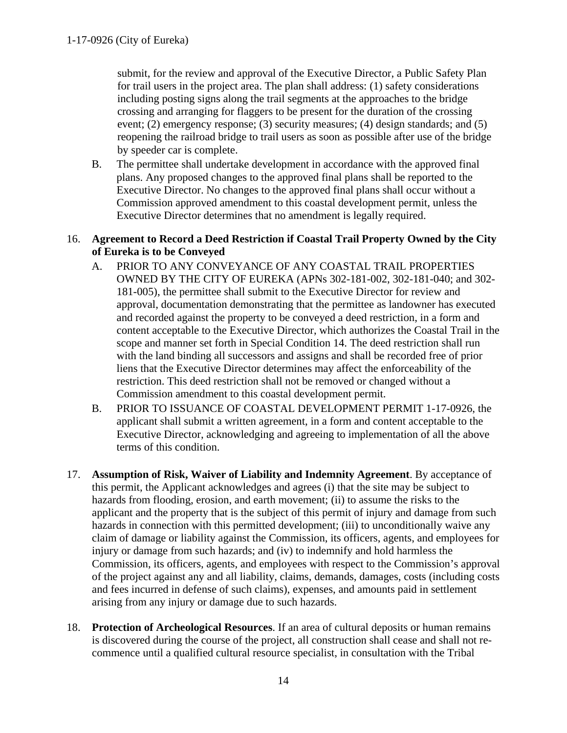submit, for the review and approval of the Executive Director, a Public Safety Plan for trail users in the project area. The plan shall address: (1) safety considerations including posting signs along the trail segments at the approaches to the bridge crossing and arranging for flaggers to be present for the duration of the crossing event; (2) emergency response; (3) security measures; (4) design standards; and (5) reopening the railroad bridge to trail users as soon as possible after use of the bridge by speeder car is complete.

B. The permittee shall undertake development in accordance with the approved final plans. Any proposed changes to the approved final plans shall be reported to the Executive Director. No changes to the approved final plans shall occur without a Commission approved amendment to this coastal development permit, unless the Executive Director determines that no amendment is legally required.

### 16. **Agreement to Record a Deed Restriction if Coastal Trail Property Owned by the City of Eureka is to be Conveyed**

- A. PRIOR TO ANY CONVEYANCE OF ANY COASTAL TRAIL PROPERTIES OWNED BY THE CITY OF EUREKA (APNs 302-181-002, 302-181-040; and 302- 181-005), the permittee shall submit to the Executive Director for review and approval, documentation demonstrating that the permittee as landowner has executed and recorded against the property to be conveyed a deed restriction, in a form and content acceptable to the Executive Director, which authorizes the Coastal Trail in the scope and manner set forth in Special Condition 14. The deed restriction shall run with the land binding all successors and assigns and shall be recorded free of prior liens that the Executive Director determines may affect the enforceability of the restriction. This deed restriction shall not be removed or changed without a Commission amendment to this coastal development permit.
- B. PRIOR TO ISSUANCE OF COASTAL DEVELOPMENT PERMIT 1-17-0926, the applicant shall submit a written agreement, in a form and content acceptable to the Executive Director, acknowledging and agreeing to implementation of all the above terms of this condition.
- 17. **Assumption of Risk, Waiver of Liability and Indemnity Agreement**. By acceptance of this permit, the Applicant acknowledges and agrees (i) that the site may be subject to hazards from flooding, erosion, and earth movement; (ii) to assume the risks to the applicant and the property that is the subject of this permit of injury and damage from such hazards in connection with this permitted development; (iii) to unconditionally waive any claim of damage or liability against the Commission, its officers, agents, and employees for injury or damage from such hazards; and (iv) to indemnify and hold harmless the Commission, its officers, agents, and employees with respect to the Commission's approval of the project against any and all liability, claims, demands, damages, costs (including costs and fees incurred in defense of such claims), expenses, and amounts paid in settlement arising from any injury or damage due to such hazards.
- 18. **Protection of Archeological Resources**. If an area of cultural deposits or human remains is discovered during the course of the project, all construction shall cease and shall not recommence until a qualified cultural resource specialist, in consultation with the Tribal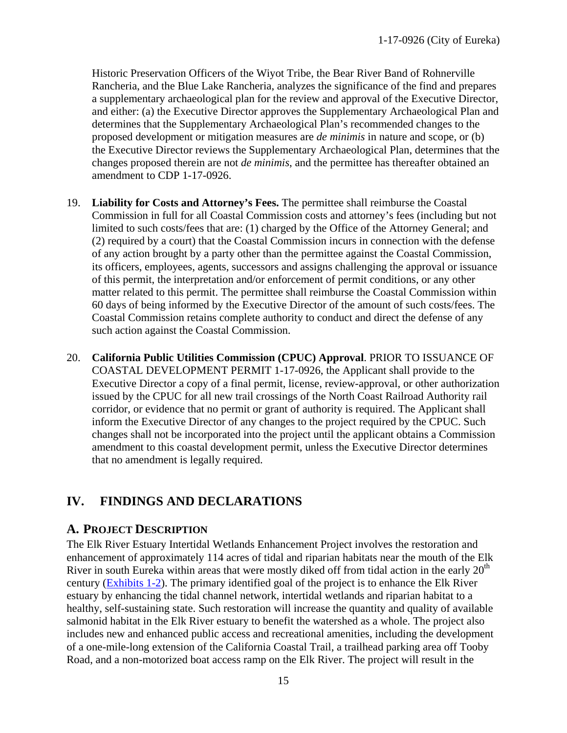Historic Preservation Officers of the Wiyot Tribe, the Bear River Band of Rohnerville Rancheria, and the Blue Lake Rancheria, analyzes the significance of the find and prepares a supplementary archaeological plan for the review and approval of the Executive Director, and either: (a) the Executive Director approves the Supplementary Archaeological Plan and determines that the Supplementary Archaeological Plan's recommended changes to the proposed development or mitigation measures are *de minimis* in nature and scope, or (b) the Executive Director reviews the Supplementary Archaeological Plan, determines that the changes proposed therein are not *de minimis*, and the permittee has thereafter obtained an amendment to CDP 1-17-0926.

- 19. **Liability for Costs and Attorney's Fees.** The permittee shall reimburse the Coastal Commission in full for all Coastal Commission costs and attorney's fees (including but not limited to such costs/fees that are: (1) charged by the Office of the Attorney General; and (2) required by a court) that the Coastal Commission incurs in connection with the defense of any action brought by a party other than the permittee against the Coastal Commission, its officers, employees, agents, successors and assigns challenging the approval or issuance of this permit, the interpretation and/or enforcement of permit conditions, or any other matter related to this permit. The permittee shall reimburse the Coastal Commission within 60 days of being informed by the Executive Director of the amount of such costs/fees. The Coastal Commission retains complete authority to conduct and direct the defense of any such action against the Coastal Commission.
- 20. **California Public Utilities Commission (CPUC) Approval**. PRIOR TO ISSUANCE OF COASTAL DEVELOPMENT PERMIT 1-17-0926, the Applicant shall provide to the Executive Director a copy of a final permit, license, review-approval, or other authorization issued by the CPUC for all new trail crossings of the North Coast Railroad Authority rail corridor, or evidence that no permit or grant of authority is required. The Applicant shall inform the Executive Director of any changes to the project required by the CPUC. Such changes shall not be incorporated into the project until the applicant obtains a Commission amendment to this coastal development permit, unless the Executive Director determines that no amendment is legally required.

# <span id="page-14-0"></span>**IV. FINDINGS AND DECLARATIONS**

## <span id="page-14-1"></span>**A. PROJECT DESCRIPTION**

The Elk River Estuary Intertidal Wetlands Enhancement Project involves the restoration and enhancement of approximately 114 acres of tidal and riparian habitats near the mouth of the Elk River in south Eureka within areas that were mostly diked off from tidal action in the early  $20<sup>th</sup>$ century [\(Exhibits 1-2\)](https://documents.coastal.ca.gov/reports/2018/12/th9a/th9a-12-2018-exhibits.pdf). The primary identified goal of the project is to enhance the Elk River estuary by enhancing the tidal channel network, intertidal wetlands and riparian habitat to a healthy, self-sustaining state. Such restoration will increase the quantity and quality of available salmonid habitat in the Elk River estuary to benefit the watershed as a whole. The project also includes new and enhanced public access and recreational amenities, including the development of a one-mile-long extension of the California Coastal Trail, a trailhead parking area off Tooby Road, and a non-motorized boat access ramp on the Elk River. The project will result in the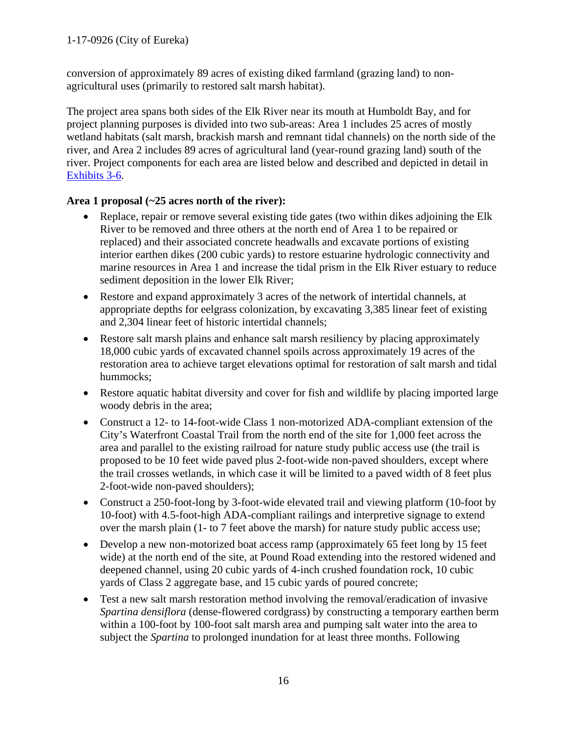conversion of approximately 89 acres of existing diked farmland (grazing land) to nonagricultural uses (primarily to restored salt marsh habitat).

The project area spans both sides of the Elk River near its mouth at Humboldt Bay, and for project planning purposes is divided into two sub-areas: Area 1 includes 25 acres of mostly wetland habitats (salt marsh, brackish marsh and remnant tidal channels) on the north side of the river, and Area 2 includes 89 acres of agricultural land (year-round grazing land) south of the river. Project components for each area are listed below and described and depicted in detail in [Exhibits 3-6.](https://documents.coastal.ca.gov/reports/2018/12/th9a/th9a-12-2018-exhibits.pdf)

# **Area 1 proposal (~25 acres north of the river):**

- Replace, repair or remove several existing tide gates (two within dikes adjoining the Elk River to be removed and three others at the north end of Area 1 to be repaired or replaced) and their associated concrete headwalls and excavate portions of existing interior earthen dikes (200 cubic yards) to restore estuarine hydrologic connectivity and marine resources in Area 1 and increase the tidal prism in the Elk River estuary to reduce sediment deposition in the lower Elk River;
- Restore and expand approximately 3 acres of the network of intertidal channels, at appropriate depths for eelgrass colonization, by excavating 3,385 linear feet of existing and 2,304 linear feet of historic intertidal channels;
- Restore salt marsh plains and enhance salt marsh resiliency by placing approximately 18,000 cubic yards of excavated channel spoils across approximately 19 acres of the restoration area to achieve target elevations optimal for restoration of salt marsh and tidal hummocks;
- Restore aquatic habitat diversity and cover for fish and wildlife by placing imported large woody debris in the area;
- Construct a 12- to 14-foot-wide Class 1 non-motorized ADA-compliant extension of the City's Waterfront Coastal Trail from the north end of the site for 1,000 feet across the area and parallel to the existing railroad for nature study public access use (the trail is proposed to be 10 feet wide paved plus 2-foot-wide non-paved shoulders, except where the trail crosses wetlands, in which case it will be limited to a paved width of 8 feet plus 2-foot-wide non-paved shoulders);
- Construct a 250-foot-long by 3-foot-wide elevated trail and viewing platform (10-foot by 10-foot) with 4.5-foot-high ADA-compliant railings and interpretive signage to extend over the marsh plain (1- to 7 feet above the marsh) for nature study public access use;
- Develop a new non-motorized boat access ramp (approximately 65 feet long by 15 feet wide) at the north end of the site, at Pound Road extending into the restored widened and deepened channel, using 20 cubic yards of 4-inch crushed foundation rock, 10 cubic yards of Class 2 aggregate base, and 15 cubic yards of poured concrete;
- Test a new salt marsh restoration method involving the removal/eradication of invasive *Spartina densiflora* (dense-flowered cordgrass) by constructing a temporary earthen berm within a 100-foot by 100-foot salt marsh area and pumping salt water into the area to subject the *Spartina* to prolonged inundation for at least three months. Following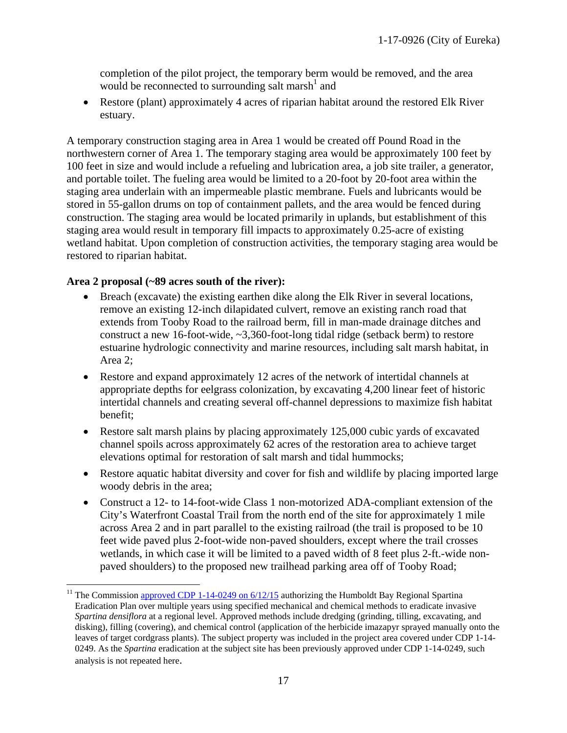completion of the pilot project, the temporary berm would be removed, and the area would be reconnected to surrounding salt marsh<sup>1</sup> and

• Restore (plant) approximately 4 acres of riparian habitat around the restored Elk River estuary.

A temporary construction staging area in Area 1 would be created off Pound Road in the northwestern corner of Area 1. The temporary staging area would be approximately 100 feet by 100 feet in size and would include a refueling and lubrication area, a job site trailer, a generator, and portable toilet. The fueling area would be limited to a 20-foot by 20-foot area within the staging area underlain with an impermeable plastic membrane. Fuels and lubricants would be stored in 55-gallon drums on top of containment pallets, and the area would be fenced during construction. The staging area would be located primarily in uplands, but establishment of this staging area would result in temporary fill impacts to approximately 0.25-acre of existing wetland habitat. Upon completion of construction activities, the temporary staging area would be restored to riparian habitat.

### **Area 2 proposal (~89 acres south of the river):**

- Breach (excavate) the existing earthen dike along the Elk River in several locations, remove an existing 12-inch dilapidated culvert, remove an existing ranch road that extends from Tooby Road to the railroad berm, fill in man-made drainage ditches and construct a new 16-foot-wide, ~3,360-foot-long tidal ridge (setback berm) to restore estuarine hydrologic connectivity and marine resources, including salt marsh habitat, in Area 2;
- Restore and expand approximately 12 acres of the network of intertidal channels at appropriate depths for eelgrass colonization, by excavating 4,200 linear feet of historic intertidal channels and creating several off-channel depressions to maximize fish habitat benefit;
- Restore salt marsh plains by placing approximately 125,000 cubic yards of excavated channel spoils across approximately 62 acres of the restoration area to achieve target elevations optimal for restoration of salt marsh and tidal hummocks;
- Restore aquatic habitat diversity and cover for fish and wildlife by placing imported large woody debris in the area;
- Construct a 12- to 14-foot-wide Class 1 non-motorized ADA-compliant extension of the City's Waterfront Coastal Trail from the north end of the site for approximately 1 mile across Area 2 and in part parallel to the existing railroad (the trail is proposed to be 10 feet wide paved plus 2-foot-wide non-paved shoulders, except where the trail crosses wetlands, in which case it will be limited to a paved width of 8 feet plus 2-ft.-wide nonpaved shoulders) to the proposed new trailhead parking area off of Tooby Road;

<sup>&</sup>lt;sup>11</sup> The Commission approved CDP 1-14-0249 on  $6/12/15$  authorizing the Humboldt Bay Regional Spartina Eradication Plan over multiple years using specified mechanical and chemical methods to eradicate invasive *Spartina densiflora* at a regional level. Approved methods include dredging (grinding, tilling, excavating, and disking), filling (covering), and chemical control (application of the herbicide imazapyr sprayed manually onto the leaves of target cordgrass plants). The subject property was included in the project area covered under CDP 1-14- 0249. As the *Spartina* eradication at the subject site has been previously approved under CDP 1-14-0249, such analysis is not repeated here.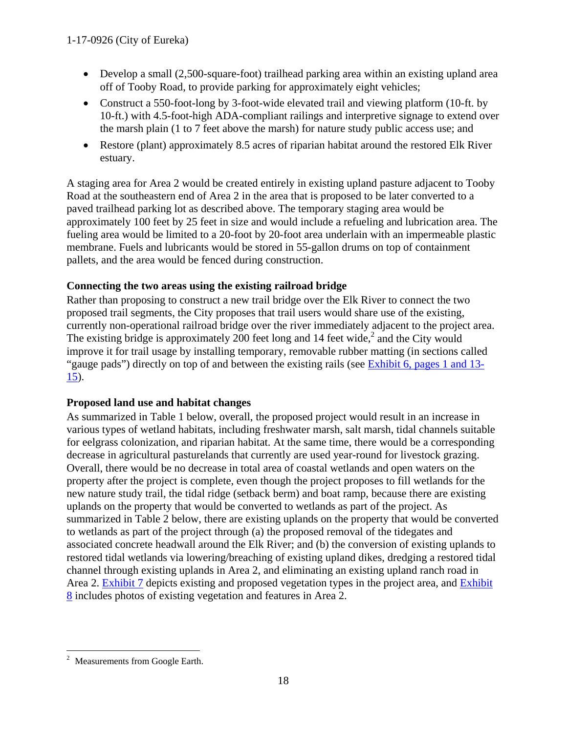- Develop a small (2,500-square-foot) trailhead parking area within an existing upland area off of Tooby Road, to provide parking for approximately eight vehicles;
- Construct a 550-foot-long by 3-foot-wide elevated trail and viewing platform (10-ft. by 10-ft.) with 4.5-foot-high ADA-compliant railings and interpretive signage to extend over the marsh plain (1 to 7 feet above the marsh) for nature study public access use; and
- Restore (plant) approximately 8.5 acres of riparian habitat around the restored Elk River estuary.

A staging area for Area 2 would be created entirely in existing upland pasture adjacent to Tooby Road at the southeastern end of Area 2 in the area that is proposed to be later converted to a paved trailhead parking lot as described above. The temporary staging area would be approximately 100 feet by 25 feet in size and would include a refueling and lubrication area. The fueling area would be limited to a 20-foot by 20-foot area underlain with an impermeable plastic membrane. Fuels and lubricants would be stored in 55-gallon drums on top of containment pallets, and the area would be fenced during construction.

# **Connecting the two areas using the existing railroad bridge**

Rather than proposing to construct a new trail bridge over the Elk River to connect the two proposed trail segments, the City proposes that trail users would share use of the existing, currently non-operational railroad bridge over the river immediately adjacent to the project area. The existing bridge is approximately 200 feet long and 14 feet wide,<sup>2</sup> and the City would improve it for trail usage by installing temporary, removable rubber matting (in sections called "gauge pads") directly on top of and between the existing rails (see [Exhibit 6, pages 1 and 13-](https://documents.coastal.ca.gov/reports/2018/12/th9a/th9a-12-2018-exhibits.pdf)  $15$ ).

# **Proposed land use and habitat changes**

As summarized in Table 1 below, overall, the proposed project would result in an increase in various types of wetland habitats, including freshwater marsh, salt marsh, tidal channels suitable for eelgrass colonization, and riparian habitat. At the same time, there would be a corresponding decrease in agricultural pasturelands that currently are used year-round for livestock grazing. Overall, there would be no decrease in total area of coastal wetlands and open waters on the property after the project is complete, even though the project proposes to fill wetlands for the new nature study trail, the tidal ridge (setback berm) and boat ramp, because there are existing uplands on the property that would be converted to wetlands as part of the project. As summarized in Table 2 below, there are existing uplands on the property that would be converted to wetlands as part of the project through (a) the proposed removal of the tidegates and associated concrete headwall around the Elk River; and (b) the conversion of existing uplands to restored tidal wetlands via lowering/breaching of existing upland dikes, dredging a restored tidal channel through existing uplands in Area 2, and eliminating an existing upland ranch road in Area 2. [Exhibit 7](https://documents.coastal.ca.gov/reports/2018/12/th9a/th9a-12-2018-exhibits.pdf) depicts existing and proposed vegetation types in the project area, and [Exhibit](https://documents.coastal.ca.gov/reports/2018/12/th9a/th9a-12-2018-exhibits.pdf)  [8](https://documents.coastal.ca.gov/reports/2018/12/th9a/th9a-12-2018-exhibits.pdf) includes photos of existing vegetation and features in Area 2.

Measurements from Google Earth.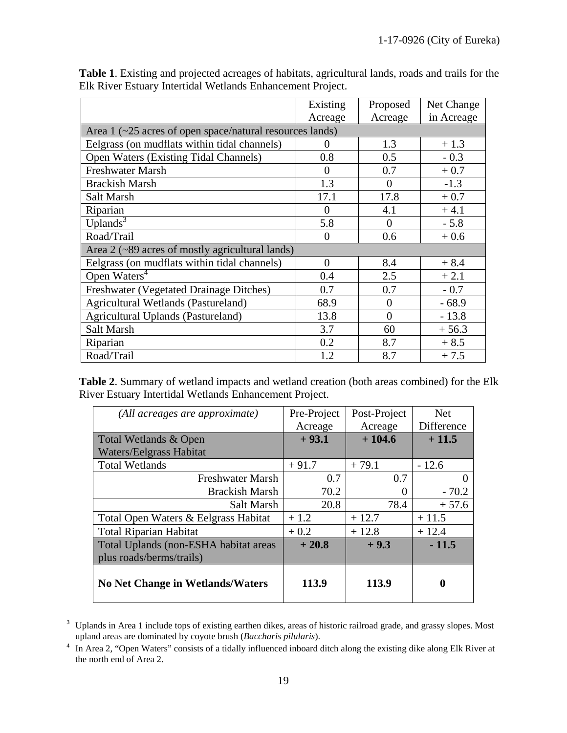|                                                                   | Existing       | Proposed | Net Change |  |  |
|-------------------------------------------------------------------|----------------|----------|------------|--|--|
|                                                                   | Acreage        | Acreage  | in Acreage |  |  |
| Area $1$ ( $\sim$ 25 acres of open space/natural resources lands) |                |          |            |  |  |
| Eelgrass (on mudflats within tidal channels)                      | $\theta$       | 1.3      | $+1.3$     |  |  |
| <b>Open Waters (Existing Tidal Channels)</b>                      | 0.8            | 0.5      | $-0.3$     |  |  |
| <b>Freshwater Marsh</b>                                           | $\Omega$       | 0.7      | $+0.7$     |  |  |
| <b>Brackish Marsh</b>                                             | 1.3            | $\Omega$ | $-1.3$     |  |  |
| Salt Marsh                                                        | 17.1           | 17.8     | $+0.7$     |  |  |
| Riparian                                                          | $\overline{0}$ | 4.1      | $+4.1$     |  |  |
| Uplands $3$                                                       | 5.8            | $\Omega$ | $-5.8$     |  |  |
| Road/Trail                                                        | $\Omega$       | 0.6      | $+0.6$     |  |  |
| Area $2$ ( $\sim$ 89 acres of mostly agricultural lands)          |                |          |            |  |  |
| Eelgrass (on mudflats within tidal channels)                      | $\overline{0}$ | 8.4      | $+8.4$     |  |  |
| Open Waters <sup>4</sup>                                          | 0.4            | 2.5      | $+2.1$     |  |  |
| Freshwater (Vegetated Drainage Ditches)                           | 0.7            | 0.7      | $-0.7$     |  |  |
| Agricultural Wetlands (Pastureland)                               | 68.9           | $\theta$ | $-68.9$    |  |  |
| <b>Agricultural Uplands (Pastureland)</b>                         | 13.8           | $\theta$ | $-13.8$    |  |  |
| Salt Marsh                                                        | 3.7            | 60       | $+56.3$    |  |  |
| Riparian                                                          | 0.2            | 8.7      | $+8.5$     |  |  |
| Road/Trail                                                        | 1.2            | 8.7      | $+7.5$     |  |  |

**Table 1**. Existing and projected acreages of habitats, agricultural lands, roads and trails for the Elk River Estuary Intertidal Wetlands Enhancement Project.

**Table 2**. Summary of wetland impacts and wetland creation (both areas combined) for the Elk River Estuary Intertidal Wetlands Enhancement Project.

| (All acreages are approximate)          | Pre-Project | Post-Project | <b>Net</b> |
|-----------------------------------------|-------------|--------------|------------|
|                                         | Acreage     | Acreage      | Difference |
| Total Wetlands & Open                   | $+93.1$     | $+104.6$     | $+11.5$    |
| <b>Waters/Eelgrass Habitat</b>          |             |              |            |
| <b>Total Wetlands</b>                   | $+91.7$     | $+79.1$      | $-12.6$    |
| <b>Freshwater Marsh</b>                 | 0.7         | 0.7          |            |
| <b>Brackish Marsh</b>                   | 70.2        | 0            | $-70.2$    |
| Salt Marsh                              | 20.8        | 78.4         | $+57.6$    |
| Total Open Waters & Eelgrass Habitat    | $+1.2$      | $+12.7$      | $+11.5$    |
| <b>Total Riparian Habitat</b>           | $+0.2$      | $+12.8$      | $+12.4$    |
| Total Uplands (non-ESHA habitat areas   | $+20.8$     | $+9.3$       | $-11.5$    |
| plus roads/berms/trails)                |             |              |            |
| <b>No Net Change in Wetlands/Waters</b> | 113.9       | 113.9        | 0          |

<sup>&</sup>lt;sup>3</sup> Uplands in Area 1 include tops of existing earthen dikes, areas of historic railroad grade, and grassy slopes. Most upland areas are dominated by coyote brush (*Baccharis pilularis*).

<sup>&</sup>lt;sup>4</sup> In Area 2, "Open Waters" consists of a tidally influenced inboard ditch along the existing dike along Elk River at the north end of Area 2.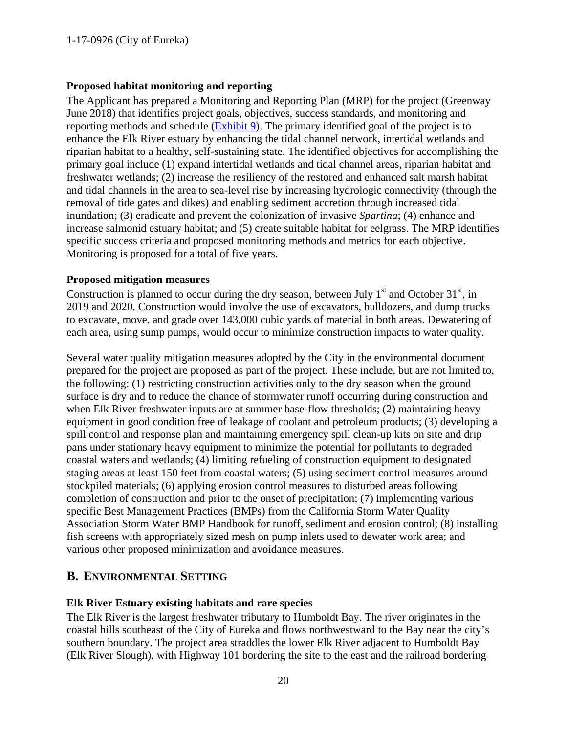## **Proposed habitat monitoring and reporting**

The Applicant has prepared a Monitoring and Reporting Plan (MRP) for the project (Greenway June 2018) that identifies project goals, objectives, success standards, and monitoring and reporting methods and schedule [\(Exhibit 9\)](https://documents.coastal.ca.gov/reports/2018/12/th9a/th9a-12-2018-exhibits.pdf). The primary identified goal of the project is to enhance the Elk River estuary by enhancing the tidal channel network, intertidal wetlands and riparian habitat to a healthy, self-sustaining state. The identified objectives for accomplishing the primary goal include (1) expand intertidal wetlands and tidal channel areas, riparian habitat and freshwater wetlands; (2) increase the resiliency of the restored and enhanced salt marsh habitat and tidal channels in the area to sea-level rise by increasing hydrologic connectivity (through the removal of tide gates and dikes) and enabling sediment accretion through increased tidal inundation; (3) eradicate and prevent the colonization of invasive *Spartina*; (4) enhance and increase salmonid estuary habitat; and (5) create suitable habitat for eelgrass. The MRP identifies specific success criteria and proposed monitoring methods and metrics for each objective. Monitoring is proposed for a total of five years.

#### **Proposed mitigation measures**

Construction is planned to occur during the dry season, between July  $1<sup>st</sup>$  and October 31 $<sup>st</sup>$ , in</sup> 2019 and 2020. Construction would involve the use of excavators, bulldozers, and dump trucks to excavate, move, and grade over 143,000 cubic yards of material in both areas. Dewatering of each area, using sump pumps, would occur to minimize construction impacts to water quality.

Several water quality mitigation measures adopted by the City in the environmental document prepared for the project are proposed as part of the project. These include, but are not limited to, the following: (1) restricting construction activities only to the dry season when the ground surface is dry and to reduce the chance of stormwater runoff occurring during construction and when Elk River freshwater inputs are at summer base-flow thresholds; (2) maintaining heavy equipment in good condition free of leakage of coolant and petroleum products; (3) developing a spill control and response plan and maintaining emergency spill clean-up kits on site and drip pans under stationary heavy equipment to minimize the potential for pollutants to degraded coastal waters and wetlands; (4) limiting refueling of construction equipment to designated staging areas at least 150 feet from coastal waters; (5) using sediment control measures around stockpiled materials; (6) applying erosion control measures to disturbed areas following completion of construction and prior to the onset of precipitation; (7) implementing various specific Best Management Practices (BMPs) from the California Storm Water Quality Association Storm Water BMP Handbook for runoff, sediment and erosion control; (8) installing fish screens with appropriately sized mesh on pump inlets used to dewater work area; and various other proposed minimization and avoidance measures.

# <span id="page-19-0"></span>**B. ENVIRONMENTAL SETTING**

## **Elk River Estuary existing habitats and rare species**

The Elk River is the largest freshwater tributary to Humboldt Bay. The river originates in the coastal hills southeast of the City of Eureka and flows northwestward to the Bay near the city's southern boundary. The project area straddles the lower Elk River adjacent to Humboldt Bay (Elk River Slough), with Highway 101 bordering the site to the east and the railroad bordering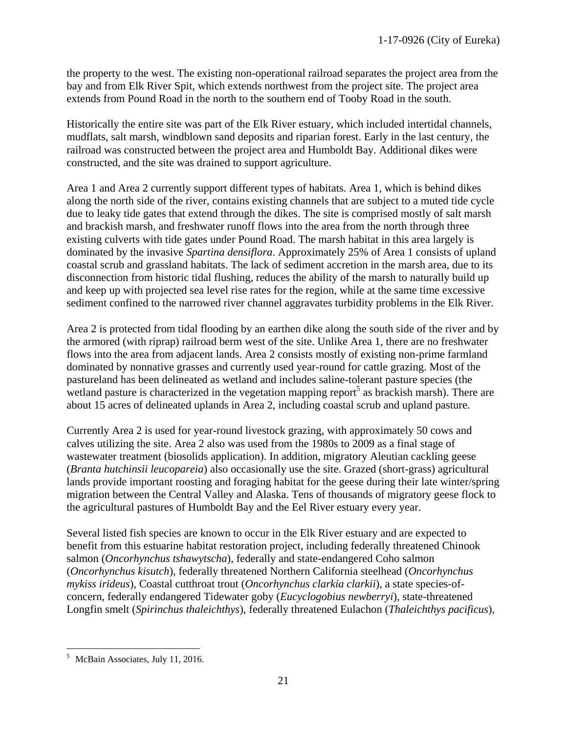the property to the west. The existing non-operational railroad separates the project area from the bay and from Elk River Spit, which extends northwest from the project site. The project area extends from Pound Road in the north to the southern end of Tooby Road in the south.

Historically the entire site was part of the Elk River estuary, which included intertidal channels, mudflats, salt marsh, windblown sand deposits and riparian forest. Early in the last century, the railroad was constructed between the project area and Humboldt Bay. Additional dikes were constructed, and the site was drained to support agriculture.

Area 1 and Area 2 currently support different types of habitats. Area 1, which is behind dikes along the north side of the river, contains existing channels that are subject to a muted tide cycle due to leaky tide gates that extend through the dikes. The site is comprised mostly of salt marsh and brackish marsh, and freshwater runoff flows into the area from the north through three existing culverts with tide gates under Pound Road. The marsh habitat in this area largely is dominated by the invasive *Spartina densiflora*. Approximately 25% of Area 1 consists of upland coastal scrub and grassland habitats. The lack of sediment accretion in the marsh area, due to its disconnection from historic tidal flushing, reduces the ability of the marsh to naturally build up and keep up with projected sea level rise rates for the region, while at the same time excessive sediment confined to the narrowed river channel aggravates turbidity problems in the Elk River.

Area 2 is protected from tidal flooding by an earthen dike along the south side of the river and by the armored (with riprap) railroad berm west of the site. Unlike Area 1, there are no freshwater flows into the area from adjacent lands. Area 2 consists mostly of existing non-prime farmland dominated by nonnative grasses and currently used year-round for cattle grazing. Most of the pastureland has been delineated as wetland and includes saline-tolerant pasture species (the wetland pasture is characterized in the vegetation mapping report<sup>5</sup> as brackish marsh). There are about 15 acres of delineated uplands in Area 2, including coastal scrub and upland pasture.

Currently Area 2 is used for year-round livestock grazing, with approximately 50 cows and calves utilizing the site. Area 2 also was used from the 1980s to 2009 as a final stage of wastewater treatment (biosolids application). In addition, migratory Aleutian cackling geese (*Branta hutchinsii leucopareia*) also occasionally use the site. Grazed (short-grass) agricultural lands provide important roosting and foraging habitat for the geese during their late winter/spring migration between the Central Valley and Alaska. Tens of thousands of migratory geese flock to the agricultural pastures of Humboldt Bay and the Eel River estuary every year.

Several listed fish species are known to occur in the Elk River estuary and are expected to benefit from this estuarine habitat restoration project, including federally threatened Chinook salmon (*Oncorhynchus tshawytscha*), federally and state-endangered Coho salmon (*Oncorhynchus kisutch*), federally threatened Northern California steelhead (*Oncorhynchus mykiss irideus*), Coastal cutthroat trout (*Oncorhynchus clarkia clarkii*), a state species-ofconcern, federally endangered Tidewater goby (*Eucyclogobius newberryi*), state-threatened Longfin smelt (*Spirinchus thaleichthys*), federally threatened Eulachon (*Thaleichthys pacificus*),

 <sup>5</sup> McBain Associates, July 11, 2016.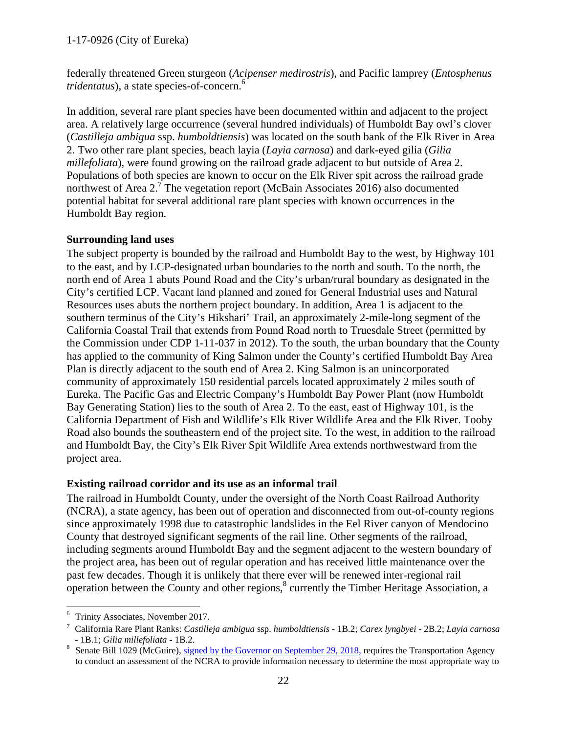## 1-17-0926 (City of Eureka)

federally threatened Green sturgeon (*Acipenser medirostris*), and Pacific lamprey (*Entosphenus tridentatus*), a state species-of-concern. 6

In addition, several rare plant species have been documented within and adjacent to the project area. A relatively large occurrence (several hundred individuals) of Humboldt Bay owl's clover (*Castilleja ambigua* ssp. *humboldtiensis*) was located on the south bank of the Elk River in Area 2. Two other rare plant species, beach layia (*Layia carnosa*) and dark-eyed gilia (*Gilia millefoliata*), were found growing on the railroad grade adjacent to but outside of Area 2. Populations of both species are known to occur on the Elk River spit across the railroad grade northwest of Area  $2<sup>7</sup>$ . The vegetation report (McBain Associates 2016) also documented potential habitat for several additional rare plant species with known occurrences in the Humboldt Bay region.

## **Surrounding land uses**

The subject property is bounded by the railroad and Humboldt Bay to the west, by Highway 101 to the east, and by LCP-designated urban boundaries to the north and south. To the north, the north end of Area 1 abuts Pound Road and the City's urban/rural boundary as designated in the City's certified LCP. Vacant land planned and zoned for General Industrial uses and Natural Resources uses abuts the northern project boundary. In addition, Area 1 is adjacent to the southern terminus of the City's Hikshari' Trail, an approximately 2-mile-long segment of the California Coastal Trail that extends from Pound Road north to Truesdale Street (permitted by the Commission under CDP 1-11-037 in 2012). To the south, the urban boundary that the County has applied to the community of King Salmon under the County's certified Humboldt Bay Area Plan is directly adjacent to the south end of Area 2. King Salmon is an unincorporated community of approximately 150 residential parcels located approximately 2 miles south of Eureka. The Pacific Gas and Electric Company's Humboldt Bay Power Plant (now Humboldt Bay Generating Station) lies to the south of Area 2. To the east, east of Highway 101, is the California Department of Fish and Wildlife's Elk River Wildlife Area and the Elk River. Tooby Road also bounds the southeastern end of the project site. To the west, in addition to the railroad and Humboldt Bay, the City's Elk River Spit Wildlife Area extends northwestward from the project area.

## **Existing railroad corridor and its use as an informal trail**

The railroad in Humboldt County, under the oversight of the North Coast Railroad Authority (NCRA), a state agency, has been out of operation and disconnected from out-of-county regions since approximately 1998 due to catastrophic landslides in the Eel River canyon of Mendocino County that destroyed significant segments of the rail line. Other segments of the railroad, including segments around Humboldt Bay and the segment adjacent to the western boundary of the project area, has been out of regular operation and has received little maintenance over the past few decades. Though it is unlikely that there ever will be renewed inter-regional rail operation between the County and other regions,<sup>8</sup> currently the Timber Heritage Association, a

 <sup>6</sup> Trinity Associates, November 2017.

<sup>7</sup> California Rare Plant Ranks: *Castilleja ambigua* ssp. *humboldtiensis* - 1B.2; *Carex lyngbyei* - 2B.2; *Layia carnosa* - 1B.1; *Gilia millefoliata* - 1B.2.<br><sup>8</sup> Senate Bill 1029 (McGuire), [signed by the Governor on September 29, 2018,](http://leginfo.legislature.ca.gov/faces/billNavClient.xhtml?bill_id=201720180SB1029) requires the Transportation Agency

to conduct an assessment of the NCRA to provide information necessary to determine the most appropriate way to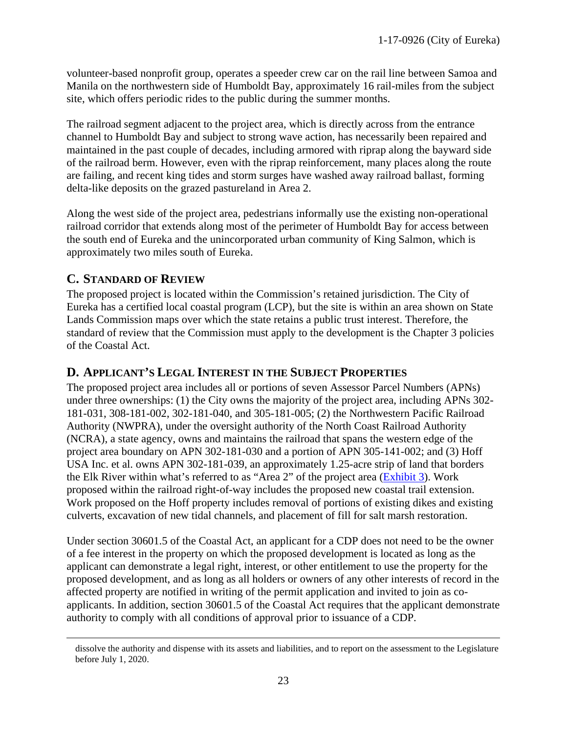volunteer-based nonprofit group, operates a speeder crew car on the rail line between Samoa and Manila on the northwestern side of Humboldt Bay, approximately 16 rail-miles from the subject site, which offers periodic rides to the public during the summer months.

The railroad segment adjacent to the project area, which is directly across from the entrance channel to Humboldt Bay and subject to strong wave action, has necessarily been repaired and maintained in the past couple of decades, including armored with riprap along the bayward side of the railroad berm. However, even with the riprap reinforcement, many places along the route are failing, and recent king tides and storm surges have washed away railroad ballast, forming delta-like deposits on the grazed pastureland in Area 2.

Along the west side of the project area, pedestrians informally use the existing non-operational railroad corridor that extends along most of the perimeter of Humboldt Bay for access between the south end of Eureka and the unincorporated urban community of King Salmon, which is approximately two miles south of Eureka.

# <span id="page-22-0"></span>**C. STANDARD OF REVIEW**

The proposed project is located within the Commission's retained jurisdiction. The City of Eureka has a certified local coastal program (LCP), but the site is within an area shown on State Lands Commission maps over which the state retains a public trust interest. Therefore, the standard of review that the Commission must apply to the development is the Chapter 3 policies of the Coastal Act.

# <span id="page-22-1"></span>**D. APPLICANT'S LEGAL INTEREST IN THE SUBJECT PROPERTIES**

The proposed project area includes all or portions of seven Assessor Parcel Numbers (APNs) under three ownerships: (1) the City owns the majority of the project area, including APNs 302- 181-031, 308-181-002, 302-181-040, and 305-181-005; (2) the Northwestern Pacific Railroad Authority (NWPRA), under the oversight authority of the North Coast Railroad Authority (NCRA), a state agency, owns and maintains the railroad that spans the western edge of the project area boundary on APN 302-181-030 and a portion of APN 305-141-002; and (3) Hoff USA Inc. et al. owns APN 302-181-039, an approximately 1.25-acre strip of land that borders the Elk River within what's referred to as "Area 2" of the project area [\(Exhibit 3\)](https://documents.coastal.ca.gov/reports/2018/12/th9a/th9a-12-2018-exhibits.pdf). Work proposed within the railroad right-of-way includes the proposed new coastal trail extension. Work proposed on the Hoff property includes removal of portions of existing dikes and existing culverts, excavation of new tidal channels, and placement of fill for salt marsh restoration.

Under section 30601.5 of the Coastal Act, an applicant for a CDP does not need to be the owner of a fee interest in the property on which the proposed development is located as long as the applicant can demonstrate a legal right, interest, or other entitlement to use the property for the proposed development, and as long as all holders or owners of any other interests of record in the affected property are notified in writing of the permit application and invited to join as coapplicants. In addition, section 30601.5 of the Coastal Act requires that the applicant demonstrate authority to comply with all conditions of approval prior to issuance of a CDP.

dissolve the authority and dispense with its assets and liabilities, and to report on the assessment to the Legislature before July 1, 2020.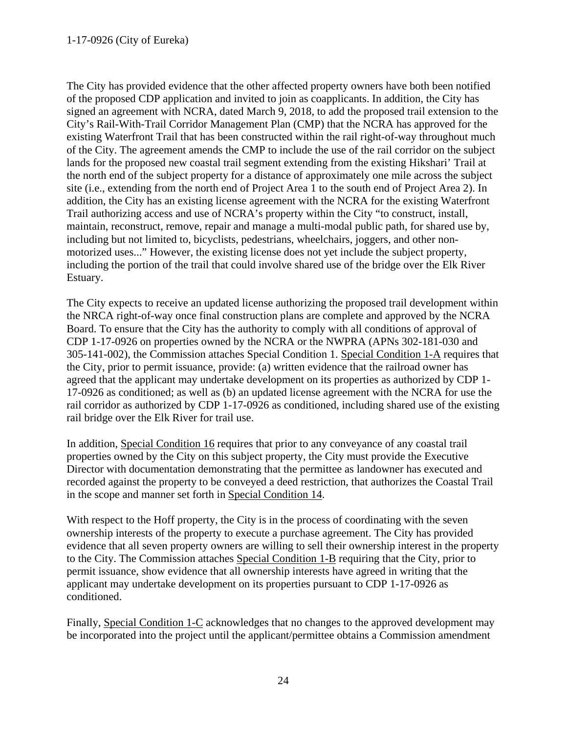The City has provided evidence that the other affected property owners have both been notified of the proposed CDP application and invited to join as coapplicants. In addition, the City has signed an agreement with NCRA, dated March 9, 2018, to add the proposed trail extension to the City's Rail-With-Trail Corridor Management Plan (CMP) that the NCRA has approved for the existing Waterfront Trail that has been constructed within the rail right-of-way throughout much of the City. The agreement amends the CMP to include the use of the rail corridor on the subject lands for the proposed new coastal trail segment extending from the existing Hikshari' Trail at the north end of the subject property for a distance of approximately one mile across the subject site (i.e., extending from the north end of Project Area 1 to the south end of Project Area 2). In addition, the City has an existing license agreement with the NCRA for the existing Waterfront Trail authorizing access and use of NCRA's property within the City "to construct, install, maintain, reconstruct, remove, repair and manage a multi-modal public path, for shared use by, including but not limited to, bicyclists, pedestrians, wheelchairs, joggers, and other nonmotorized uses..." However, the existing license does not yet include the subject property, including the portion of the trail that could involve shared use of the bridge over the Elk River Estuary.

The City expects to receive an updated license authorizing the proposed trail development within the NRCA right-of-way once final construction plans are complete and approved by the NCRA Board. To ensure that the City has the authority to comply with all conditions of approval of CDP 1-17-0926 on properties owned by the NCRA or the NWPRA (APNs 302-181-030 and 305-141-002), the Commission attaches Special Condition 1. Special Condition 1-A requires that the City, prior to permit issuance, provide: (a) written evidence that the railroad owner has agreed that the applicant may undertake development on its properties as authorized by CDP 1- 17-0926 as conditioned; as well as (b) an updated license agreement with the NCRA for use the rail corridor as authorized by CDP 1-17-0926 as conditioned, including shared use of the existing rail bridge over the Elk River for trail use.

In addition, Special Condition 16 requires that prior to any conveyance of any coastal trail properties owned by the City on this subject property, the City must provide the Executive Director with documentation demonstrating that the permittee as landowner has executed and recorded against the property to be conveyed a deed restriction, that authorizes the Coastal Trail in the scope and manner set forth in Special Condition 14.

With respect to the Hoff property, the City is in the process of coordinating with the seven ownership interests of the property to execute a purchase agreement. The City has provided evidence that all seven property owners are willing to sell their ownership interest in the property to the City. The Commission attaches Special Condition 1-B requiring that the City, prior to permit issuance, show evidence that all ownership interests have agreed in writing that the applicant may undertake development on its properties pursuant to CDP 1-17-0926 as conditioned.

Finally, Special Condition 1-C acknowledges that no changes to the approved development may be incorporated into the project until the applicant/permittee obtains a Commission amendment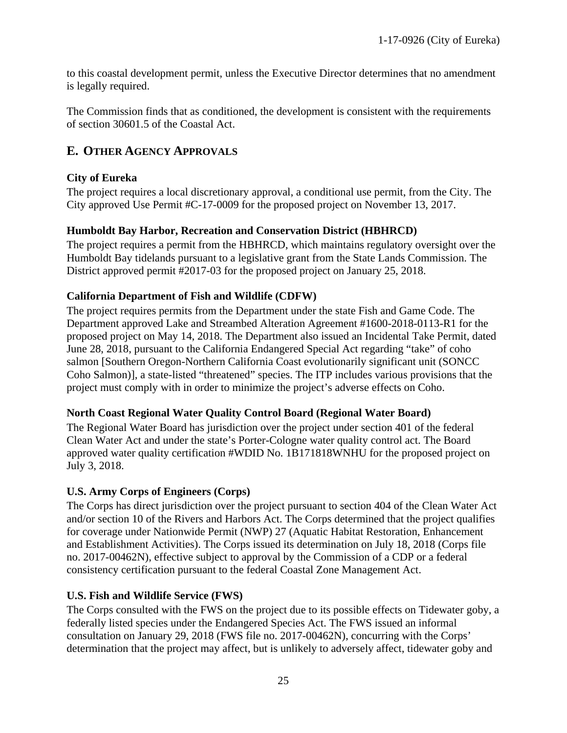to this coastal development permit, unless the Executive Director determines that no amendment is legally required.

The Commission finds that as conditioned, the development is consistent with the requirements of section 30601.5 of the Coastal Act.

# <span id="page-24-0"></span>**E. OTHER AGENCY APPROVALS**

# **City of Eureka**

The project requires a local discretionary approval, a conditional use permit, from the City. The City approved Use Permit #C-17-0009 for the proposed project on November 13, 2017.

# **Humboldt Bay Harbor, Recreation and Conservation District (HBHRCD)**

The project requires a permit from the HBHRCD, which maintains regulatory oversight over the Humboldt Bay tidelands pursuant to a legislative grant from the State Lands Commission. The District approved permit #2017-03 for the proposed project on January 25, 2018.

# **California Department of Fish and Wildlife (CDFW)**

The project requires permits from the Department under the state Fish and Game Code. The Department approved Lake and Streambed Alteration Agreement #1600-2018-0113-R1 for the proposed project on May 14, 2018. The Department also issued an Incidental Take Permit, dated June 28, 2018, pursuant to the California Endangered Special Act regarding "take" of coho salmon [Southern Oregon-Northern California Coast evolutionarily significant unit (SONCC Coho Salmon)], a state-listed "threatened" species. The ITP includes various provisions that the project must comply with in order to minimize the project's adverse effects on Coho.

## **North Coast Regional Water Quality Control Board (Regional Water Board)**

The Regional Water Board has jurisdiction over the project under section 401 of the federal Clean Water Act and under the state's Porter-Cologne water quality control act. The Board approved water quality certification #WDID No. 1B171818WNHU for the proposed project on July 3, 2018.

## **U.S. Army Corps of Engineers (Corps)**

The Corps has direct jurisdiction over the project pursuant to section 404 of the Clean Water Act and/or section 10 of the Rivers and Harbors Act. The Corps determined that the project qualifies for coverage under Nationwide Permit (NWP) 27 (Aquatic Habitat Restoration, Enhancement and Establishment Activities). The Corps issued its determination on July 18, 2018 (Corps file no. 2017-00462N), effective subject to approval by the Commission of a CDP or a federal consistency certification pursuant to the federal Coastal Zone Management Act.

# **U.S. Fish and Wildlife Service (FWS)**

The Corps consulted with the FWS on the project due to its possible effects on Tidewater goby, a federally listed species under the Endangered Species Act. The FWS issued an informal consultation on January 29, 2018 (FWS file no. 2017-00462N), concurring with the Corps' determination that the project may affect, but is unlikely to adversely affect, tidewater goby and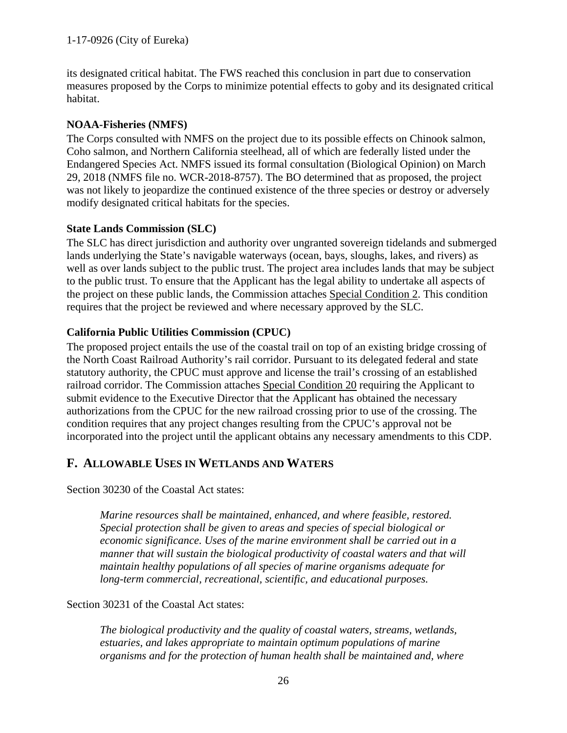its designated critical habitat. The FWS reached this conclusion in part due to conservation measures proposed by the Corps to minimize potential effects to goby and its designated critical habitat.

# **NOAA-Fisheries (NMFS)**

The Corps consulted with NMFS on the project due to its possible effects on Chinook salmon, Coho salmon, and Northern California steelhead, all of which are federally listed under the Endangered Species Act. NMFS issued its formal consultation (Biological Opinion) on March 29, 2018 (NMFS file no. WCR-2018-8757). The BO determined that as proposed, the project was not likely to jeopardize the continued existence of the three species or destroy or adversely modify designated critical habitats for the species.

# **State Lands Commission (SLC)**

The SLC has direct jurisdiction and authority over ungranted sovereign tidelands and submerged lands underlying the State's navigable waterways (ocean, bays, sloughs, lakes, and rivers) as well as over lands subject to the public trust. The project area includes lands that may be subject to the public trust. To ensure that the Applicant has the legal ability to undertake all aspects of the project on these public lands, the Commission attaches Special Condition 2. This condition requires that the project be reviewed and where necessary approved by the SLC.

# **California Public Utilities Commission (CPUC)**

The proposed project entails the use of the coastal trail on top of an existing bridge crossing of the North Coast Railroad Authority's rail corridor. Pursuant to its delegated federal and state statutory authority, the CPUC must approve and license the trail's crossing of an established railroad corridor. The Commission attaches Special Condition 20 requiring the Applicant to submit evidence to the Executive Director that the Applicant has obtained the necessary authorizations from the CPUC for the new railroad crossing prior to use of the crossing. The condition requires that any project changes resulting from the CPUC's approval not be incorporated into the project until the applicant obtains any necessary amendments to this CDP.

# <span id="page-25-0"></span>**F. ALLOWABLE USES IN WETLANDS AND WATERS**

Section 30230 of the Coastal Act states:

*Marine resources shall be maintained, enhanced, and where feasible, restored. Special protection shall be given to areas and species of special biological or economic significance. Uses of the marine environment shall be carried out in a manner that will sustain the biological productivity of coastal waters and that will maintain healthy populations of all species of marine organisms adequate for long-term commercial, recreational, scientific, and educational purposes.*

Section 30231 of the Coastal Act states:

*The biological productivity and the quality of coastal waters, streams, wetlands, estuaries, and lakes appropriate to maintain optimum populations of marine organisms and for the protection of human health shall be maintained and, where*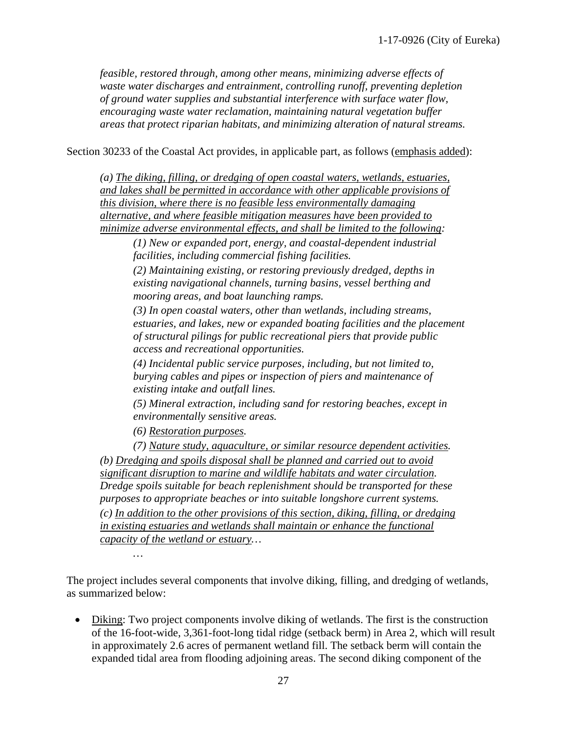*feasible, restored through, among other means, minimizing adverse effects of waste water discharges and entrainment, controlling runoff, preventing depletion of ground water supplies and substantial interference with surface water flow, encouraging waste water reclamation, maintaining natural vegetation buffer areas that protect riparian habitats, and minimizing alteration of natural streams.*

Section 30233 of the Coastal Act provides, in applicable part, as follows (emphasis added):

*(a) The diking, filling, or dredging of open coastal waters, wetlands, estuaries, and lakes shall be permitted in accordance with other applicable provisions of this division, where there is no feasible less environmentally damaging alternative, and where feasible mitigation measures have been provided to minimize adverse environmental effects, and shall be limited to the following:*

*(1) New or expanded port, energy, and coastal-dependent industrial facilities, including commercial fishing facilities.*

*(2) Maintaining existing, or restoring previously dredged, depths in existing navigational channels, turning basins, vessel berthing and mooring areas, and boat launching ramps.*

*(3) In open coastal waters, other than wetlands, including streams, estuaries, and lakes, new or expanded boating facilities and the placement of structural pilings for public recreational piers that provide public access and recreational opportunities.*

*(4) Incidental public service purposes, including, but not limited to, burying cables and pipes or inspection of piers and maintenance of existing intake and outfall lines.*

*(5) Mineral extraction, including sand for restoring beaches, except in environmentally sensitive areas.*

*(6) Restoration purposes.*

*…*

*(7) Nature study, aquaculture, or similar resource dependent activities. (b) Dredging and spoils disposal shall be planned and carried out to avoid significant disruption to marine and wildlife habitats and water circulation. Dredge spoils suitable for beach replenishment should be transported for these purposes to appropriate beaches or into suitable longshore current systems. (c) In addition to the other provisions of this section, diking, filling, or dredging in existing estuaries and wetlands shall maintain or enhance the functional capacity of the wetland or estuary…*

The project includes several components that involve diking, filling, and dredging of wetlands, as summarized below:

• Diking: Two project components involve diking of wetlands. The first is the construction of the 16-foot-wide, 3,361-foot-long tidal ridge (setback berm) in Area 2, which will result in approximately 2.6 acres of permanent wetland fill. The setback berm will contain the expanded tidal area from flooding adjoining areas. The second diking component of the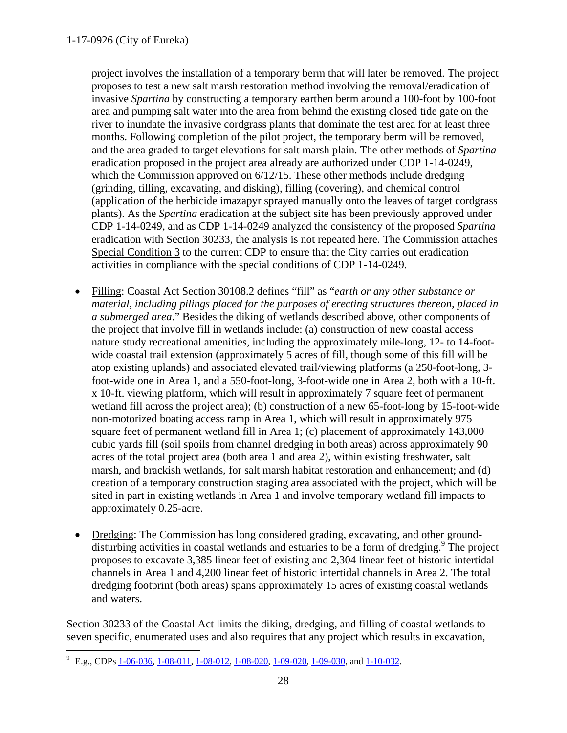project involves the installation of a temporary berm that will later be removed. The project proposes to test a new salt marsh restoration method involving the removal/eradication of invasive *Spartina* by constructing a temporary earthen berm around a 100-foot by 100-foot area and pumping salt water into the area from behind the existing closed tide gate on the river to inundate the invasive cordgrass plants that dominate the test area for at least three months. Following completion of the pilot project, the temporary berm will be removed, and the area graded to target elevations for salt marsh plain. The other methods of *Spartina* eradication proposed in the project area already are authorized under CDP 1-14-0249, which the Commission approved on  $6/12/15$ . These other methods include dredging (grinding, tilling, excavating, and disking), filling (covering), and chemical control (application of the herbicide imazapyr sprayed manually onto the leaves of target cordgrass plants). As the *Spartina* eradication at the subject site has been previously approved under CDP 1-14-0249, and as CDP 1-14-0249 analyzed the consistency of the proposed *Spartina* eradication with Section 30233, the analysis is not repeated here. The Commission attaches Special Condition 3 to the current CDP to ensure that the City carries out eradication activities in compliance with the special conditions of CDP 1-14-0249.

- Filling: Coastal Act Section 30108.2 defines "fill" as "*earth or any other substance or material, including pilings placed for the purposes of erecting structures thereon, placed in a submerged area*." Besides the diking of wetlands described above, other components of the project that involve fill in wetlands include: (a) construction of new coastal access nature study recreational amenities, including the approximately mile-long, 12- to 14-footwide coastal trail extension (approximately 5 acres of fill, though some of this fill will be atop existing uplands) and associated elevated trail/viewing platforms (a 250-foot-long, 3 foot-wide one in Area 1, and a 550-foot-long, 3-foot-wide one in Area 2, both with a 10-ft. x 10-ft. viewing platform, which will result in approximately 7 square feet of permanent wetland fill across the project area); (b) construction of a new 65-foot-long by 15-foot-wide non-motorized boating access ramp in Area 1, which will result in approximately 975 square feet of permanent wetland fill in Area 1; (c) placement of approximately 143,000 cubic yards fill (soil spoils from channel dredging in both areas) across approximately 90 acres of the total project area (both area 1 and area 2), within existing freshwater, salt marsh, and brackish wetlands, for salt marsh habitat restoration and enhancement; and (d) creation of a temporary construction staging area associated with the project, which will be sited in part in existing wetlands in Area 1 and involve temporary wetland fill impacts to approximately 0.25-acre.
- Dredging: The Commission has long considered grading, excavating, and other grounddisturbing activities in coastal wetlands and estuaries to be a form of dredging.<sup>9</sup> The project proposes to excavate 3,385 linear feet of existing and 2,304 linear feet of historic intertidal channels in Area 1 and 4,200 linear feet of historic intertidal channels in Area 2. The total dredging footprint (both areas) spans approximately 15 acres of existing coastal wetlands and waters.

Section 30233 of the Coastal Act limits the diking, dredging, and filling of coastal wetlands to seven specific, enumerated uses and also requires that any project which results in excavation,

 <sup>9</sup> E.g., CDPs [1-06-036,](http://documents.coastal.ca.gov/reports/2007/6/F12b-6-2007.pdf) [1-08-011,](http://documents.coastal.ca.gov/reports/2008/8/F6b-8-2008.pdf) [1-08-012,](http://documents.coastal.ca.gov/reports/2008/10/F7b-10-2008.pdf) [1-08-020,](http://documents.coastal.ca.gov/reports/2008/9/F7c-9-2008.pdf) [1-09-020,](http://documents.coastal.ca.gov/reports/2009/6/F5b-6-2009.pdf) [1-09-030,](http://documents.coastal.ca.gov/reports/2010/7/W10b-7-2010.pdf) and [1-10-032.](http://documents.coastal.ca.gov/reports/2011/10/W10b-10-2011.pdf)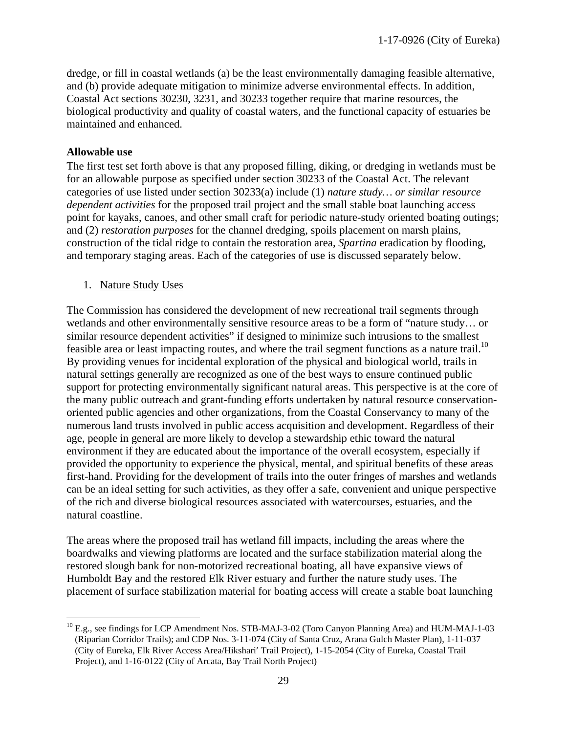dredge, or fill in coastal wetlands (a) be the least environmentally damaging feasible alternative, and (b) provide adequate mitigation to minimize adverse environmental effects. In addition, Coastal Act sections 30230, 3231, and 30233 together require that marine resources, the biological productivity and quality of coastal waters, and the functional capacity of estuaries be maintained and enhanced.

#### **Allowable use**

The first test set forth above is that any proposed filling, diking, or dredging in wetlands must be for an allowable purpose as specified under section 30233 of the Coastal Act. The relevant categories of use listed under section 30233(a) include (1) *nature study… or similar resource dependent activities* for the proposed trail project and the small stable boat launching access point for kayaks, canoes, and other small craft for periodic nature-study oriented boating outings; and (2) *restoration purposes* for the channel dredging, spoils placement on marsh plains, construction of the tidal ridge to contain the restoration area, *Spartina* eradication by flooding, and temporary staging areas. Each of the categories of use is discussed separately below.

1. Nature Study Uses

The Commission has considered the development of new recreational trail segments through wetlands and other environmentally sensitive resource areas to be a form of "nature study… or similar resource dependent activities" if designed to minimize such intrusions to the smallest feasible area or least impacting routes, and where the trail segment functions as a nature trail.<sup>10</sup> By providing venues for incidental exploration of the physical and biological world, trails in natural settings generally are recognized as one of the best ways to ensure continued public support for protecting environmentally significant natural areas. This perspective is at the core of the many public outreach and grant-funding efforts undertaken by natural resource conservationoriented public agencies and other organizations, from the Coastal Conservancy to many of the numerous land trusts involved in public access acquisition and development. Regardless of their age, people in general are more likely to develop a stewardship ethic toward the natural environment if they are educated about the importance of the overall ecosystem, especially if provided the opportunity to experience the physical, mental, and spiritual benefits of these areas first-hand. Providing for the development of trails into the outer fringes of marshes and wetlands can be an ideal setting for such activities, as they offer a safe, convenient and unique perspective of the rich and diverse biological resources associated with watercourses, estuaries, and the natural coastline.

The areas where the proposed trail has wetland fill impacts, including the areas where the boardwalks and viewing platforms are located and the surface stabilization material along the restored slough bank for non-motorized recreational boating, all have expansive views of Humboldt Bay and the restored Elk River estuary and further the nature study uses. The placement of surface stabilization material for boating access will create a stable boat launching

<sup>&</sup>lt;sup>10</sup> E.g., see findings for LCP Amendment Nos. STB-MAJ-3-02 (Toro Canyon Planning Area) and HUM-MAJ-1-03 (Riparian Corridor Trails); and CDP Nos. 3-11-074 (City of Santa Cruz, Arana Gulch Master Plan), 1-11-037 (City of Eureka, Elk River Access Area/Hikshari′ Trail Project), 1-15-2054 (City of Eureka, Coastal Trail Project), and 1-16-0122 (City of Arcata, Bay Trail North Project)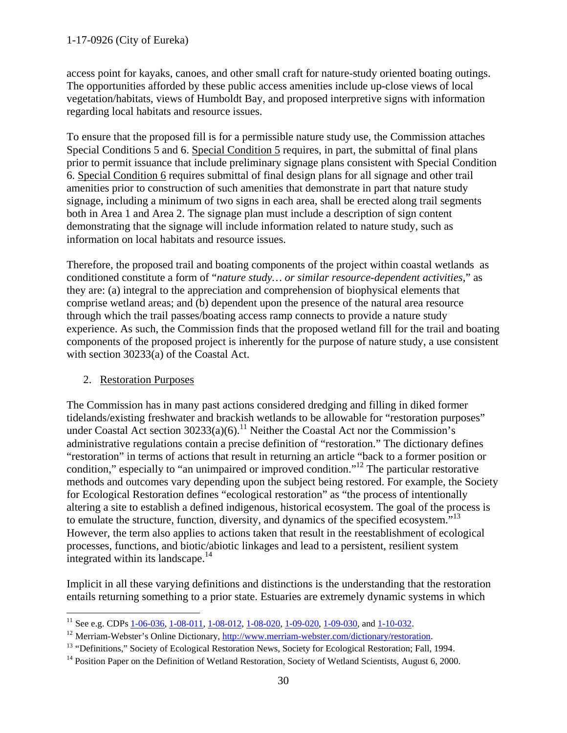# 1-17-0926 (City of Eureka)

access point for kayaks, canoes, and other small craft for nature-study oriented boating outings. The opportunities afforded by these public access amenities include up-close views of local vegetation/habitats, views of Humboldt Bay, and proposed interpretive signs with information regarding local habitats and resource issues.

To ensure that the proposed fill is for a permissible nature study use, the Commission attaches Special Conditions 5 and 6. Special Condition 5 requires, in part, the submittal of final plans prior to permit issuance that include preliminary signage plans consistent with Special Condition 6. Special Condition 6 requires submittal of final design plans for all signage and other trail amenities prior to construction of such amenities that demonstrate in part that nature study signage, including a minimum of two signs in each area, shall be erected along trail segments both in Area 1 and Area 2. The signage plan must include a description of sign content demonstrating that the signage will include information related to nature study, such as information on local habitats and resource issues.

Therefore, the proposed trail and boating components of the project within coastal wetlands as conditioned constitute a form of "*nature study… or similar resource-dependent activities*," as they are: (a) integral to the appreciation and comprehension of biophysical elements that comprise wetland areas; and (b) dependent upon the presence of the natural area resource through which the trail passes/boating access ramp connects to provide a nature study experience. As such, the Commission finds that the proposed wetland fill for the trail and boating components of the proposed project is inherently for the purpose of nature study, a use consistent with section 30233(a) of the Coastal Act.

## 2. Restoration Purposes

The Commission has in many past actions considered dredging and filling in diked former tidelands/existing freshwater and brackish wetlands to be allowable for "restoration purposes" under Coastal Act section  $30233(a)(6)$ .<sup>11</sup> Neither the Coastal Act nor the Commission's administrative regulations contain a precise definition of "restoration." The dictionary defines "restoration" in terms of actions that result in returning an article "back to a former position or condition," especially to "an unimpaired or improved condition."<sup>12</sup> The particular restorative methods and outcomes vary depending upon the subject being restored. For example, the Society for Ecological Restoration defines "ecological restoration" as "the process of intentionally altering a site to establish a defined indigenous, historical ecosystem. The goal of the process is to emulate the structure, function, diversity, and dynamics of the specified ecosystem."<sup>13</sup> However, the term also applies to actions taken that result in the reestablishment of ecological processes, functions, and biotic/abiotic linkages and lead to a persistent, resilient system integrated within its landscape.<sup>14</sup>

Implicit in all these varying definitions and distinctions is the understanding that the restoration entails returning something to a prior state. Estuaries are extremely dynamic systems in which

<sup>&</sup>lt;sup>11</sup> See e.g. CDPs [1-06-036,](http://documents.coastal.ca.gov/reports/2007/6/F12b-6-2007.pdf) [1-08-011,](http://documents.coastal.ca.gov/reports/2008/8/F6b-8-2008.pdf) [1-08-012,](http://documents.coastal.ca.gov/reports/2008/10/F7b-10-2008.pdf) [1-08-020,](http://documents.coastal.ca.gov/reports/2008/9/F7c-9-2008.pdf) [1-09-020,](http://documents.coastal.ca.gov/reports/2009/6/F5b-6-2009.pdf) [1-09-030,](http://documents.coastal.ca.gov/reports/2010/7/W10b-7-2010.pdf) and [1-10-032.](http://documents.coastal.ca.gov/reports/2011/10/W10b-10-2011.pdf)

<sup>&</sup>lt;sup>12</sup> Merriam-Webster's Online Dictionary, [http://www.merriam-webster.com/dictionary/restoration.](http://www.merriam-webster.com/dictionary/restoration)

<sup>&</sup>lt;sup>13</sup> "Definitions," Society of Ecological Restoration News, Society for Ecological Restoration; Fall, 1994.

<sup>&</sup>lt;sup>14</sup> Position Paper on the Definition of Wetland Restoration, Society of Wetland Scientists, August 6, 2000.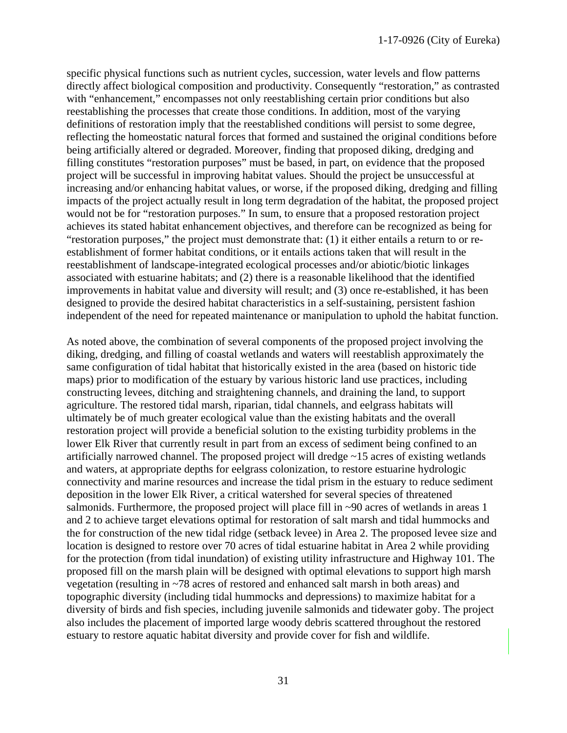specific physical functions such as nutrient cycles, succession, water levels and flow patterns directly affect biological composition and productivity. Consequently "restoration," as contrasted with "enhancement," encompasses not only reestablishing certain prior conditions but also reestablishing the processes that create those conditions. In addition, most of the varying definitions of restoration imply that the reestablished conditions will persist to some degree, reflecting the homeostatic natural forces that formed and sustained the original conditions before being artificially altered or degraded. Moreover, finding that proposed diking, dredging and filling constitutes "restoration purposes" must be based, in part, on evidence that the proposed project will be successful in improving habitat values. Should the project be unsuccessful at increasing and/or enhancing habitat values, or worse, if the proposed diking, dredging and filling impacts of the project actually result in long term degradation of the habitat, the proposed project would not be for "restoration purposes." In sum, to ensure that a proposed restoration project achieves its stated habitat enhancement objectives, and therefore can be recognized as being for "restoration purposes," the project must demonstrate that: (1) it either entails a return to or reestablishment of former habitat conditions, or it entails actions taken that will result in the reestablishment of landscape-integrated ecological processes and/or abiotic/biotic linkages associated with estuarine habitats; and (2) there is a reasonable likelihood that the identified improvements in habitat value and diversity will result; and (3) once re-established, it has been designed to provide the desired habitat characteristics in a self-sustaining, persistent fashion independent of the need for repeated maintenance or manipulation to uphold the habitat function.

As noted above, the combination of several components of the proposed project involving the diking, dredging, and filling of coastal wetlands and waters will reestablish approximately the same configuration of tidal habitat that historically existed in the area (based on historic tide maps) prior to modification of the estuary by various historic land use practices, including constructing levees, ditching and straightening channels, and draining the land, to support agriculture. The restored tidal marsh, riparian, tidal channels, and eelgrass habitats will ultimately be of much greater ecological value than the existing habitats and the overall restoration project will provide a beneficial solution to the existing turbidity problems in the lower Elk River that currently result in part from an excess of sediment being confined to an artificially narrowed channel. The proposed project will dredge ~15 acres of existing wetlands and waters, at appropriate depths for eelgrass colonization, to restore estuarine hydrologic connectivity and marine resources and increase the tidal prism in the estuary to reduce sediment deposition in the lower Elk River, a critical watershed for several species of threatened salmonids. Furthermore, the proposed project will place fill in ~90 acres of wetlands in areas 1 and 2 to achieve target elevations optimal for restoration of salt marsh and tidal hummocks and the for construction of the new tidal ridge (setback levee) in Area 2. The proposed levee size and location is designed to restore over 70 acres of tidal estuarine habitat in Area 2 while providing for the protection (from tidal inundation) of existing utility infrastructure and Highway 101. The proposed fill on the marsh plain will be designed with optimal elevations to support high marsh vegetation (resulting in ~78 acres of restored and enhanced salt marsh in both areas) and topographic diversity (including tidal hummocks and depressions) to maximize habitat for a diversity of birds and fish species, including juvenile salmonids and tidewater goby. The project also includes the placement of imported large woody debris scattered throughout the restored estuary to restore aquatic habitat diversity and provide cover for fish and wildlife.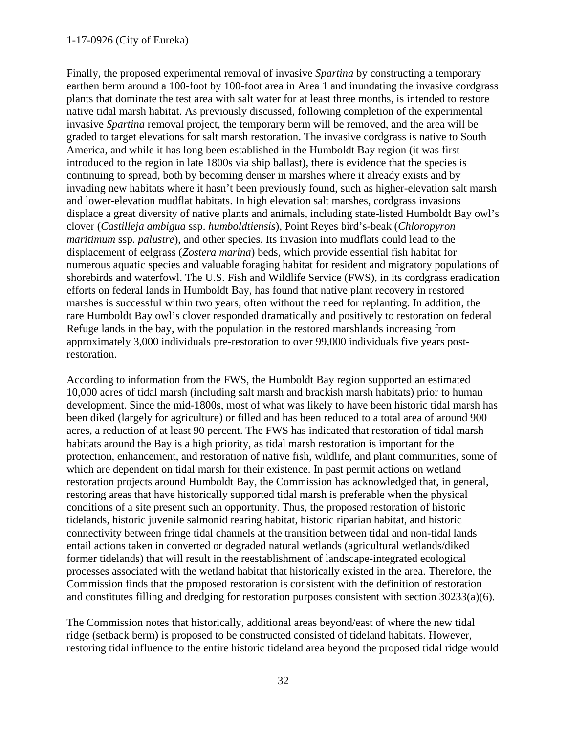### 1-17-0926 (City of Eureka)

Finally, the proposed experimental removal of invasive *Spartina* by constructing a temporary earthen berm around a 100-foot by 100-foot area in Area 1 and inundating the invasive cordgrass plants that dominate the test area with salt water for at least three months, is intended to restore native tidal marsh habitat. As previously discussed, following completion of the experimental invasive *Spartina* removal project, the temporary berm will be removed, and the area will be graded to target elevations for salt marsh restoration. The invasive cordgrass is native to South America, and while it has long been established in the Humboldt Bay region (it was first introduced to the region in late 1800s via ship ballast), there is evidence that the species is continuing to spread, both by becoming denser in marshes where it already exists and by invading new habitats where it hasn't been previously found, such as higher-elevation salt marsh and lower-elevation mudflat habitats. In high elevation salt marshes, cordgrass invasions displace a great diversity of native plants and animals, including state-listed Humboldt Bay owl's clover (*Castilleja ambigua* ssp. *humboldtiensis*), Point Reyes bird's-beak (*Chloropyron maritimum* ssp. *palustre*), and other species. Its invasion into mudflats could lead to the displacement of eelgrass (*Zostera marina*) beds, which provide essential fish habitat for numerous aquatic species and valuable foraging habitat for resident and migratory populations of shorebirds and waterfowl. The U.S. Fish and Wildlife Service (FWS), in its cordgrass eradication efforts on federal lands in Humboldt Bay, has found that native plant recovery in restored marshes is successful within two years, often without the need for replanting. In addition, the rare Humboldt Bay owl's clover responded dramatically and positively to restoration on federal Refuge lands in the bay, with the population in the restored marshlands increasing from approximately 3,000 individuals pre-restoration to over 99,000 individuals five years postrestoration.

According to information from the FWS, the Humboldt Bay region supported an estimated 10,000 acres of tidal marsh (including salt marsh and brackish marsh habitats) prior to human development. Since the mid-1800s, most of what was likely to have been historic tidal marsh has been diked (largely for agriculture) or filled and has been reduced to a total area of around 900 acres, a reduction of at least 90 percent. The FWS has indicated that restoration of tidal marsh habitats around the Bay is a high priority, as tidal marsh restoration is important for the protection, enhancement, and restoration of native fish, wildlife, and plant communities, some of which are dependent on tidal marsh for their existence. In past permit actions on wetland restoration projects around Humboldt Bay, the Commission has acknowledged that, in general, restoring areas that have historically supported tidal marsh is preferable when the physical conditions of a site present such an opportunity. Thus, the proposed restoration of historic tidelands, historic juvenile salmonid rearing habitat, historic riparian habitat, and historic connectivity between fringe tidal channels at the transition between tidal and non-tidal lands entail actions taken in converted or degraded natural wetlands (agricultural wetlands/diked former tidelands) that will result in the reestablishment of landscape-integrated ecological processes associated with the wetland habitat that historically existed in the area. Therefore, the Commission finds that the proposed restoration is consistent with the definition of restoration and constitutes filling and dredging for restoration purposes consistent with section 30233(a)(6).

The Commission notes that historically, additional areas beyond/east of where the new tidal ridge (setback berm) is proposed to be constructed consisted of tideland habitats. However, restoring tidal influence to the entire historic tideland area beyond the proposed tidal ridge would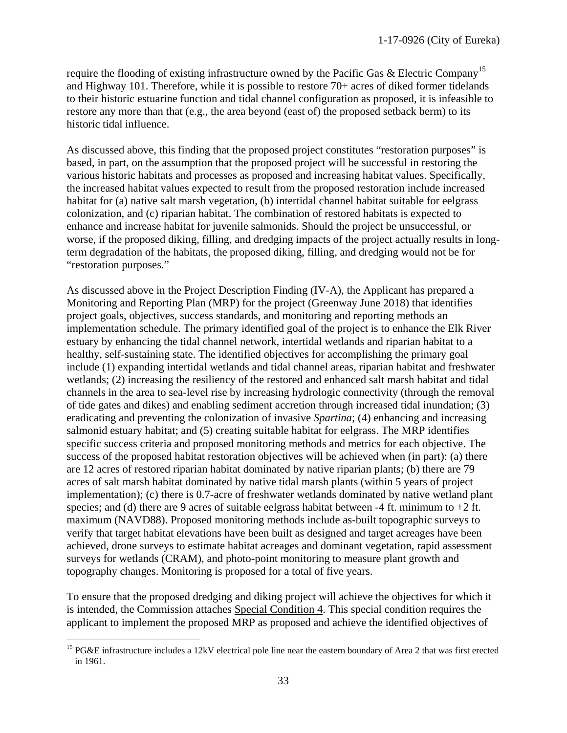require the flooding of existing infrastructure owned by the Pacific Gas & Electric Company<sup>15</sup> and Highway 101. Therefore, while it is possible to restore 70+ acres of diked former tidelands to their historic estuarine function and tidal channel configuration as proposed, it is infeasible to restore any more than that (e.g., the area beyond (east of) the proposed setback berm) to its historic tidal influence.

As discussed above, this finding that the proposed project constitutes "restoration purposes" is based, in part, on the assumption that the proposed project will be successful in restoring the various historic habitats and processes as proposed and increasing habitat values. Specifically, the increased habitat values expected to result from the proposed restoration include increased habitat for (a) native salt marsh vegetation, (b) intertidal channel habitat suitable for eelgrass colonization, and (c) riparian habitat. The combination of restored habitats is expected to enhance and increase habitat for juvenile salmonids. Should the project be unsuccessful, or worse, if the proposed diking, filling, and dredging impacts of the project actually results in longterm degradation of the habitats, the proposed diking, filling, and dredging would not be for "restoration purposes."

As discussed above in the Project Description Finding (IV-A), the Applicant has prepared a Monitoring and Reporting Plan (MRP) for the project (Greenway June 2018) that identifies project goals, objectives, success standards, and monitoring and reporting methods an implementation schedule. The primary identified goal of the project is to enhance the Elk River estuary by enhancing the tidal channel network, intertidal wetlands and riparian habitat to a healthy, self-sustaining state. The identified objectives for accomplishing the primary goal include (1) expanding intertidal wetlands and tidal channel areas, riparian habitat and freshwater wetlands; (2) increasing the resiliency of the restored and enhanced salt marsh habitat and tidal channels in the area to sea-level rise by increasing hydrologic connectivity (through the removal of tide gates and dikes) and enabling sediment accretion through increased tidal inundation; (3) eradicating and preventing the colonization of invasive *Spartina*; (4) enhancing and increasing salmonid estuary habitat; and (5) creating suitable habitat for eelgrass. The MRP identifies specific success criteria and proposed monitoring methods and metrics for each objective. The success of the proposed habitat restoration objectives will be achieved when (in part): (a) there are 12 acres of restored riparian habitat dominated by native riparian plants; (b) there are 79 acres of salt marsh habitat dominated by native tidal marsh plants (within 5 years of project implementation); (c) there is 0.7-acre of freshwater wetlands dominated by native wetland plant species; and (d) there are 9 acres of suitable eelgrass habitat between  $-4$  ft. minimum to  $+2$  ft. maximum (NAVD88). Proposed monitoring methods include as-built topographic surveys to verify that target habitat elevations have been built as designed and target acreages have been achieved, drone surveys to estimate habitat acreages and dominant vegetation, rapid assessment surveys for wetlands (CRAM), and photo-point monitoring to measure plant growth and topography changes. Monitoring is proposed for a total of five years.

To ensure that the proposed dredging and diking project will achieve the objectives for which it is intended, the Commission attaches Special Condition 4. This special condition requires the applicant to implement the proposed MRP as proposed and achieve the identified objectives of

<sup>&</sup>lt;sup>15</sup> PG&E infrastructure includes a 12kV electrical pole line near the eastern boundary of Area 2 that was first erected in 1961.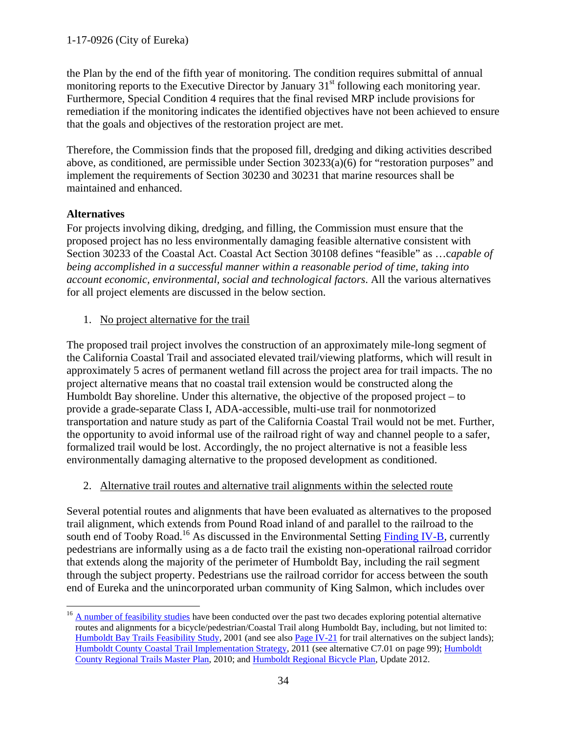the Plan by the end of the fifth year of monitoring. The condition requires submittal of annual monitoring reports to the Executive Director by January 31<sup>st</sup> following each monitoring year. Furthermore, Special Condition 4 requires that the final revised MRP include provisions for remediation if the monitoring indicates the identified objectives have not been achieved to ensure that the goals and objectives of the restoration project are met.

Therefore, the Commission finds that the proposed fill, dredging and diking activities described above, as conditioned, are permissible under Section 30233(a)(6) for "restoration purposes" and implement the requirements of Section 30230 and 30231 that marine resources shall be maintained and enhanced.

# **Alternatives**

For projects involving diking, dredging, and filling, the Commission must ensure that the proposed project has no less environmentally damaging feasible alternative consistent with Section 30233 of the Coastal Act. Coastal Act Section 30108 defines "feasible" as …c*apable of being accomplished in a successful manner within a reasonable period of time, taking into account economic, environmental, social and technological factors*. All the various alternatives for all project elements are discussed in the below section.

1. No project alternative for the trail

The proposed trail project involves the construction of an approximately mile-long segment of the California Coastal Trail and associated elevated trail/viewing platforms, which will result in approximately 5 acres of permanent wetland fill across the project area for trail impacts. The no project alternative means that no coastal trail extension would be constructed along the Humboldt Bay shoreline. Under this alternative, the objective of the proposed project – to provide a grade-separate Class I, ADA-accessible, multi-use trail for nonmotorized transportation and nature study as part of the California Coastal Trail would not be met. Further, the opportunity to avoid informal use of the railroad right of way and channel people to a safer, formalized trail would be lost. Accordingly, the no project alternative is not a feasible less environmentally damaging alternative to the proposed development as conditioned.

2. Alternative trail routes and alternative trail alignments within the selected route

Several potential routes and alignments that have been evaluated as alternatives to the proposed trail alignment, which extends from Pound Road inland of and parallel to the railroad to the south end of Tooby Road.<sup>16</sup> As discussed in the Environmental Setting [Finding](#page-19-0) IV-B, currently pedestrians are informally using as a de facto trail the existing non-operational railroad corridor that extends along the majority of the perimeter of Humboldt Bay, including the rail segment through the subject property. Pedestrians use the railroad corridor for access between the south end of Eureka and the unincorporated urban community of King Salmon, which includes over

<sup>&</sup>lt;sup>16</sup> [A number of feasibility studies](https://humboldtgov.org/Archive/ViewFile/Item/687) have been conducted over the past two decades exploring potential alternative routes and alignments for a bicycle/pedestrian/Coastal Trail along Humboldt Bay, including, but not limited to: [Humboldt Bay Trails Feasibility Study,](http://www.nrsrcaa.org/baytrails/pdfs/Chapter03.pdf) 2001 (and see als[o Page IV-21](http://www.nrsrcaa.org/baytrails/pdfs/Chapter04.pdf) for trail alternatives on the subject lands); [Humboldt County Coastal Trail Implementation Strategy,](http://www.naturalresourcesservices.org/projects/humboldt-county-california-coastal-trail-implementation-strategy) 2011 (see alternative C7.01 on page 99); Humboldt [County Regional Trails Master Plan,](http://www.hcaog.net/humboldt-county-regional-trails-master-plan-2010) 2010; and [Humboldt Regional Bicycle Plan,](http://hcaog.net/sites/default/files/bike_plan_2012_full_final_0.pdf) Update 2012.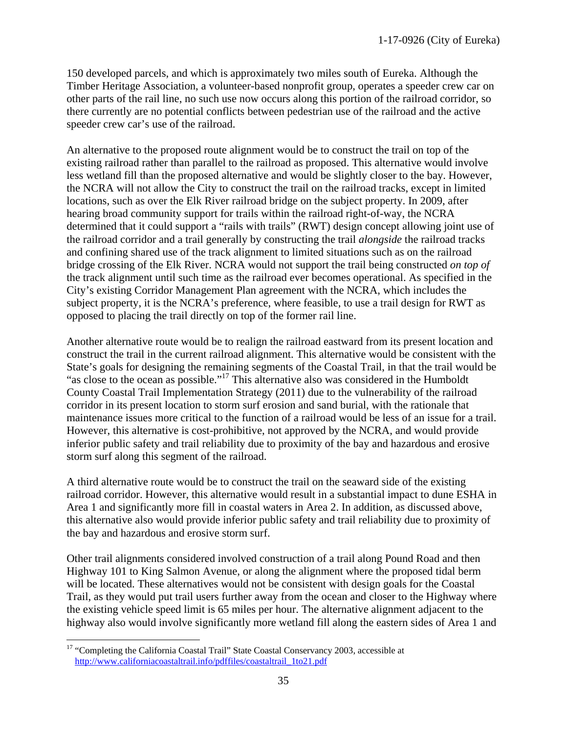150 developed parcels, and which is approximately two miles south of Eureka. Although the Timber Heritage Association, a volunteer-based nonprofit group, operates a speeder crew car on other parts of the rail line, no such use now occurs along this portion of the railroad corridor, so there currently are no potential conflicts between pedestrian use of the railroad and the active speeder crew car's use of the railroad.

An alternative to the proposed route alignment would be to construct the trail on top of the existing railroad rather than parallel to the railroad as proposed. This alternative would involve less wetland fill than the proposed alternative and would be slightly closer to the bay. However, the NCRA will not allow the City to construct the trail on the railroad tracks, except in limited locations, such as over the Elk River railroad bridge on the subject property. In 2009, after hearing broad community support for trails within the railroad right-of-way, the NCRA determined that it could support a "rails with trails" (RWT) design concept allowing joint use of the railroad corridor and a trail generally by constructing the trail *alongside* the railroad tracks and confining shared use of the track alignment to limited situations such as on the railroad bridge crossing of the Elk River. NCRA would not support the trail being constructed *on top of* the track alignment until such time as the railroad ever becomes operational. As specified in the City's existing Corridor Management Plan agreement with the NCRA, which includes the subject property, it is the NCRA's preference, where feasible, to use a trail design for RWT as opposed to placing the trail directly on top of the former rail line.

Another alternative route would be to realign the railroad eastward from its present location and construct the trail in the current railroad alignment. This alternative would be consistent with the State's goals for designing the remaining segments of the Coastal Trail, in that the trail would be "as close to the ocean as possible."<sup>17</sup> This alternative also was considered in the Humboldt" County Coastal Trail Implementation Strategy (2011) due to the vulnerability of the railroad corridor in its present location to storm surf erosion and sand burial, with the rationale that maintenance issues more critical to the function of a railroad would be less of an issue for a trail. However, this alternative is cost-prohibitive, not approved by the NCRA, and would provide inferior public safety and trail reliability due to proximity of the bay and hazardous and erosive storm surf along this segment of the railroad.

A third alternative route would be to construct the trail on the seaward side of the existing railroad corridor. However, this alternative would result in a substantial impact to dune ESHA in Area 1 and significantly more fill in coastal waters in Area 2. In addition, as discussed above, this alternative also would provide inferior public safety and trail reliability due to proximity of the bay and hazardous and erosive storm surf.

Other trail alignments considered involved construction of a trail along Pound Road and then Highway 101 to King Salmon Avenue, or along the alignment where the proposed tidal berm will be located. These alternatives would not be consistent with design goals for the Coastal Trail, as they would put trail users further away from the ocean and closer to the Highway where the existing vehicle speed limit is 65 miles per hour. The alternative alignment adjacent to the highway also would involve significantly more wetland fill along the eastern sides of Area 1 and

<sup>&</sup>lt;sup>17</sup> "Completing the California Coastal Trail" State Coastal Conservancy 2003, accessible at [http://www.californiacoastaltrail.info/pdffiles/coastaltrail\\_1to21.pdf](http://www.californiacoastaltrail.info/pdffiles/coastaltrail_1to21.pdf)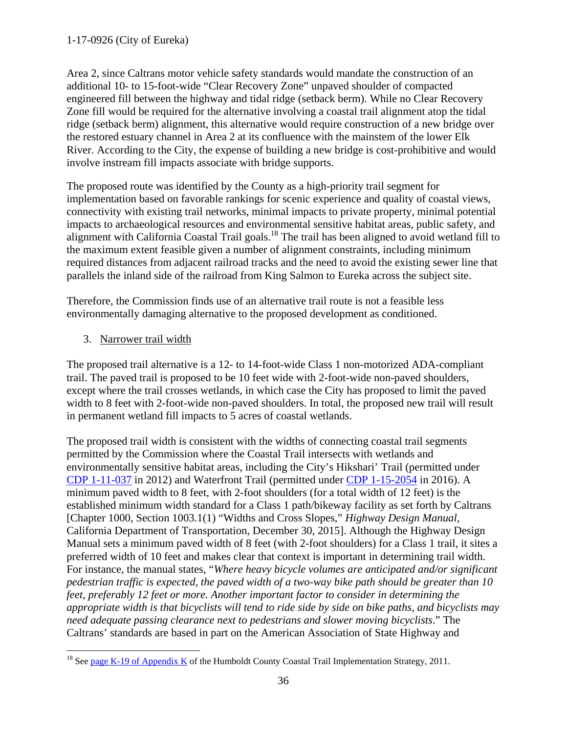Area 2, since Caltrans motor vehicle safety standards would mandate the construction of an additional 10- to 15-foot-wide "Clear Recovery Zone" unpaved shoulder of compacted engineered fill between the highway and tidal ridge (setback berm). While no Clear Recovery Zone fill would be required for the alternative involving a coastal trail alignment atop the tidal ridge (setback berm) alignment, this alternative would require construction of a new bridge over the restored estuary channel in Area 2 at its confluence with the mainstem of the lower Elk River. According to the City, the expense of building a new bridge is cost-prohibitive and would involve instream fill impacts associate with bridge supports.

The proposed route was identified by the County as a high-priority trail segment for implementation based on favorable rankings for scenic experience and quality of coastal views, connectivity with existing trail networks, minimal impacts to private property, minimal potential impacts to archaeological resources and environmental sensitive habitat areas, public safety, and alignment with California Coastal Trail goals.<sup>18</sup> The trail has been aligned to avoid wetland fill to the maximum extent feasible given a number of alignment constraints, including minimum required distances from adjacent railroad tracks and the need to avoid the existing sewer line that parallels the inland side of the railroad from King Salmon to Eureka across the subject site.

Therefore, the Commission finds use of an alternative trail route is not a feasible less environmentally damaging alternative to the proposed development as conditioned.

3. Narrower trail width

The proposed trail alternative is a 12- to 14-foot-wide Class 1 non-motorized ADA-compliant trail. The paved trail is proposed to be 10 feet wide with 2-foot-wide non-paved shoulders, except where the trail crosses wetlands, in which case the City has proposed to limit the paved width to 8 feet with 2-foot-wide non-paved shoulders. In total, the proposed new trail will result in permanent wetland fill impacts to 5 acres of coastal wetlands.

The proposed trail width is consistent with the widths of connecting coastal trail segments permitted by the Commission where the Coastal Trail intersects with wetlands and environmentally sensitive habitat areas, including the City's Hikshari' Trail (permitted under [CDP 1-11-037](https://documents.coastal.ca.gov/reports/2012/3/F8b-3-2012.pdf) in 2012) and Waterfront Trail (permitted under [CDP 1-15-2054](https://documents.coastal.ca.gov/reports/2016/5/w25a-5-2016.pdf) in 2016). A minimum paved width to 8 feet, with 2-foot shoulders (for a total width of 12 feet) is the established minimum width standard for a Class 1 path/bikeway facility as set forth by Caltrans [Chapter 1000, Section 1003.1(1) "Widths and Cross Slopes," *Highway Design Manual*, California Department of Transportation, December 30, 2015]. Although the Highway Design Manual sets a minimum paved width of 8 feet (with 2-foot shoulders) for a Class 1 trail, it sites a preferred width of 10 feet and makes clear that context is important in determining trail width. For instance, the manual states, "*Where heavy bicycle volumes are anticipated and/or significant pedestrian traffic is expected, the paved width of a two-way bike path should be greater than 10 feet, preferably 12 feet or more. Another important factor to consider in determining the appropriate width is that bicyclists will tend to ride side by side on bike paths, and bicyclists may need adequate passing clearance next to pedestrians and slower moving bicyclists*." The Caltrans' standards are based in part on the American Association of State Highway and

<sup>&</sup>lt;sup>18</sup> See [page K-19 of Appendix K](http://www.naturalresourcesservices.org/sites/default/files/CCT_FinalAppendices_20Jan2011.pdf) of the Humboldt County Coastal Trail Implementation Strategy, 2011.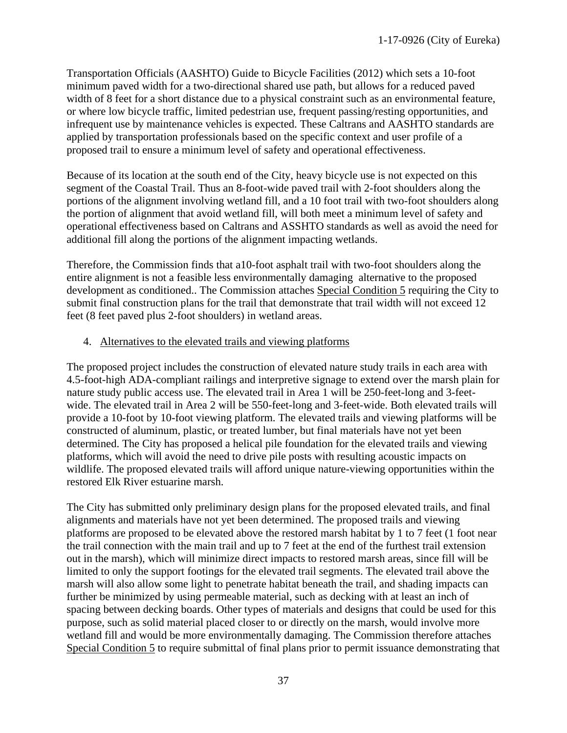Transportation Officials (AASHTO) Guide to Bicycle Facilities (2012) which sets a 10-foot minimum paved width for a two-directional shared use path, but allows for a reduced paved width of 8 feet for a short distance due to a physical constraint such as an environmental feature, or where low bicycle traffic, limited pedestrian use, frequent passing/resting opportunities, and infrequent use by maintenance vehicles is expected. These Caltrans and AASHTO standards are applied by transportation professionals based on the specific context and user profile of a proposed trail to ensure a minimum level of safety and operational effectiveness.

Because of its location at the south end of the City, heavy bicycle use is not expected on this segment of the Coastal Trail. Thus an 8-foot-wide paved trail with 2-foot shoulders along the portions of the alignment involving wetland fill, and a 10 foot trail with two-foot shoulders along the portion of alignment that avoid wetland fill, will both meet a minimum level of safety and operational effectiveness based on Caltrans and ASSHTO standards as well as avoid the need for additional fill along the portions of the alignment impacting wetlands.

Therefore, the Commission finds that a10-foot asphalt trail with two-foot shoulders along the entire alignment is not a feasible less environmentally damaging alternative to the proposed development as conditioned.. The Commission attaches Special Condition 5 requiring the City to submit final construction plans for the trail that demonstrate that trail width will not exceed 12 feet (8 feet paved plus 2-foot shoulders) in wetland areas.

## 4. Alternatives to the elevated trails and viewing platforms

The proposed project includes the construction of elevated nature study trails in each area with 4.5-foot-high ADA-compliant railings and interpretive signage to extend over the marsh plain for nature study public access use. The elevated trail in Area 1 will be 250-feet-long and 3-feetwide. The elevated trail in Area 2 will be 550-feet-long and 3-feet-wide. Both elevated trails will provide a 10-foot by 10-foot viewing platform. The elevated trails and viewing platforms will be constructed of aluminum, plastic, or treated lumber, but final materials have not yet been determined. The City has proposed a helical pile foundation for the elevated trails and viewing platforms, which will avoid the need to drive pile posts with resulting acoustic impacts on wildlife. The proposed elevated trails will afford unique nature-viewing opportunities within the restored Elk River estuarine marsh.

The City has submitted only preliminary design plans for the proposed elevated trails, and final alignments and materials have not yet been determined. The proposed trails and viewing platforms are proposed to be elevated above the restored marsh habitat by 1 to 7 feet (1 foot near the trail connection with the main trail and up to 7 feet at the end of the furthest trail extension out in the marsh), which will minimize direct impacts to restored marsh areas, since fill will be limited to only the support footings for the elevated trail segments. The elevated trail above the marsh will also allow some light to penetrate habitat beneath the trail, and shading impacts can further be minimized by using permeable material, such as decking with at least an inch of spacing between decking boards. Other types of materials and designs that could be used for this purpose, such as solid material placed closer to or directly on the marsh, would involve more wetland fill and would be more environmentally damaging. The Commission therefore attaches Special Condition 5 to require submittal of final plans prior to permit issuance demonstrating that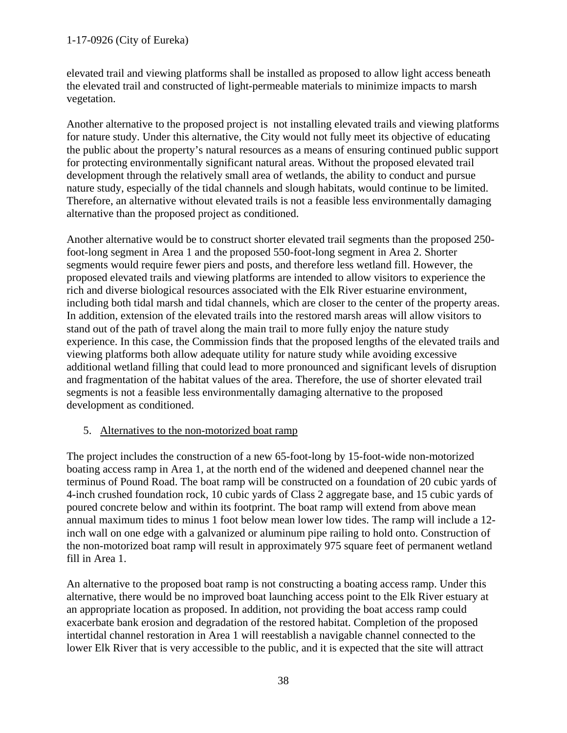# 1-17-0926 (City of Eureka)

elevated trail and viewing platforms shall be installed as proposed to allow light access beneath the elevated trail and constructed of light-permeable materials to minimize impacts to marsh vegetation.

Another alternative to the proposed project is not installing elevated trails and viewing platforms for nature study. Under this alternative, the City would not fully meet its objective of educating the public about the property's natural resources as a means of ensuring continued public support for protecting environmentally significant natural areas. Without the proposed elevated trail development through the relatively small area of wetlands, the ability to conduct and pursue nature study, especially of the tidal channels and slough habitats, would continue to be limited. Therefore, an alternative without elevated trails is not a feasible less environmentally damaging alternative than the proposed project as conditioned.

Another alternative would be to construct shorter elevated trail segments than the proposed 250 foot-long segment in Area 1 and the proposed 550-foot-long segment in Area 2. Shorter segments would require fewer piers and posts, and therefore less wetland fill. However, the proposed elevated trails and viewing platforms are intended to allow visitors to experience the rich and diverse biological resources associated with the Elk River estuarine environment, including both tidal marsh and tidal channels, which are closer to the center of the property areas. In addition, extension of the elevated trails into the restored marsh areas will allow visitors to stand out of the path of travel along the main trail to more fully enjoy the nature study experience. In this case, the Commission finds that the proposed lengths of the elevated trails and viewing platforms both allow adequate utility for nature study while avoiding excessive additional wetland filling that could lead to more pronounced and significant levels of disruption and fragmentation of the habitat values of the area. Therefore, the use of shorter elevated trail segments is not a feasible less environmentally damaging alternative to the proposed development as conditioned.

## 5. Alternatives to the non-motorized boat ramp

The project includes the construction of a new 65-foot-long by 15-foot-wide non-motorized boating access ramp in Area 1, at the north end of the widened and deepened channel near the terminus of Pound Road. The boat ramp will be constructed on a foundation of 20 cubic yards of 4-inch crushed foundation rock, 10 cubic yards of Class 2 aggregate base, and 15 cubic yards of poured concrete below and within its footprint. The boat ramp will extend from above mean annual maximum tides to minus 1 foot below mean lower low tides. The ramp will include a 12 inch wall on one edge with a galvanized or aluminum pipe railing to hold onto. Construction of the non-motorized boat ramp will result in approximately 975 square feet of permanent wetland fill in Area 1.

An alternative to the proposed boat ramp is not constructing a boating access ramp. Under this alternative, there would be no improved boat launching access point to the Elk River estuary at an appropriate location as proposed. In addition, not providing the boat access ramp could exacerbate bank erosion and degradation of the restored habitat. Completion of the proposed intertidal channel restoration in Area 1 will reestablish a navigable channel connected to the lower Elk River that is very accessible to the public, and it is expected that the site will attract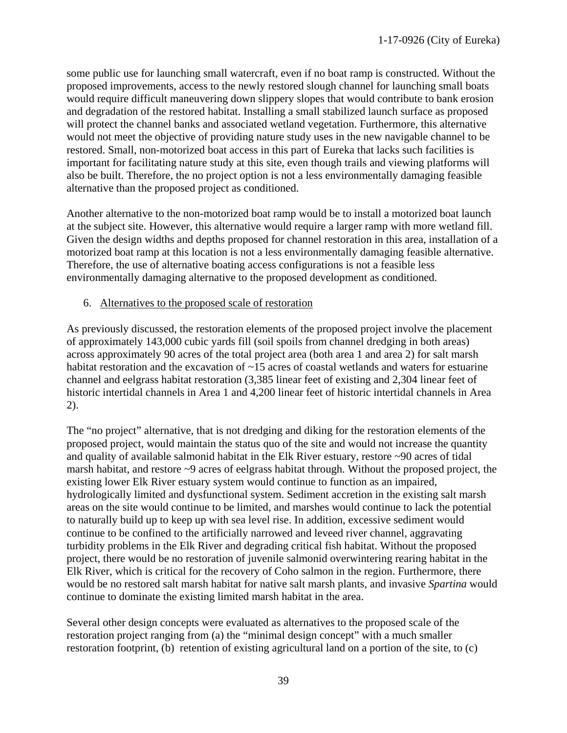some public use for launching small watercraft, even if no boat ramp is constructed. Without the proposed improvements, access to the newly restored slough channel for launching small boats would require difficult maneuvering down slippery slopes that would contribute to bank erosion and degradation of the restored habitat. Installing a small stabilized launch surface as proposed will protect the channel banks and associated wetland vegetation. Furthermore, this alternative would not meet the objective of providing nature study uses in the new navigable channel to be restored. Small, non-motorized boat access in this part of Eureka that lacks such facilities is important for facilitating nature study at this site, even though trails and viewing platforms will also be built. Therefore, the no project option is not a less environmentally damaging feasible alternative than the proposed project as conditioned.

Another alternative to the non-motorized boat ramp would be to install a motorized boat launch at the subject site. However, this alternative would require a larger ramp with more wetland fill. Given the design widths and depths proposed for channel restoration in this area, installation of a motorized boat ramp at this location is not a less environmentally damaging feasible alternative. Therefore, the use of alternative boating access configurations is not a feasible less environmentally damaging alternative to the proposed development as conditioned.

#### 6. Alternatives to the proposed scale of restoration

As previously discussed, the restoration elements of the proposed project involve the placement of approximately 143,000 cubic yards fill (soil spoils from channel dredging in both areas) across approximately 90 acres of the total project area (both area 1 and area 2) for salt marsh habitat restoration and the excavation of ~15 acres of coastal wetlands and waters for estuarine channel and eelgrass habitat restoration (3,385 linear feet of existing and 2,304 linear feet of historic intertidal channels in Area 1 and 4,200 linear feet of historic intertidal channels in Area 2).

The "no project" alternative, that is not dredging and diking for the restoration elements of the proposed project, would maintain the status quo of the site and would not increase the quantity and quality of available salmonid habitat in the Elk River estuary, restore ~90 acres of tidal marsh habitat, and restore ~9 acres of eelgrass habitat through. Without the proposed project, the existing lower Elk River estuary system would continue to function as an impaired, hydrologically limited and dysfunctional system. Sediment accretion in the existing salt marsh areas on the site would continue to be limited, and marshes would continue to lack the potential to naturally build up to keep up with sea level rise. In addition, excessive sediment would continue to be confined to the artificially narrowed and leveed river channel, aggravating turbidity problems in the Elk River and degrading critical fish habitat. Without the proposed project, there would be no restoration of juvenile salmonid overwintering rearing habitat in the Elk River, which is critical for the recovery of Coho salmon in the region. Furthermore, there would be no restored salt marsh habitat for native salt marsh plants, and invasive *Spartina* would continue to dominate the existing limited marsh habitat in the area.

Several other design concepts were evaluated as alternatives to the proposed scale of the restoration project ranging from (a) the "minimal design concept" with a much smaller restoration footprint, (b) retention of existing agricultural land on a portion of the site, to (c)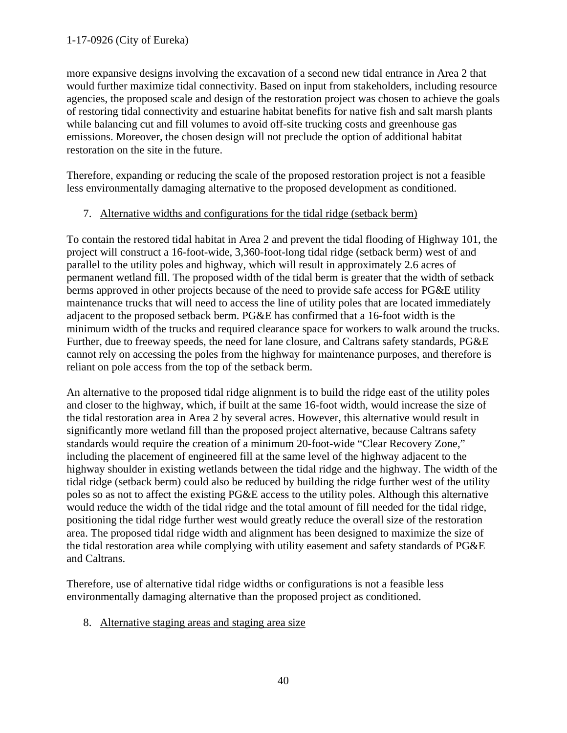more expansive designs involving the excavation of a second new tidal entrance in Area 2 that would further maximize tidal connectivity. Based on input from stakeholders, including resource agencies, the proposed scale and design of the restoration project was chosen to achieve the goals of restoring tidal connectivity and estuarine habitat benefits for native fish and salt marsh plants while balancing cut and fill volumes to avoid off-site trucking costs and greenhouse gas emissions. Moreover, the chosen design will not preclude the option of additional habitat restoration on the site in the future.

Therefore, expanding or reducing the scale of the proposed restoration project is not a feasible less environmentally damaging alternative to the proposed development as conditioned.

## 7. Alternative widths and configurations for the tidal ridge (setback berm)

To contain the restored tidal habitat in Area 2 and prevent the tidal flooding of Highway 101, the project will construct a 16-foot-wide, 3,360-foot-long tidal ridge (setback berm) west of and parallel to the utility poles and highway, which will result in approximately 2.6 acres of permanent wetland fill. The proposed width of the tidal berm is greater that the width of setback berms approved in other projects because of the need to provide safe access for PG&E utility maintenance trucks that will need to access the line of utility poles that are located immediately adjacent to the proposed setback berm. PG&E has confirmed that a 16-foot width is the minimum width of the trucks and required clearance space for workers to walk around the trucks. Further, due to freeway speeds, the need for lane closure, and Caltrans safety standards, PG&E cannot rely on accessing the poles from the highway for maintenance purposes, and therefore is reliant on pole access from the top of the setback berm.

An alternative to the proposed tidal ridge alignment is to build the ridge east of the utility poles and closer to the highway, which, if built at the same 16-foot width, would increase the size of the tidal restoration area in Area 2 by several acres. However, this alternative would result in significantly more wetland fill than the proposed project alternative, because Caltrans safety standards would require the creation of a minimum 20-foot-wide "Clear Recovery Zone," including the placement of engineered fill at the same level of the highway adjacent to the highway shoulder in existing wetlands between the tidal ridge and the highway. The width of the tidal ridge (setback berm) could also be reduced by building the ridge further west of the utility poles so as not to affect the existing PG&E access to the utility poles. Although this alternative would reduce the width of the tidal ridge and the total amount of fill needed for the tidal ridge, positioning the tidal ridge further west would greatly reduce the overall size of the restoration area. The proposed tidal ridge width and alignment has been designed to maximize the size of the tidal restoration area while complying with utility easement and safety standards of PG&E and Caltrans.

Therefore, use of alternative tidal ridge widths or configurations is not a feasible less environmentally damaging alternative than the proposed project as conditioned.

8. Alternative staging areas and staging area size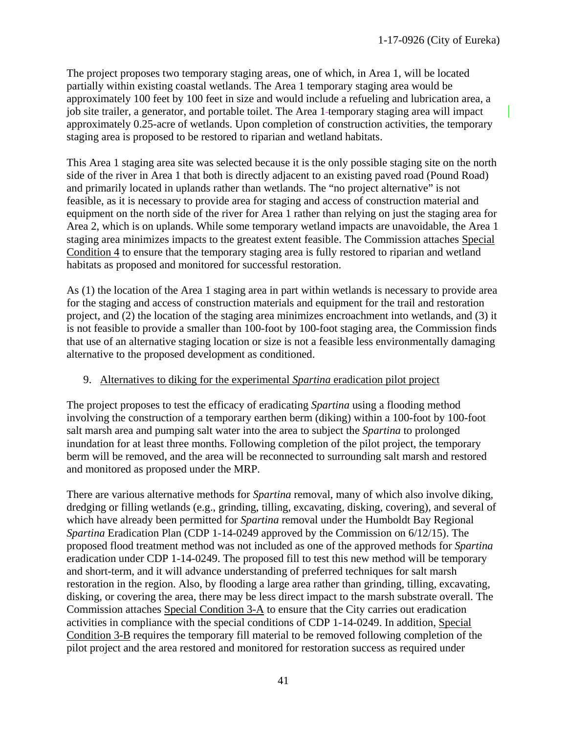The project proposes two temporary staging areas, one of which, in Area 1, will be located partially within existing coastal wetlands. The Area 1 temporary staging area would be approximately 100 feet by 100 feet in size and would include a refueling and lubrication area, a job site trailer, a generator, and portable toilet. The Area 1 temporary staging area will impact approximately 0.25-acre of wetlands. Upon completion of construction activities, the temporary staging area is proposed to be restored to riparian and wetland habitats.

This Area 1 staging area site was selected because it is the only possible staging site on the north side of the river in Area 1 that both is directly adjacent to an existing paved road (Pound Road) and primarily located in uplands rather than wetlands. The "no project alternative" is not feasible, as it is necessary to provide area for staging and access of construction material and equipment on the north side of the river for Area 1 rather than relying on just the staging area for Area 2, which is on uplands. While some temporary wetland impacts are unavoidable, the Area 1 staging area minimizes impacts to the greatest extent feasible. The Commission attaches Special Condition 4 to ensure that the temporary staging area is fully restored to riparian and wetland habitats as proposed and monitored for successful restoration.

As (1) the location of the Area 1 staging area in part within wetlands is necessary to provide area for the staging and access of construction materials and equipment for the trail and restoration project, and (2) the location of the staging area minimizes encroachment into wetlands, and (3) it is not feasible to provide a smaller than 100-foot by 100-foot staging area, the Commission finds that use of an alternative staging location or size is not a feasible less environmentally damaging alternative to the proposed development as conditioned.

#### 9. Alternatives to diking for the experimental *Spartina* eradication pilot project

The project proposes to test the efficacy of eradicating *Spartina* using a flooding method involving the construction of a temporary earthen berm (diking) within a 100-foot by 100-foot salt marsh area and pumping salt water into the area to subject the *Spartina* to prolonged inundation for at least three months. Following completion of the pilot project, the temporary berm will be removed, and the area will be reconnected to surrounding salt marsh and restored and monitored as proposed under the MRP.

There are various alternative methods for *Spartina* removal, many of which also involve diking, dredging or filling wetlands (e.g., grinding, tilling, excavating, disking, covering), and several of which have already been permitted for *Spartina* removal under the Humboldt Bay Regional *Spartina* Eradication Plan (CDP 1-14-0249 approved by the Commission on 6/12/15). The proposed flood treatment method was not included as one of the approved methods for *Spartina* eradication under CDP 1-14-0249. The proposed fill to test this new method will be temporary and short-term, and it will advance understanding of preferred techniques for salt marsh restoration in the region. Also, by flooding a large area rather than grinding, tilling, excavating, disking, or covering the area, there may be less direct impact to the marsh substrate overall. The Commission attaches Special Condition 3-A to ensure that the City carries out eradication activities in compliance with the special conditions of CDP 1-14-0249. In addition, Special Condition 3-B requires the temporary fill material to be removed following completion of the pilot project and the area restored and monitored for restoration success as required under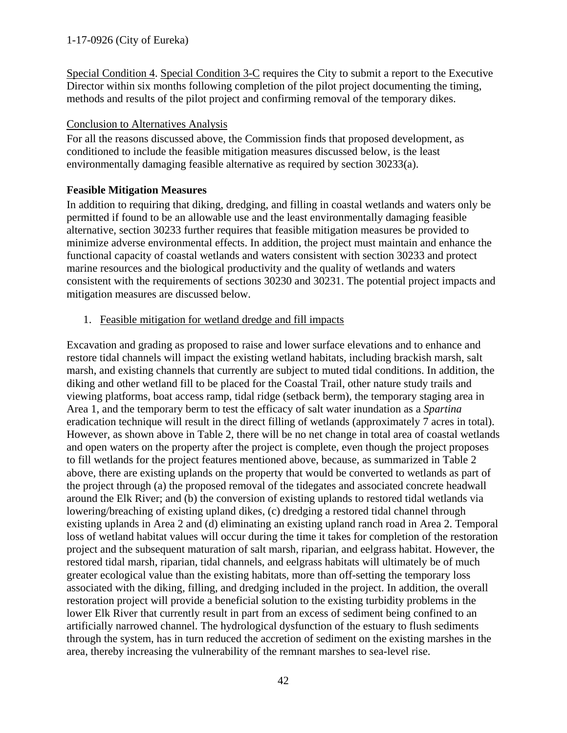Special Condition 4. Special Condition 3-C requires the City to submit a report to the Executive Director within six months following completion of the pilot project documenting the timing, methods and results of the pilot project and confirming removal of the temporary dikes.

# Conclusion to Alternatives Analysis

For all the reasons discussed above, the Commission finds that proposed development, as conditioned to include the feasible mitigation measures discussed below, is the least environmentally damaging feasible alternative as required by section 30233(a).

# **Feasible Mitigation Measures**

In addition to requiring that diking, dredging, and filling in coastal wetlands and waters only be permitted if found to be an allowable use and the least environmentally damaging feasible alternative, section 30233 further requires that feasible mitigation measures be provided to minimize adverse environmental effects. In addition, the project must maintain and enhance the functional capacity of coastal wetlands and waters consistent with section 30233 and protect marine resources and the biological productivity and the quality of wetlands and waters consistent with the requirements of sections 30230 and 30231. The potential project impacts and mitigation measures are discussed below.

1. Feasible mitigation for wetland dredge and fill impacts

Excavation and grading as proposed to raise and lower surface elevations and to enhance and restore tidal channels will impact the existing wetland habitats, including brackish marsh, salt marsh, and existing channels that currently are subject to muted tidal conditions. In addition, the diking and other wetland fill to be placed for the Coastal Trail, other nature study trails and viewing platforms, boat access ramp, tidal ridge (setback berm), the temporary staging area in Area 1, and the temporary berm to test the efficacy of salt water inundation as a *Spartina* eradication technique will result in the direct filling of wetlands (approximately 7 acres in total). However, as shown above in Table 2, there will be no net change in total area of coastal wetlands and open waters on the property after the project is complete, even though the project proposes to fill wetlands for the project features mentioned above, because, as summarized in Table 2 above, there are existing uplands on the property that would be converted to wetlands as part of the project through (a) the proposed removal of the tidegates and associated concrete headwall around the Elk River; and (b) the conversion of existing uplands to restored tidal wetlands via lowering/breaching of existing upland dikes, (c) dredging a restored tidal channel through existing uplands in Area 2 and (d) eliminating an existing upland ranch road in Area 2. Temporal loss of wetland habitat values will occur during the time it takes for completion of the restoration project and the subsequent maturation of salt marsh, riparian, and eelgrass habitat. However, the restored tidal marsh, riparian, tidal channels, and eelgrass habitats will ultimately be of much greater ecological value than the existing habitats, more than off-setting the temporary loss associated with the diking, filling, and dredging included in the project. In addition, the overall restoration project will provide a beneficial solution to the existing turbidity problems in the lower Elk River that currently result in part from an excess of sediment being confined to an artificially narrowed channel. The hydrological dysfunction of the estuary to flush sediments through the system, has in turn reduced the accretion of sediment on the existing marshes in the area, thereby increasing the vulnerability of the remnant marshes to sea-level rise.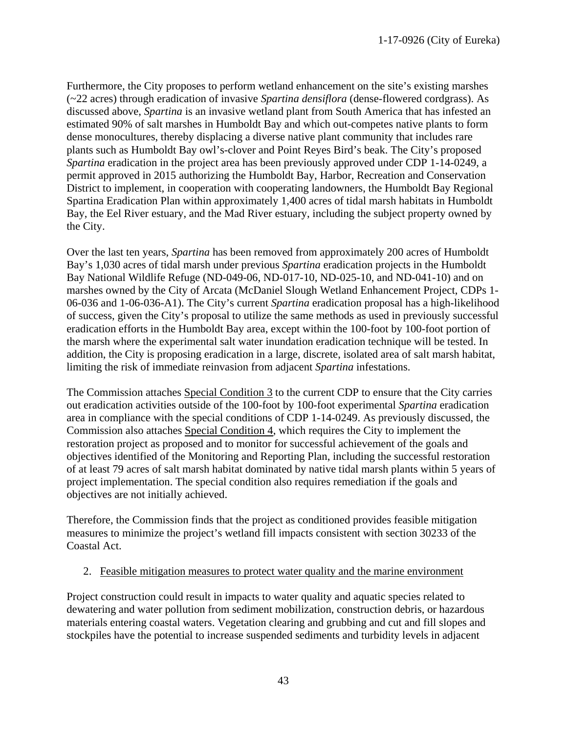Furthermore, the City proposes to perform wetland enhancement on the site's existing marshes (~22 acres) through eradication of invasive *Spartina densiflora* (dense-flowered cordgrass). As discussed above, *Spartina* is an invasive wetland plant from South America that has infested an estimated 90% of salt marshes in Humboldt Bay and which out-competes native plants to form dense monocultures, thereby displacing a diverse native plant community that includes rare plants such as Humboldt Bay owl's-clover and Point Reyes Bird's beak. The City's proposed *Spartina* eradication in the project area has been previously approved under CDP 1-14-0249, a permit approved in 2015 authorizing the Humboldt Bay, Harbor, Recreation and Conservation District to implement, in cooperation with cooperating landowners, the Humboldt Bay Regional Spartina Eradication Plan within approximately 1,400 acres of tidal marsh habitats in Humboldt Bay, the Eel River estuary, and the Mad River estuary, including the subject property owned by the City.

Over the last ten years, *Spartina* has been removed from approximately 200 acres of Humboldt Bay's 1,030 acres of tidal marsh under previous *Spartina* eradication projects in the Humboldt Bay National Wildlife Refuge (ND-049-06, ND-017-10, ND-025-10, and ND-041-10) and on marshes owned by the City of Arcata (McDaniel Slough Wetland Enhancement Project, CDPs 1- 06-036 and 1-06-036-A1). The City's current *Spartina* eradication proposal has a high-likelihood of success, given the City's proposal to utilize the same methods as used in previously successful eradication efforts in the Humboldt Bay area, except within the 100-foot by 100-foot portion of the marsh where the experimental salt water inundation eradication technique will be tested. In addition, the City is proposing eradication in a large, discrete, isolated area of salt marsh habitat, limiting the risk of immediate reinvasion from adjacent *Spartina* infestations.

The Commission attaches Special Condition 3 to the current CDP to ensure that the City carries out eradication activities outside of the 100-foot by 100-foot experimental *Spartina* eradication area in compliance with the special conditions of CDP 1-14-0249. As previously discussed, the Commission also attaches Special Condition 4, which requires the City to implement the restoration project as proposed and to monitor for successful achievement of the goals and objectives identified of the Monitoring and Reporting Plan, including the successful restoration of at least 79 acres of salt marsh habitat dominated by native tidal marsh plants within 5 years of project implementation. The special condition also requires remediation if the goals and objectives are not initially achieved.

Therefore, the Commission finds that the project as conditioned provides feasible mitigation measures to minimize the project's wetland fill impacts consistent with section 30233 of the Coastal Act.

#### 2. Feasible mitigation measures to protect water quality and the marine environment

Project construction could result in impacts to water quality and aquatic species related to dewatering and water pollution from sediment mobilization, construction debris, or hazardous materials entering coastal waters. Vegetation clearing and grubbing and cut and fill slopes and stockpiles have the potential to increase suspended sediments and turbidity levels in adjacent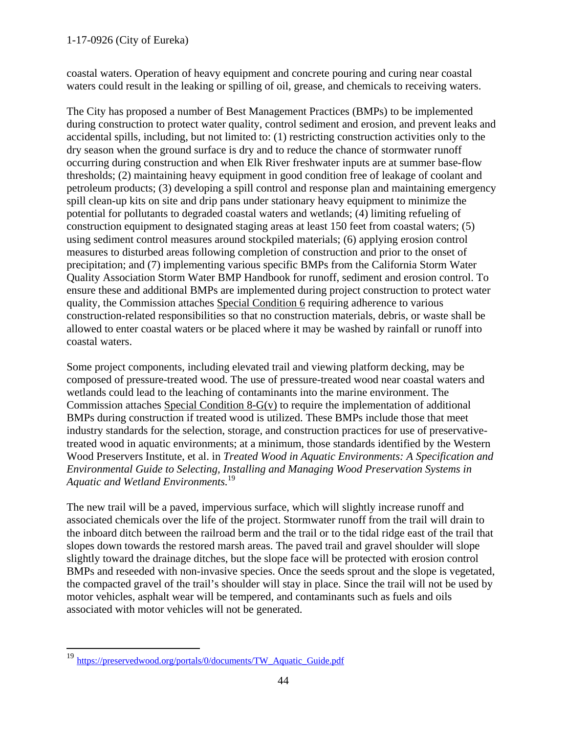coastal waters. Operation of heavy equipment and concrete pouring and curing near coastal waters could result in the leaking or spilling of oil, grease, and chemicals to receiving waters.

The City has proposed a number of Best Management Practices (BMPs) to be implemented during construction to protect water quality, control sediment and erosion, and prevent leaks and accidental spills, including, but not limited to: (1) restricting construction activities only to the dry season when the ground surface is dry and to reduce the chance of stormwater runoff occurring during construction and when Elk River freshwater inputs are at summer base-flow thresholds; (2) maintaining heavy equipment in good condition free of leakage of coolant and petroleum products; (3) developing a spill control and response plan and maintaining emergency spill clean-up kits on site and drip pans under stationary heavy equipment to minimize the potential for pollutants to degraded coastal waters and wetlands; (4) limiting refueling of construction equipment to designated staging areas at least 150 feet from coastal waters; (5) using sediment control measures around stockpiled materials; (6) applying erosion control measures to disturbed areas following completion of construction and prior to the onset of precipitation; and (7) implementing various specific BMPs from the California Storm Water Quality Association Storm Water BMP Handbook for runoff, sediment and erosion control. To ensure these and additional BMPs are implemented during project construction to protect water quality, the Commission attaches Special Condition 6 requiring adherence to various construction-related responsibilities so that no construction materials, debris, or waste shall be allowed to enter coastal waters or be placed where it may be washed by rainfall or runoff into coastal waters.

Some project components, including elevated trail and viewing platform decking, may be composed of pressure-treated wood. The use of pressure-treated wood near coastal waters and wetlands could lead to the leaching of contaminants into the marine environment. The Commission attaches Special Condition 8-G(v) to require the implementation of additional BMPs during construction if treated wood is utilized. These BMPs include those that meet industry standards for the selection, storage, and construction practices for use of preservativetreated wood in aquatic environments; at a minimum, those standards identified by the Western Wood Preservers Institute, et al. in *Treated Wood in Aquatic Environments: A Specification and Environmental Guide to Selecting, Installing and Managing Wood Preservation Systems in Aquatic and Wetland Environments.* 19

The new trail will be a paved, impervious surface, which will slightly increase runoff and associated chemicals over the life of the project. Stormwater runoff from the trail will drain to the inboard ditch between the railroad berm and the trail or to the tidal ridge east of the trail that slopes down towards the restored marsh areas. The paved trail and gravel shoulder will slope slightly toward the drainage ditches, but the slope face will be protected with erosion control BMPs and reseeded with non-invasive species. Once the seeds sprout and the slope is vegetated, the compacted gravel of the trail's shoulder will stay in place. Since the trail will not be used by motor vehicles, asphalt wear will be tempered, and contaminants such as fuels and oils associated with motor vehicles will not be generated.

 <sup>19</sup> https://preservedwood.org/portals/0/documents/TW\_Aquatic\_Guide.pdf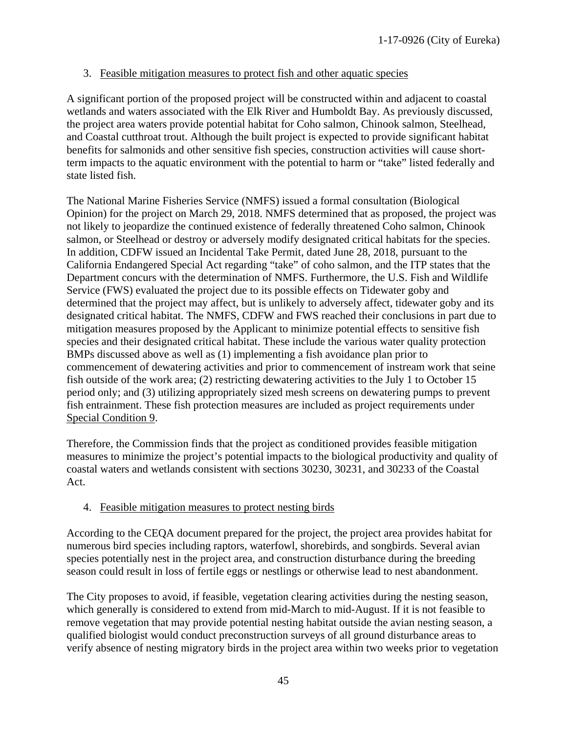## 3. Feasible mitigation measures to protect fish and other aquatic species

A significant portion of the proposed project will be constructed within and adjacent to coastal wetlands and waters associated with the Elk River and Humboldt Bay. As previously discussed, the project area waters provide potential habitat for Coho salmon, Chinook salmon, Steelhead, and Coastal cutthroat trout. Although the built project is expected to provide significant habitat benefits for salmonids and other sensitive fish species, construction activities will cause shortterm impacts to the aquatic environment with the potential to harm or "take" listed federally and state listed fish.

The National Marine Fisheries Service (NMFS) issued a formal consultation (Biological Opinion) for the project on March 29, 2018. NMFS determined that as proposed, the project was not likely to jeopardize the continued existence of federally threatened Coho salmon, Chinook salmon, or Steelhead or destroy or adversely modify designated critical habitats for the species. In addition, CDFW issued an Incidental Take Permit, dated June 28, 2018, pursuant to the California Endangered Special Act regarding "take" of coho salmon, and the ITP states that the Department concurs with the determination of NMFS. Furthermore, the U.S. Fish and Wildlife Service (FWS) evaluated the project due to its possible effects on Tidewater goby and determined that the project may affect, but is unlikely to adversely affect, tidewater goby and its designated critical habitat. The NMFS, CDFW and FWS reached their conclusions in part due to mitigation measures proposed by the Applicant to minimize potential effects to sensitive fish species and their designated critical habitat. These include the various water quality protection BMPs discussed above as well as (1) implementing a fish avoidance plan prior to commencement of dewatering activities and prior to commencement of instream work that seine fish outside of the work area; (2) restricting dewatering activities to the July 1 to October 15 period only; and (3) utilizing appropriately sized mesh screens on dewatering pumps to prevent fish entrainment. These fish protection measures are included as project requirements under Special Condition 9.

Therefore, the Commission finds that the project as conditioned provides feasible mitigation measures to minimize the project's potential impacts to the biological productivity and quality of coastal waters and wetlands consistent with sections 30230, 30231, and 30233 of the Coastal Act.

## 4. Feasible mitigation measures to protect nesting birds

According to the CEQA document prepared for the project, the project area provides habitat for numerous bird species including raptors, waterfowl, shorebirds, and songbirds. Several avian species potentially nest in the project area, and construction disturbance during the breeding season could result in loss of fertile eggs or nestlings or otherwise lead to nest abandonment.

The City proposes to avoid, if feasible, vegetation clearing activities during the nesting season, which generally is considered to extend from mid-March to mid-August. If it is not feasible to remove vegetation that may provide potential nesting habitat outside the avian nesting season, a qualified biologist would conduct preconstruction surveys of all ground disturbance areas to verify absence of nesting migratory birds in the project area within two weeks prior to vegetation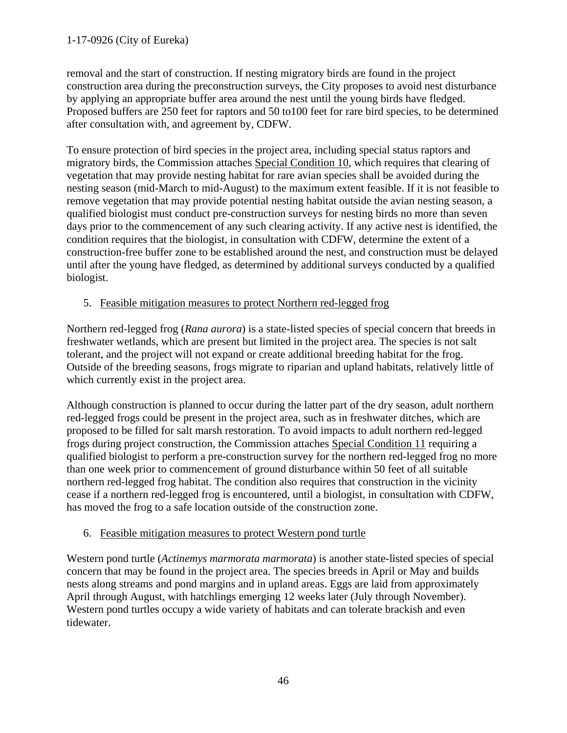removal and the start of construction. If nesting migratory birds are found in the project construction area during the preconstruction surveys, the City proposes to avoid nest disturbance by applying an appropriate buffer area around the nest until the young birds have fledged. Proposed buffers are 250 feet for raptors and 50 to100 feet for rare bird species, to be determined after consultation with, and agreement by, CDFW.

To ensure protection of bird species in the project area, including special status raptors and migratory birds, the Commission attaches Special Condition 10, which requires that clearing of vegetation that may provide nesting habitat for rare avian species shall be avoided during the nesting season (mid-March to mid-August) to the maximum extent feasible. If it is not feasible to remove vegetation that may provide potential nesting habitat outside the avian nesting season, a qualified biologist must conduct pre-construction surveys for nesting birds no more than seven days prior to the commencement of any such clearing activity. If any active nest is identified, the condition requires that the biologist, in consultation with CDFW, determine the extent of a construction-free buffer zone to be established around the nest, and construction must be delayed until after the young have fledged, as determined by additional surveys conducted by a qualified biologist.

# 5. Feasible mitigation measures to protect Northern red-legged frog

Northern red-legged frog (*Rana aurora*) is a state-listed species of special concern that breeds in freshwater wetlands, which are present but limited in the project area. The species is not salt tolerant, and the project will not expand or create additional breeding habitat for the frog. Outside of the breeding seasons, frogs migrate to riparian and upland habitats, relatively little of which currently exist in the project area.

Although construction is planned to occur during the latter part of the dry season, adult northern red-legged frogs could be present in the project area, such as in freshwater ditches, which are proposed to be filled for salt marsh restoration. To avoid impacts to adult northern red-legged frogs during project construction, the Commission attaches Special Condition 11 requiring a qualified biologist to perform a pre-construction survey for the northern red-legged frog no more than one week prior to commencement of ground disturbance within 50 feet of all suitable northern red-legged frog habitat. The condition also requires that construction in the vicinity cease if a northern red-legged frog is encountered, until a biologist, in consultation with CDFW, has moved the frog to a safe location outside of the construction zone.

## 6. Feasible mitigation measures to protect Western pond turtle

Western pond turtle (*Actinemys marmorata marmorata*) is another state-listed species of special concern that may be found in the project area. The species breeds in April or May and builds nests along streams and pond margins and in upland areas. Eggs are laid from approximately April through August, with hatchlings emerging 12 weeks later (July through November). Western pond turtles occupy a wide variety of habitats and can tolerate brackish and even tidewater.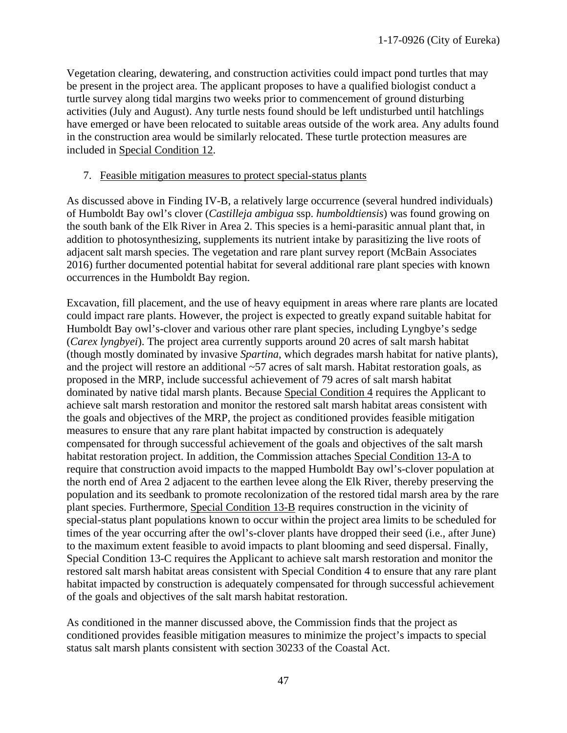Vegetation clearing, dewatering, and construction activities could impact pond turtles that may be present in the project area. The applicant proposes to have a qualified biologist conduct a turtle survey along tidal margins two weeks prior to commencement of ground disturbing activities (July and August). Any turtle nests found should be left undisturbed until hatchlings have emerged or have been relocated to suitable areas outside of the work area. Any adults found in the construction area would be similarly relocated. These turtle protection measures are included in Special Condition 12.

#### 7. Feasible mitigation measures to protect special-status plants

As discussed above in Finding IV-B, a relatively large occurrence (several hundred individuals) of Humboldt Bay owl's clover (*Castilleja ambigua* ssp. *humboldtiensis*) was found growing on the south bank of the Elk River in Area 2. This species is a hemi-parasitic annual plant that, in addition to photosynthesizing, supplements its nutrient intake by parasitizing the live roots of adjacent salt marsh species. The vegetation and rare plant survey report (McBain Associates 2016) further documented potential habitat for several additional rare plant species with known occurrences in the Humboldt Bay region.

Excavation, fill placement, and the use of heavy equipment in areas where rare plants are located could impact rare plants. However, the project is expected to greatly expand suitable habitat for Humboldt Bay owl's-clover and various other rare plant species, including Lyngbye's sedge (*Carex lyngbyei*). The project area currently supports around 20 acres of salt marsh habitat (though mostly dominated by invasive *Spartina*, which degrades marsh habitat for native plants), and the project will restore an additional ~57 acres of salt marsh. Habitat restoration goals, as proposed in the MRP, include successful achievement of 79 acres of salt marsh habitat dominated by native tidal marsh plants. Because Special Condition 4 requires the Applicant to achieve salt marsh restoration and monitor the restored salt marsh habitat areas consistent with the goals and objectives of the MRP, the project as conditioned provides feasible mitigation measures to ensure that any rare plant habitat impacted by construction is adequately compensated for through successful achievement of the goals and objectives of the salt marsh habitat restoration project. In addition, the Commission attaches Special Condition 13-A to require that construction avoid impacts to the mapped Humboldt Bay owl's-clover population at the north end of Area 2 adjacent to the earthen levee along the Elk River, thereby preserving the population and its seedbank to promote recolonization of the restored tidal marsh area by the rare plant species. Furthermore, Special Condition 13-B requires construction in the vicinity of special-status plant populations known to occur within the project area limits to be scheduled for times of the year occurring after the owl's-clover plants have dropped their seed (i.e., after June) to the maximum extent feasible to avoid impacts to plant blooming and seed dispersal. Finally, Special Condition 13-C requires the Applicant to achieve salt marsh restoration and monitor the restored salt marsh habitat areas consistent with Special Condition 4 to ensure that any rare plant habitat impacted by construction is adequately compensated for through successful achievement of the goals and objectives of the salt marsh habitat restoration.

As conditioned in the manner discussed above, the Commission finds that the project as conditioned provides feasible mitigation measures to minimize the project's impacts to special status salt marsh plants consistent with section 30233 of the Coastal Act.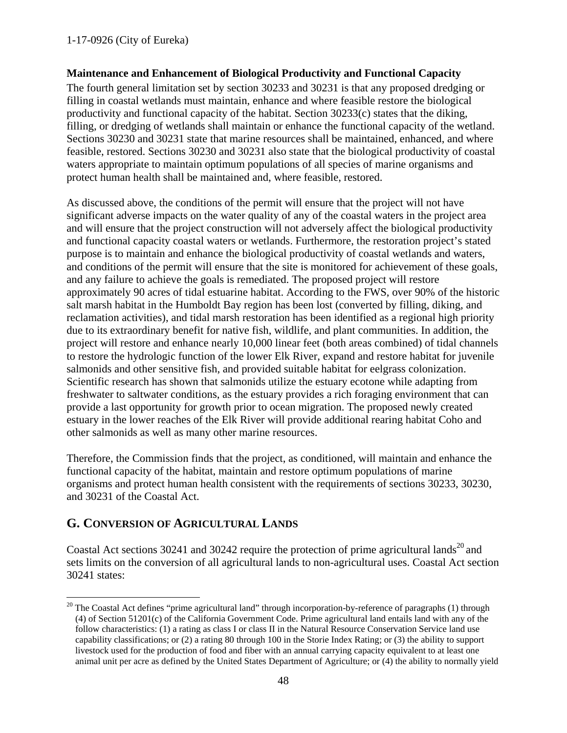## **Maintenance and Enhancement of Biological Productivity and Functional Capacity**

The fourth general limitation set by section 30233 and 30231 is that any proposed dredging or filling in coastal wetlands must maintain, enhance and where feasible restore the biological productivity and functional capacity of the habitat. Section 30233(c) states that the diking, filling, or dredging of wetlands shall maintain or enhance the functional capacity of the wetland. Sections 30230 and 30231 state that marine resources shall be maintained, enhanced, and where feasible, restored. Sections 30230 and 30231 also state that the biological productivity of coastal waters appropriate to maintain optimum populations of all species of marine organisms and protect human health shall be maintained and, where feasible, restored.

As discussed above, the conditions of the permit will ensure that the project will not have significant adverse impacts on the water quality of any of the coastal waters in the project area and will ensure that the project construction will not adversely affect the biological productivity and functional capacity coastal waters or wetlands. Furthermore, the restoration project's stated purpose is to maintain and enhance the biological productivity of coastal wetlands and waters, and conditions of the permit will ensure that the site is monitored for achievement of these goals, and any failure to achieve the goals is remediated. The proposed project will restore approximately 90 acres of tidal estuarine habitat. According to the FWS, over 90% of the historic salt marsh habitat in the Humboldt Bay region has been lost (converted by filling, diking, and reclamation activities), and tidal marsh restoration has been identified as a regional high priority due to its extraordinary benefit for native fish, wildlife, and plant communities. In addition, the project will restore and enhance nearly 10,000 linear feet (both areas combined) of tidal channels to restore the hydrologic function of the lower Elk River, expand and restore habitat for juvenile salmonids and other sensitive fish, and provided suitable habitat for eelgrass colonization. Scientific research has shown that salmonids utilize the estuary ecotone while adapting from freshwater to saltwater conditions, as the estuary provides a rich foraging environment that can provide a last opportunity for growth prior to ocean migration. The proposed newly created estuary in the lower reaches of the Elk River will provide additional rearing habitat Coho and other salmonids as well as many other marine resources.

Therefore, the Commission finds that the project, as conditioned, will maintain and enhance the functional capacity of the habitat, maintain and restore optimum populations of marine organisms and protect human health consistent with the requirements of sections 30233, 30230, and 30231 of the Coastal Act.

# <span id="page-47-0"></span>**G. CONVERSION OF AGRICULTURAL LANDS**

Coastal Act sections 30241 and 30242 require the protection of prime agricultural lands<sup>20</sup> and sets limits on the conversion of all agricultural lands to non-agricultural uses. Coastal Act section 30241 states:

 $20$  The Coastal Act defines "prime agricultural land" through incorporation-by-reference of paragraphs (1) through (4) of Section 51201(c) of the California Government Code. Prime agricultural land entails land with any of the follow characteristics: (1) a rating as class I or class II in the Natural Resource Conservation Service land use capability classifications; or (2) a rating 80 through 100 in the Storie Index Rating; or (3) the ability to support livestock used for the production of food and fiber with an annual carrying capacity equivalent to at least one animal unit per acre as defined by the United States Department of Agriculture; or (4) the ability to normally yield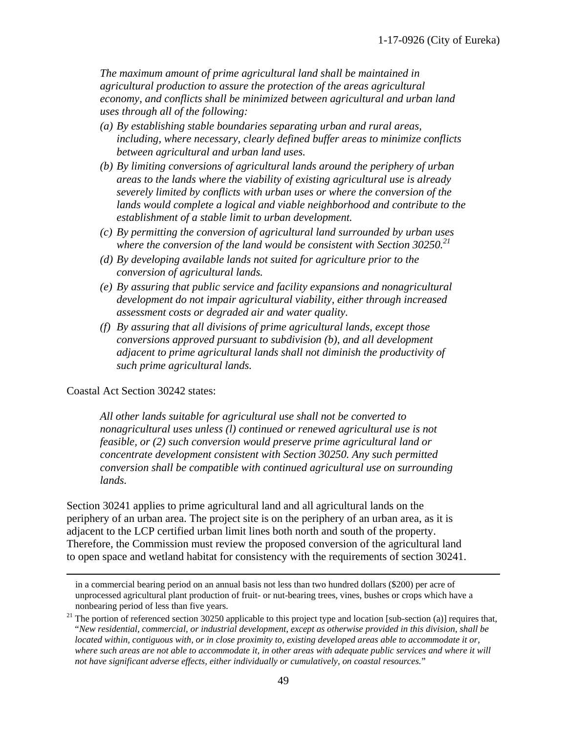*The maximum amount of prime agricultural land shall be maintained in agricultural production to assure the protection of the areas agricultural economy, and conflicts shall be minimized between agricultural and urban land uses through all of the following:*

- *(a) By establishing stable boundaries separating urban and rural areas, including, where necessary, clearly defined buffer areas to minimize conflicts between agricultural and urban land uses.*
- *(b) By limiting conversions of agricultural lands around the periphery of urban areas to the lands where the viability of existing agricultural use is already severely limited by conflicts with urban uses or where the conversion of the lands would complete a logical and viable neighborhood and contribute to the establishment of a stable limit to urban development.*
- *(c) By permitting the conversion of agricultural land surrounded by urban uses where the conversion of the land would be consistent with Section 30250.<sup>21</sup>*
- *(d) By developing available lands not suited for agriculture prior to the conversion of agricultural lands.*
- *(e) By assuring that public service and facility expansions and nonagricultural development do not impair agricultural viability, either through increased assessment costs or degraded air and water quality.*
- *(f) By assuring that all divisions of prime agricultural lands, except those conversions approved pursuant to subdivision (b), and all development adjacent to prime agricultural lands shall not diminish the productivity of such prime agricultural lands.*

#### Coastal Act Section 30242 states:

*All other lands suitable for agricultural use shall not be converted to nonagricultural uses unless (l) continued or renewed agricultural use is not feasible, or (2) such conversion would preserve prime agricultural land or concentrate development consistent with Section 30250. Any such permitted conversion shall be compatible with continued agricultural use on surrounding lands.*

Section 30241 applies to prime agricultural land and all agricultural lands on the periphery of an urban area. The project site is on the periphery of an urban area, as it is adjacent to the LCP certified urban limit lines both north and south of the property. Therefore, the Commission must review the proposed conversion of the agricultural land to open space and wetland habitat for consistency with the requirements of section 30241.

in a commercial bearing period on an annual basis not less than two hundred dollars (\$200) per acre of unprocessed agricultural plant production of fruit- or nut-bearing trees, vines, bushes or crops which have a nonbearing period of less than five years.

 $21$  The portion of referenced section 30250 applicable to this project type and location [sub-section (a)] requires that, "*New residential, commercial, or industrial development, except as otherwise provided in this division, shall be located within, contiguous with, or in close proximity to, existing developed areas able to accommodate it or, where such areas are not able to accommodate it, in other areas with adequate public services and where it will not have significant adverse effects, either individually or cumulatively, on coastal resources.*"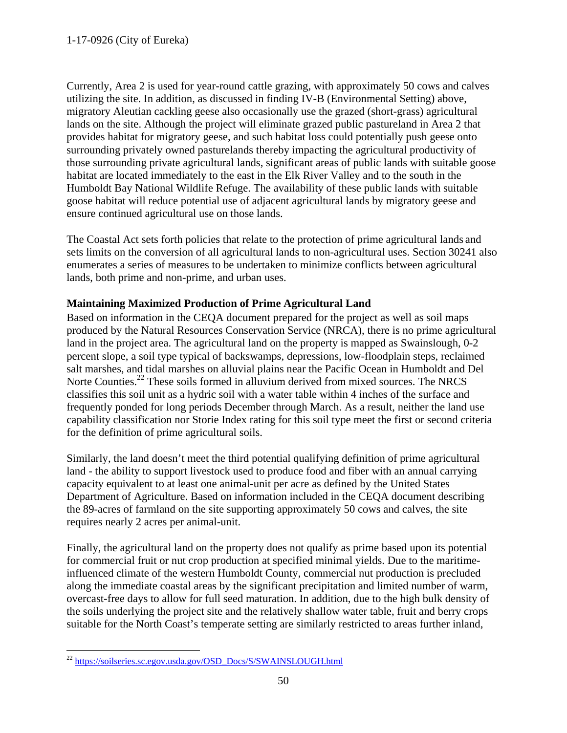Currently, Area 2 is used for year-round cattle grazing, with approximately 50 cows and calves utilizing the site. In addition, as discussed in finding IV-B (Environmental Setting) above, migratory Aleutian cackling geese also occasionally use the grazed (short-grass) agricultural lands on the site. Although the project will eliminate grazed public pastureland in Area 2 that provides habitat for migratory geese, and such habitat loss could potentially push geese onto surrounding privately owned pasturelands thereby impacting the agricultural productivity of those surrounding private agricultural lands, significant areas of public lands with suitable goose habitat are located immediately to the east in the Elk River Valley and to the south in the Humboldt Bay National Wildlife Refuge. The availability of these public lands with suitable goose habitat will reduce potential use of adjacent agricultural lands by migratory geese and ensure continued agricultural use on those lands.

The Coastal Act sets forth policies that relate to the protection of prime agricultural lands and sets limits on the conversion of all agricultural lands to non-agricultural uses. Section 30241 also enumerates a series of measures to be undertaken to minimize conflicts between agricultural lands, both prime and non-prime, and urban uses.

# **Maintaining Maximized Production of Prime Agricultural Land**

Based on information in the CEQA document prepared for the project as well as soil maps produced by the Natural Resources Conservation Service (NRCA), there is no prime agricultural land in the project area. The agricultural land on the property is mapped as Swainslough, 0-2 percent slope, a soil type typical of backswamps, depressions, low-floodplain steps, reclaimed salt marshes, and tidal marshes on alluvial plains near the Pacific Ocean in Humboldt and Del Norte Counties.<sup>22</sup> These soils formed in alluvium derived from mixed sources. The NRCS classifies this soil unit as a hydric soil with a water table within 4 inches of the surface and frequently ponded for long periods December through March. As a result, neither the land use capability classification nor Storie Index rating for this soil type meet the first or second criteria for the definition of prime agricultural soils.

Similarly, the land doesn't meet the third potential qualifying definition of prime agricultural land - the ability to support livestock used to produce food and fiber with an annual carrying capacity equivalent to at least one animal-unit per acre as defined by the United States Department of Agriculture. Based on information included in the CEQA document describing the 89-acres of farmland on the site supporting approximately 50 cows and calves, the site requires nearly 2 acres per animal-unit.

Finally, the agricultural land on the property does not qualify as prime based upon its potential for commercial fruit or nut crop production at specified minimal yields. Due to the maritimeinfluenced climate of the western Humboldt County, commercial nut production is precluded along the immediate coastal areas by the significant precipitation and limited number of warm, overcast-free days to allow for full seed maturation. In addition, due to the high bulk density of the soils underlying the project site and the relatively shallow water table, fruit and berry crops suitable for the North Coast's temperate setting are similarly restricted to areas further inland,

<sup>&</sup>lt;sup>22</sup> [https://soilseries.sc.egov.usda.gov/OSD\\_Docs/S/SWAINSLOUGH.html](https://soilseries.sc.egov.usda.gov/OSD_Docs/S/SWAINSLOUGH.html)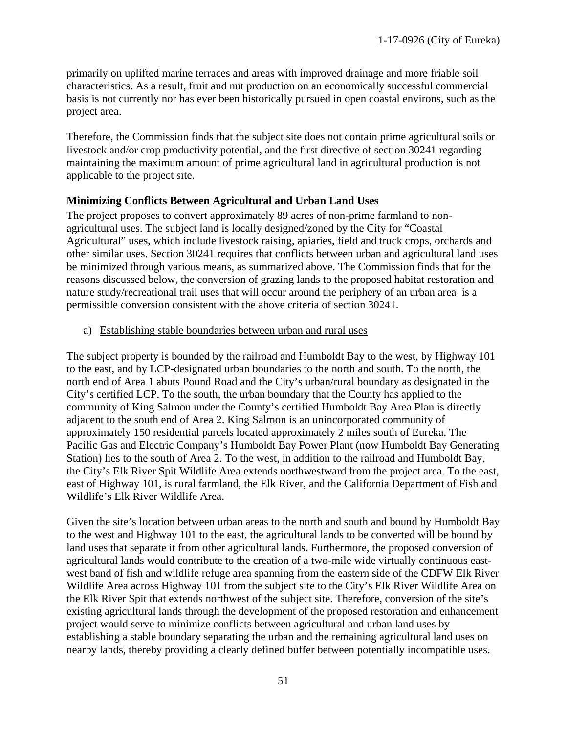primarily on uplifted marine terraces and areas with improved drainage and more friable soil characteristics. As a result, fruit and nut production on an economically successful commercial basis is not currently nor has ever been historically pursued in open coastal environs, such as the project area.

Therefore, the Commission finds that the subject site does not contain prime agricultural soils or livestock and/or crop productivity potential, and the first directive of section 30241 regarding maintaining the maximum amount of prime agricultural land in agricultural production is not applicable to the project site.

### **Minimizing Conflicts Between Agricultural and Urban Land Uses**

The project proposes to convert approximately 89 acres of non-prime farmland to nonagricultural uses. The subject land is locally designed/zoned by the City for "Coastal Agricultural" uses, which include livestock raising, apiaries, field and truck crops, orchards and other similar uses. Section 30241 requires that conflicts between urban and agricultural land uses be minimized through various means, as summarized above. The Commission finds that for the reasons discussed below, the conversion of grazing lands to the proposed habitat restoration and nature study/recreational trail uses that will occur around the periphery of an urban area is a permissible conversion consistent with the above criteria of section 30241.

a) Establishing stable boundaries between urban and rural uses

The subject property is bounded by the railroad and Humboldt Bay to the west, by Highway 101 to the east, and by LCP-designated urban boundaries to the north and south. To the north, the north end of Area 1 abuts Pound Road and the City's urban/rural boundary as designated in the City's certified LCP. To the south, the urban boundary that the County has applied to the community of King Salmon under the County's certified Humboldt Bay Area Plan is directly adjacent to the south end of Area 2. King Salmon is an unincorporated community of approximately 150 residential parcels located approximately 2 miles south of Eureka. The Pacific Gas and Electric Company's Humboldt Bay Power Plant (now Humboldt Bay Generating Station) lies to the south of Area 2. To the west, in addition to the railroad and Humboldt Bay, the City's Elk River Spit Wildlife Area extends northwestward from the project area. To the east, east of Highway 101, is rural farmland, the Elk River, and the California Department of Fish and Wildlife's Elk River Wildlife Area.

Given the site's location between urban areas to the north and south and bound by Humboldt Bay to the west and Highway 101 to the east, the agricultural lands to be converted will be bound by land uses that separate it from other agricultural lands. Furthermore, the proposed conversion of agricultural lands would contribute to the creation of a two-mile wide virtually continuous eastwest band of fish and wildlife refuge area spanning from the eastern side of the CDFW Elk River Wildlife Area across Highway 101 from the subject site to the City's Elk River Wildlife Area on the Elk River Spit that extends northwest of the subject site. Therefore, conversion of the site's existing agricultural lands through the development of the proposed restoration and enhancement project would serve to minimize conflicts between agricultural and urban land uses by establishing a stable boundary separating the urban and the remaining agricultural land uses on nearby lands, thereby providing a clearly defined buffer between potentially incompatible uses.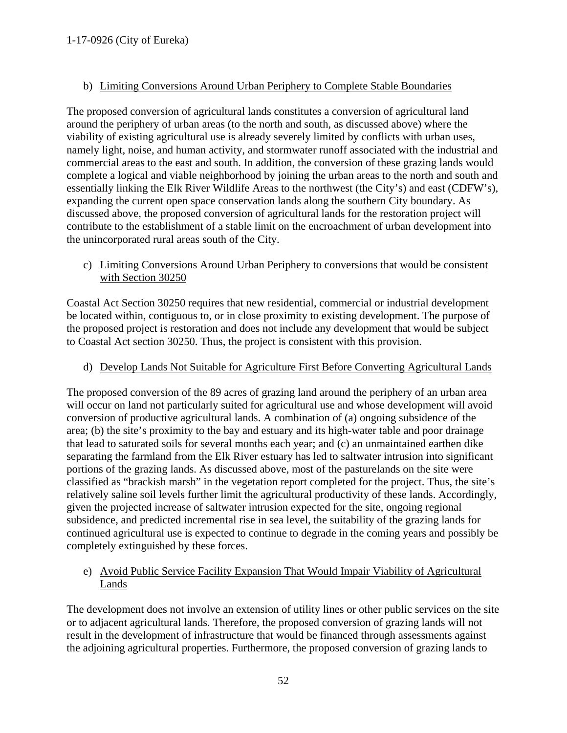# b) Limiting Conversions Around Urban Periphery to Complete Stable Boundaries

The proposed conversion of agricultural lands constitutes a conversion of agricultural land around the periphery of urban areas (to the north and south, as discussed above) where the viability of existing agricultural use is already severely limited by conflicts with urban uses, namely light, noise, and human activity, and stormwater runoff associated with the industrial and commercial areas to the east and south. In addition, the conversion of these grazing lands would complete a logical and viable neighborhood by joining the urban areas to the north and south and essentially linking the Elk River Wildlife Areas to the northwest (the City's) and east (CDFW's), expanding the current open space conservation lands along the southern City boundary. As discussed above, the proposed conversion of agricultural lands for the restoration project will contribute to the establishment of a stable limit on the encroachment of urban development into the unincorporated rural areas south of the City.

c) Limiting Conversions Around Urban Periphery to conversions that would be consistent with Section 30250

Coastal Act Section 30250 requires that new residential, commercial or industrial development be located within, contiguous to, or in close proximity to existing development. The purpose of the proposed project is restoration and does not include any development that would be subject to Coastal Act section 30250. Thus, the project is consistent with this provision.

d) Develop Lands Not Suitable for Agriculture First Before Converting Agricultural Lands

The proposed conversion of the 89 acres of grazing land around the periphery of an urban area will occur on land not particularly suited for agricultural use and whose development will avoid conversion of productive agricultural lands. A combination of (a) ongoing subsidence of the area; (b) the site's proximity to the bay and estuary and its high-water table and poor drainage that lead to saturated soils for several months each year; and (c) an unmaintained earthen dike separating the farmland from the Elk River estuary has led to saltwater intrusion into significant portions of the grazing lands. As discussed above, most of the pasturelands on the site were classified as "brackish marsh" in the vegetation report completed for the project. Thus, the site's relatively saline soil levels further limit the agricultural productivity of these lands. Accordingly, given the projected increase of saltwater intrusion expected for the site, ongoing regional subsidence, and predicted incremental rise in sea level, the suitability of the grazing lands for continued agricultural use is expected to continue to degrade in the coming years and possibly be completely extinguished by these forces.

# e) Avoid Public Service Facility Expansion That Would Impair Viability of Agricultural Lands

The development does not involve an extension of utility lines or other public services on the site or to adjacent agricultural lands. Therefore, the proposed conversion of grazing lands will not result in the development of infrastructure that would be financed through assessments against the adjoining agricultural properties. Furthermore, the proposed conversion of grazing lands to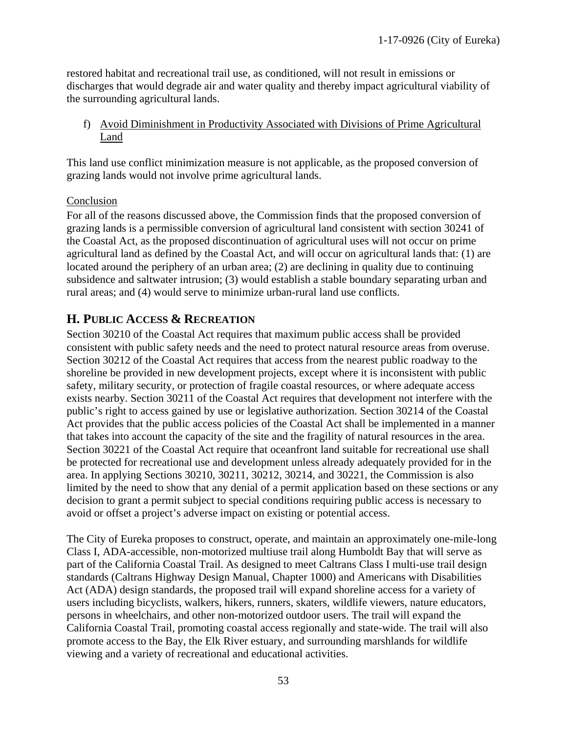restored habitat and recreational trail use, as conditioned, will not result in emissions or discharges that would degrade air and water quality and thereby impact agricultural viability of the surrounding agricultural lands.

f) Avoid Diminishment in Productivity Associated with Divisions of Prime Agricultural Land

This land use conflict minimization measure is not applicable, as the proposed conversion of grazing lands would not involve prime agricultural lands.

## Conclusion

For all of the reasons discussed above, the Commission finds that the proposed conversion of grazing lands is a permissible conversion of agricultural land consistent with section 30241 of the Coastal Act, as the proposed discontinuation of agricultural uses will not occur on prime agricultural land as defined by the Coastal Act, and will occur on agricultural lands that: (1) are located around the periphery of an urban area; (2) are declining in quality due to continuing subsidence and saltwater intrusion; (3) would establish a stable boundary separating urban and rural areas; and (4) would serve to minimize urban-rural land use conflicts.

# <span id="page-52-0"></span>**H. PUBLIC ACCESS & RECREATION**

Section 30210 of the Coastal Act requires that maximum public access shall be provided consistent with public safety needs and the need to protect natural resource areas from overuse. Section 30212 of the Coastal Act requires that access from the nearest public roadway to the shoreline be provided in new development projects, except where it is inconsistent with public safety, military security, or protection of fragile coastal resources, or where adequate access exists nearby. Section 30211 of the Coastal Act requires that development not interfere with the public's right to access gained by use or legislative authorization. Section 30214 of the Coastal Act provides that the public access policies of the Coastal Act shall be implemented in a manner that takes into account the capacity of the site and the fragility of natural resources in the area. Section 30221 of the Coastal Act require that oceanfront land suitable for recreational use shall be protected for recreational use and development unless already adequately provided for in the area. In applying Sections 30210, 30211, 30212, 30214, and 30221, the Commission is also limited by the need to show that any denial of a permit application based on these sections or any decision to grant a permit subject to special conditions requiring public access is necessary to avoid or offset a project's adverse impact on existing or potential access.

The City of Eureka proposes to construct, operate, and maintain an approximately one-mile-long Class I, ADA-accessible, non-motorized multiuse trail along Humboldt Bay that will serve as part of the California Coastal Trail. As designed to meet Caltrans Class I multi-use trail design standards (Caltrans Highway Design Manual, Chapter 1000) and Americans with Disabilities Act (ADA) design standards, the proposed trail will expand shoreline access for a variety of users including bicyclists, walkers, hikers, runners, skaters, wildlife viewers, nature educators, persons in wheelchairs, and other non-motorized outdoor users. The trail will expand the California Coastal Trail, promoting coastal access regionally and state-wide. The trail will also promote access to the Bay, the Elk River estuary, and surrounding marshlands for wildlife viewing and a variety of recreational and educational activities.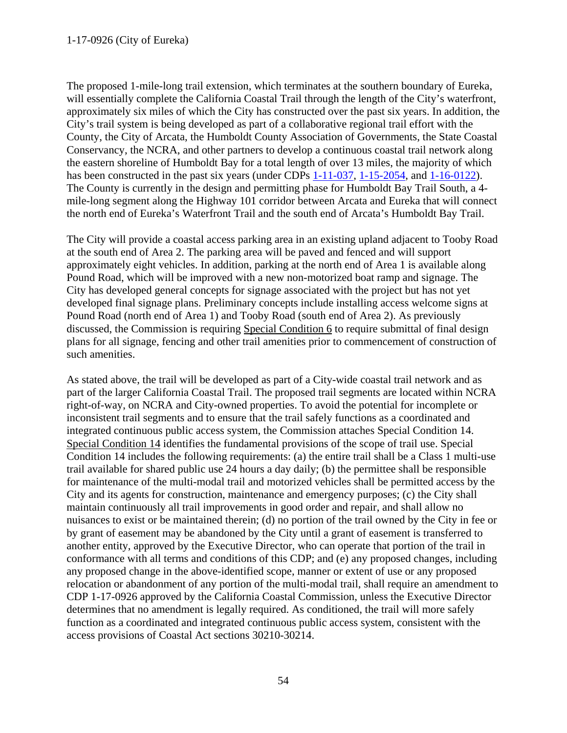The proposed 1-mile-long trail extension, which terminates at the southern boundary of Eureka, will essentially complete the California Coastal Trail through the length of the City's waterfront, approximately six miles of which the City has constructed over the past six years. In addition, the City's trail system is being developed as part of a collaborative regional trail effort with the County, the City of Arcata, the Humboldt County Association of Governments, the State Coastal Conservancy, the NCRA, and other partners to develop a continuous coastal trail network along the eastern shoreline of Humboldt Bay for a total length of over 13 miles, the majority of which has been constructed in the past six years (under CDPs [1-11-037,](https://documents.coastal.ca.gov/reports/2012/3/F8b-3-2012.pdf) [1-15-2054,](https://documents.coastal.ca.gov/reports/2016/5/w25a-5-2016.pdf) and [1-16-0122\)](https://documents.coastal.ca.gov/reports/2016/9/f8a-9-2016.pdf). The County is currently in the design and permitting phase for Humboldt Bay Trail South, a 4 mile-long segment along the Highway 101 corridor between Arcata and Eureka that will connect the north end of Eureka's Waterfront Trail and the south end of Arcata's Humboldt Bay Trail.

The City will provide a coastal access parking area in an existing upland adjacent to Tooby Road at the south end of Area 2. The parking area will be paved and fenced and will support approximately eight vehicles. In addition, parking at the north end of Area 1 is available along Pound Road, which will be improved with a new non-motorized boat ramp and signage. The City has developed general concepts for signage associated with the project but has not yet developed final signage plans. Preliminary concepts include installing access welcome signs at Pound Road (north end of Area 1) and Tooby Road (south end of Area 2). As previously discussed, the Commission is requiring Special Condition 6 to require submittal of final design plans for all signage, fencing and other trail amenities prior to commencement of construction of such amenities.

As stated above, the trail will be developed as part of a City-wide coastal trail network and as part of the larger California Coastal Trail. The proposed trail segments are located within NCRA right-of-way, on NCRA and City-owned properties. To avoid the potential for incomplete or inconsistent trail segments and to ensure that the trail safely functions as a coordinated and integrated continuous public access system, the Commission attaches Special Condition 14. Special Condition 14 identifies the fundamental provisions of the scope of trail use. Special Condition 14 includes the following requirements: (a) the entire trail shall be a Class 1 multi-use trail available for shared public use 24 hours a day daily; (b) the permittee shall be responsible for maintenance of the multi-modal trail and motorized vehicles shall be permitted access by the City and its agents for construction, maintenance and emergency purposes; (c) the City shall maintain continuously all trail improvements in good order and repair, and shall allow no nuisances to exist or be maintained therein; (d) no portion of the trail owned by the City in fee or by grant of easement may be abandoned by the City until a grant of easement is transferred to another entity, approved by the Executive Director, who can operate that portion of the trail in conformance with all terms and conditions of this CDP; and (e) any proposed changes, including any proposed change in the above-identified scope, manner or extent of use or any proposed relocation or abandonment of any portion of the multi-modal trail, shall require an amendment to CDP 1-17-0926 approved by the California Coastal Commission, unless the Executive Director determines that no amendment is legally required. As conditioned, the trail will more safely function as a coordinated and integrated continuous public access system, consistent with the access provisions of Coastal Act sections 30210-30214.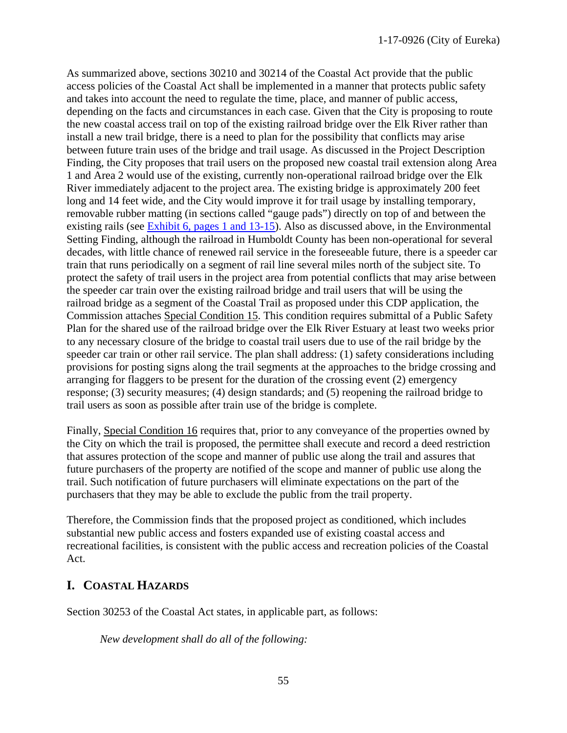As summarized above, sections 30210 and 30214 of the Coastal Act provide that the public access policies of the Coastal Act shall be implemented in a manner that protects public safety and takes into account the need to regulate the time, place, and manner of public access, depending on the facts and circumstances in each case. Given that the City is proposing to route the new coastal access trail on top of the existing railroad bridge over the Elk River rather than install a new trail bridge, there is a need to plan for the possibility that conflicts may arise between future train uses of the bridge and trail usage. As discussed in the Project Description Finding, the City proposes that trail users on the proposed new coastal trail extension along Area 1 and Area 2 would use of the existing, currently non-operational railroad bridge over the Elk River immediately adjacent to the project area. The existing bridge is approximately 200 feet long and 14 feet wide, and the City would improve it for trail usage by installing temporary, removable rubber matting (in sections called "gauge pads") directly on top of and between the existing rails (see [Exhibit 6, pages 1 and 13-15\)](https://documents.coastal.ca.gov/reports/2018/12/th9a/th9a-12-2018-exhibits.pdf). Also as discussed above, in the Environmental Setting Finding, although the railroad in Humboldt County has been non-operational for several decades, with little chance of renewed rail service in the foreseeable future, there is a speeder car train that runs periodically on a segment of rail line several miles north of the subject site. To protect the safety of trail users in the project area from potential conflicts that may arise between the speeder car train over the existing railroad bridge and trail users that will be using the railroad bridge as a segment of the Coastal Trail as proposed under this CDP application, the Commission attaches Special Condition 15. This condition requires submittal of a Public Safety Plan for the shared use of the railroad bridge over the Elk River Estuary at least two weeks prior to any necessary closure of the bridge to coastal trail users due to use of the rail bridge by the speeder car train or other rail service. The plan shall address: (1) safety considerations including provisions for posting signs along the trail segments at the approaches to the bridge crossing and arranging for flaggers to be present for the duration of the crossing event (2) emergency response; (3) security measures; (4) design standards; and (5) reopening the railroad bridge to trail users as soon as possible after train use of the bridge is complete.

Finally, Special Condition 16 requires that, prior to any conveyance of the properties owned by the City on which the trail is proposed, the permittee shall execute and record a deed restriction that assures protection of the scope and manner of public use along the trail and assures that future purchasers of the property are notified of the scope and manner of public use along the trail. Such notification of future purchasers will eliminate expectations on the part of the purchasers that they may be able to exclude the public from the trail property.

Therefore, the Commission finds that the proposed project as conditioned, which includes substantial new public access and fosters expanded use of existing coastal access and recreational facilities, is consistent with the public access and recreation policies of the Coastal Act.

# <span id="page-54-0"></span>**I. COASTAL HAZARDS**

Section 30253 of the Coastal Act states, in applicable part, as follows:

*New development shall do all of the following:*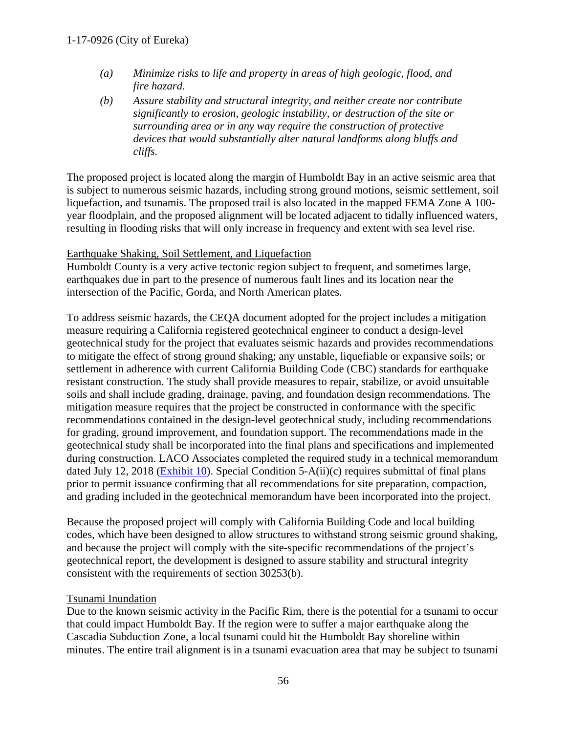- *(a) Minimize risks to life and property in areas of high geologic, flood, and fire hazard.*
- *(b) Assure stability and structural integrity, and neither create nor contribute significantly to erosion, geologic instability, or destruction of the site or surrounding area or in any way require the construction of protective devices that would substantially alter natural landforms along bluffs and cliffs.*

The proposed project is located along the margin of Humboldt Bay in an active seismic area that is subject to numerous seismic hazards, including strong ground motions, seismic settlement, soil liquefaction, and tsunamis. The proposed trail is also located in the mapped FEMA Zone A 100 year floodplain, and the proposed alignment will be located adjacent to tidally influenced waters, resulting in flooding risks that will only increase in frequency and extent with sea level rise.

### Earthquake Shaking, Soil Settlement, and Liquefaction

Humboldt County is a very active tectonic region subject to frequent, and sometimes large, earthquakes due in part to the presence of numerous fault lines and its location near the intersection of the Pacific, Gorda, and North American plates.

To address seismic hazards, the CEQA document adopted for the project includes a mitigation measure requiring a California registered geotechnical engineer to conduct a design-level geotechnical study for the project that evaluates seismic hazards and provides recommendations to mitigate the effect of strong ground shaking; any unstable, liquefiable or expansive soils; or settlement in adherence with current California Building Code (CBC) standards for earthquake resistant construction. The study shall provide measures to repair, stabilize, or avoid unsuitable soils and shall include grading, drainage, paving, and foundation design recommendations. The mitigation measure requires that the project be constructed in conformance with the specific recommendations contained in the design-level geotechnical study, including recommendations for grading, ground improvement, and foundation support. The recommendations made in the geotechnical study shall be incorporated into the final plans and specifications and implemented during construction. LACO Associates completed the required study in a technical memorandum dated July 12, 2018 [\(Exhibit 10\)](https://documents.coastal.ca.gov/reports/2018/12/th9a/th9a-12-2018-exhibits.pdf). Special Condition 5-A(ii)(c) requires submittal of final plans prior to permit issuance confirming that all recommendations for site preparation, compaction, and grading included in the geotechnical memorandum have been incorporated into the project.

Because the proposed project will comply with California Building Code and local building codes, which have been designed to allow structures to withstand strong seismic ground shaking, and because the project will comply with the site-specific recommendations of the project's geotechnical report, the development is designed to assure stability and structural integrity consistent with the requirements of section 30253(b).

#### Tsunami Inundation

Due to the known seismic activity in the Pacific Rim, there is the potential for a tsunami to occur that could impact Humboldt Bay. If the region were to suffer a major earthquake along the Cascadia Subduction Zone, a local tsunami could hit the Humboldt Bay shoreline within minutes. The entire trail alignment is in a tsunami evacuation area that may be subject to tsunami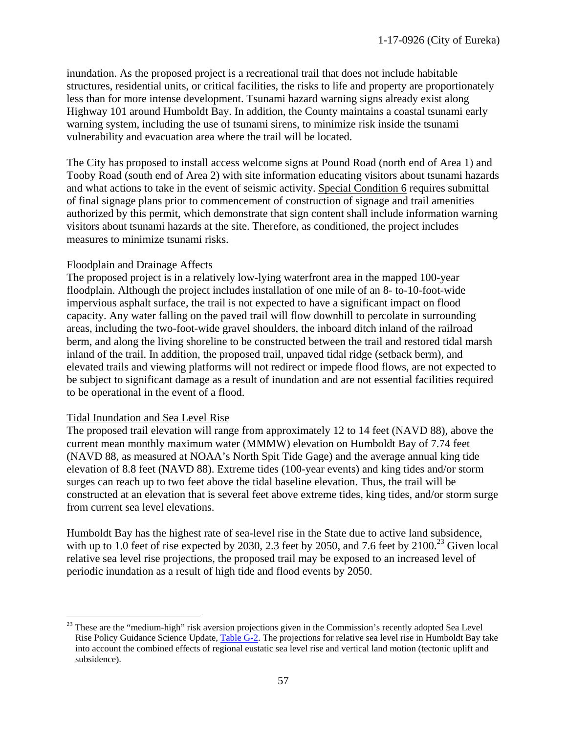inundation. As the proposed project is a recreational trail that does not include habitable structures, residential units, or critical facilities, the risks to life and property are proportionately less than for more intense development. Tsunami hazard warning signs already exist along Highway 101 around Humboldt Bay. In addition, the County maintains a coastal tsunami early warning system, including the use of tsunami sirens, to minimize risk inside the tsunami vulnerability and evacuation area where the trail will be located.

The City has proposed to install access welcome signs at Pound Road (north end of Area 1) and Tooby Road (south end of Area 2) with site information educating visitors about tsunami hazards and what actions to take in the event of seismic activity. Special Condition 6 requires submittal of final signage plans prior to commencement of construction of signage and trail amenities authorized by this permit, which demonstrate that sign content shall include information warning visitors about tsunami hazards at the site. Therefore, as conditioned, the project includes measures to minimize tsunami risks.

#### Floodplain and Drainage Affects

The proposed project is in a relatively low-lying waterfront area in the mapped 100-year floodplain. Although the project includes installation of one mile of an 8- to-10-foot-wide impervious asphalt surface, the trail is not expected to have a significant impact on flood capacity. Any water falling on the paved trail will flow downhill to percolate in surrounding areas, including the two-foot-wide gravel shoulders, the inboard ditch inland of the railroad berm, and along the living shoreline to be constructed between the trail and restored tidal marsh inland of the trail. In addition, the proposed trail, unpaved tidal ridge (setback berm), and elevated trails and viewing platforms will not redirect or impede flood flows, are not expected to be subject to significant damage as a result of inundation and are not essential facilities required to be operational in the event of a flood.

#### Tidal Inundation and Sea Level Rise

The proposed trail elevation will range from approximately 12 to 14 feet (NAVD 88), above the current mean monthly maximum water (MMMW) elevation on Humboldt Bay of 7.74 feet (NAVD 88, as measured at NOAA's North Spit Tide Gage) and the average annual king tide elevation of 8.8 feet (NAVD 88). Extreme tides (100-year events) and king tides and/or storm surges can reach up to two feet above the tidal baseline elevation. Thus, the trail will be constructed at an elevation that is several feet above extreme tides, king tides, and/or storm surge from current sea level elevations.

Humboldt Bay has the highest rate of sea-level rise in the State due to active land subsidence, with up to 1.0 feet of rise expected by 2030, 2.3 feet by 2050, and 7.6 feet by  $2100^{23}$  Given local relative sea level rise projections, the proposed trail may be exposed to an increased level of periodic inundation as a result of high tide and flood events by 2050.

<sup>&</sup>lt;sup>23</sup> These are the "medium-high" risk aversion projections given in the Commission's recently adopted Sea Level Rise Policy Guidance Science Update, [Table G-2.](https://documents.coastal.ca.gov/reports/2018/11/W7d/w7d-11-2018-exhibits.pdf) The projections for relative sea level rise in Humboldt Bay take into account the combined effects of regional eustatic sea level rise and vertical land motion (tectonic uplift and subsidence).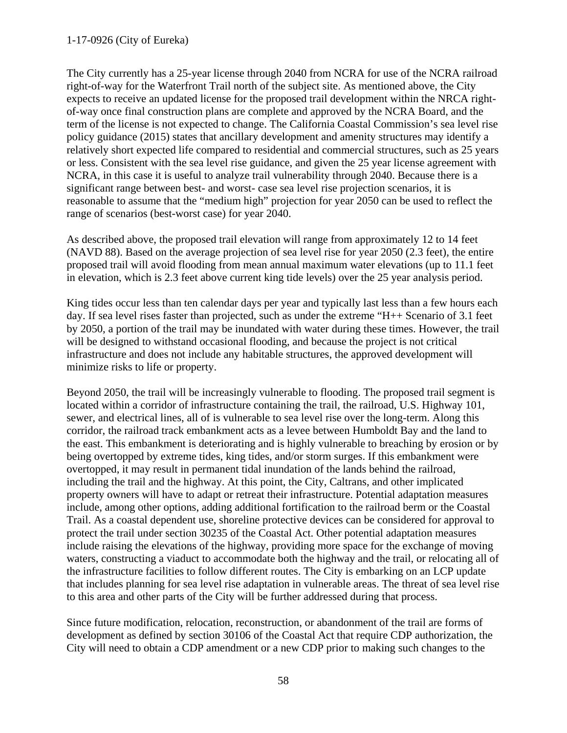## 1-17-0926 (City of Eureka)

The City currently has a 25-year license through 2040 from NCRA for use of the NCRA railroad right-of-way for the Waterfront Trail north of the subject site. As mentioned above, the City expects to receive an updated license for the proposed trail development within the NRCA rightof-way once final construction plans are complete and approved by the NCRA Board, and the term of the license is not expected to change. The California Coastal Commission's sea level rise policy guidance (2015) states that ancillary development and amenity structures may identify a relatively short expected life compared to residential and commercial structures, such as 25 years or less. Consistent with the sea level rise guidance, and given the 25 year license agreement with NCRA, in this case it is useful to analyze trail vulnerability through 2040. Because there is a significant range between best- and worst- case sea level rise projection scenarios, it is reasonable to assume that the "medium high" projection for year 2050 can be used to reflect the range of scenarios (best-worst case) for year 2040.

As described above, the proposed trail elevation will range from approximately 12 to 14 feet (NAVD 88). Based on the average projection of sea level rise for year 2050 (2.3 feet), the entire proposed trail will avoid flooding from mean annual maximum water elevations (up to 11.1 feet in elevation, which is 2.3 feet above current king tide levels) over the 25 year analysis period.

King tides occur less than ten calendar days per year and typically last less than a few hours each day. If sea level rises faster than projected, such as under the extreme "H++ Scenario of 3.1 feet by 2050, a portion of the trail may be inundated with water during these times. However, the trail will be designed to withstand occasional flooding, and because the project is not critical infrastructure and does not include any habitable structures, the approved development will minimize risks to life or property.

Beyond 2050, the trail will be increasingly vulnerable to flooding. The proposed trail segment is located within a corridor of infrastructure containing the trail, the railroad, U.S. Highway 101, sewer, and electrical lines, all of is vulnerable to sea level rise over the long-term. Along this corridor, the railroad track embankment acts as a levee between Humboldt Bay and the land to the east. This embankment is deteriorating and is highly vulnerable to breaching by erosion or by being overtopped by extreme tides, king tides, and/or storm surges. If this embankment were overtopped, it may result in permanent tidal inundation of the lands behind the railroad, including the trail and the highway. At this point, the City, Caltrans, and other implicated property owners will have to adapt or retreat their infrastructure. Potential adaptation measures include, among other options, adding additional fortification to the railroad berm or the Coastal Trail. As a coastal dependent use, shoreline protective devices can be considered for approval to protect the trail under section 30235 of the Coastal Act. Other potential adaptation measures include raising the elevations of the highway, providing more space for the exchange of moving waters, constructing a viaduct to accommodate both the highway and the trail, or relocating all of the infrastructure facilities to follow different routes. The City is embarking on an LCP update that includes planning for sea level rise adaptation in vulnerable areas. The threat of sea level rise to this area and other parts of the City will be further addressed during that process.

Since future modification, relocation, reconstruction, or abandonment of the trail are forms of development as defined by section 30106 of the Coastal Act that require CDP authorization, the City will need to obtain a CDP amendment or a new CDP prior to making such changes to the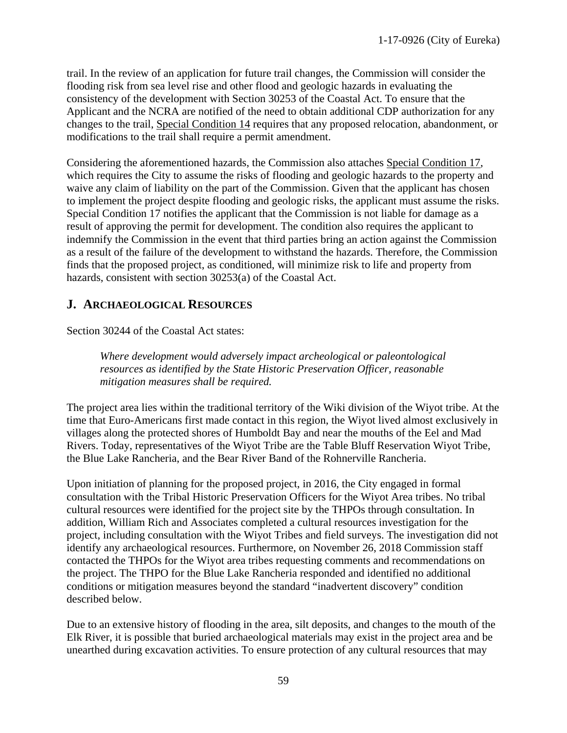trail. In the review of an application for future trail changes, the Commission will consider the flooding risk from sea level rise and other flood and geologic hazards in evaluating the consistency of the development with Section 30253 of the Coastal Act. To ensure that the Applicant and the NCRA are notified of the need to obtain additional CDP authorization for any changes to the trail, Special Condition 14 requires that any proposed relocation, abandonment, or modifications to the trail shall require a permit amendment.

Considering the aforementioned hazards, the Commission also attaches Special Condition 17, which requires the City to assume the risks of flooding and geologic hazards to the property and waive any claim of liability on the part of the Commission. Given that the applicant has chosen to implement the project despite flooding and geologic risks, the applicant must assume the risks. Special Condition 17 notifies the applicant that the Commission is not liable for damage as a result of approving the permit for development. The condition also requires the applicant to indemnify the Commission in the event that third parties bring an action against the Commission as a result of the failure of the development to withstand the hazards. Therefore, the Commission finds that the proposed project, as conditioned, will minimize risk to life and property from hazards, consistent with section 30253(a) of the Coastal Act.

# <span id="page-58-0"></span>**J. ARCHAEOLOGICAL RESOURCES**

Section 30244 of the Coastal Act states:

*Where development would adversely impact archeological or paleontological resources as identified by the State Historic Preservation Officer, reasonable mitigation measures shall be required.*

The project area lies within the traditional territory of the Wiki division of the Wiyot tribe. At the time that Euro-Americans first made contact in this region, the Wiyot lived almost exclusively in villages along the protected shores of Humboldt Bay and near the mouths of the Eel and Mad Rivers. Today, representatives of the Wiyot Tribe are the Table Bluff Reservation Wiyot Tribe, the Blue Lake Rancheria, and the Bear River Band of the Rohnerville Rancheria.

Upon initiation of planning for the proposed project, in 2016, the City engaged in formal consultation with the Tribal Historic Preservation Officers for the Wiyot Area tribes. No tribal cultural resources were identified for the project site by the THPOs through consultation. In addition, William Rich and Associates completed a cultural resources investigation for the project, including consultation with the Wiyot Tribes and field surveys. The investigation did not identify any archaeological resources. Furthermore, on November 26, 2018 Commission staff contacted the THPOs for the Wiyot area tribes requesting comments and recommendations on the project. The THPO for the Blue Lake Rancheria responded and identified no additional conditions or mitigation measures beyond the standard "inadvertent discovery" condition described below.

Due to an extensive history of flooding in the area, silt deposits, and changes to the mouth of the Elk River, it is possible that buried archaeological materials may exist in the project area and be unearthed during excavation activities. To ensure protection of any cultural resources that may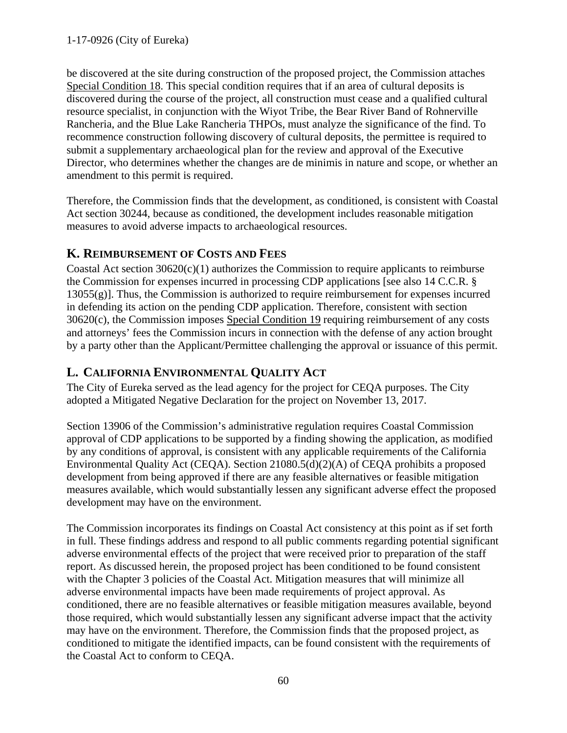be discovered at the site during construction of the proposed project, the Commission attaches Special Condition 18. This special condition requires that if an area of cultural deposits is discovered during the course of the project, all construction must cease and a qualified cultural resource specialist, in conjunction with the Wiyot Tribe, the Bear River Band of Rohnerville Rancheria, and the Blue Lake Rancheria THPOs, must analyze the significance of the find. To recommence construction following discovery of cultural deposits, the permittee is required to submit a supplementary archaeological plan for the review and approval of the Executive Director, who determines whether the changes are de minimis in nature and scope, or whether an amendment to this permit is required.

Therefore, the Commission finds that the development, as conditioned, is consistent with Coastal Act section 30244, because as conditioned, the development includes reasonable mitigation measures to avoid adverse impacts to archaeological resources.

# <span id="page-59-0"></span>**K. REIMBURSEMENT OF COSTS AND FEES**

Coastal Act section 30620(c)(1) authorizes the Commission to require applicants to reimburse the Commission for expenses incurred in processing CDP applications [see also 14 C.C.R. §  $13055(g)$ . Thus, the Commission is authorized to require reimbursement for expenses incurred in defending its action on the pending CDP application. Therefore, consistent with section 30620(c), the Commission imposes Special Condition 19 requiring reimbursement of any costs and attorneys' fees the Commission incurs in connection with the defense of any action brought by a party other than the Applicant/Permittee challenging the approval or issuance of this permit.

# <span id="page-59-1"></span>**L. CALIFORNIA ENVIRONMENTAL QUALITY ACT**

The City of Eureka served as the lead agency for the project for CEQA purposes. The City adopted a Mitigated Negative Declaration for the project on November 13, 2017.

Section 13906 of the Commission's administrative regulation requires Coastal Commission approval of CDP applications to be supported by a finding showing the application, as modified by any conditions of approval, is consistent with any applicable requirements of the California Environmental Quality Act (CEQA). Section 21080.5(d)(2)(A) of CEQA prohibits a proposed development from being approved if there are any feasible alternatives or feasible mitigation measures available, which would substantially lessen any significant adverse effect the proposed development may have on the environment.

The Commission incorporates its findings on Coastal Act consistency at this point as if set forth in full. These findings address and respond to all public comments regarding potential significant adverse environmental effects of the project that were received prior to preparation of the staff report. As discussed herein, the proposed project has been conditioned to be found consistent with the Chapter 3 policies of the Coastal Act. Mitigation measures that will minimize all adverse environmental impacts have been made requirements of project approval. As conditioned, there are no feasible alternatives or feasible mitigation measures available, beyond those required, which would substantially lessen any significant adverse impact that the activity may have on the environment. Therefore, the Commission finds that the proposed project, as conditioned to mitigate the identified impacts, can be found consistent with the requirements of the Coastal Act to conform to CEQA.